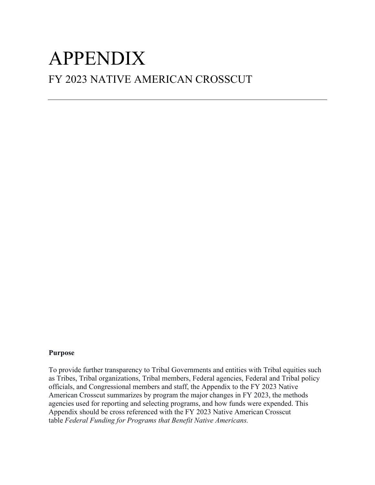# FY 2023 NATIVE AMERICAN CROSSCUT APPENDIX

## **Purpose**

To provide further transparency to Tribal Governments and entities with Tribal equities such as Tribes, Tribal organizations, Tribal members, Federal agencies, Federal and Tribal policy officials, and Congressional members and staff, the Appendix to the FY 2023 Native American Crosscut summarizes by program the major changes in FY 2023, the methods agencies used for reporting and selecting programs, and how funds were expended. This Appendix should be cross referenced with the FY 2023 Native American Crosscut table *Federal Funding for Programs that Benefit Native Americans.*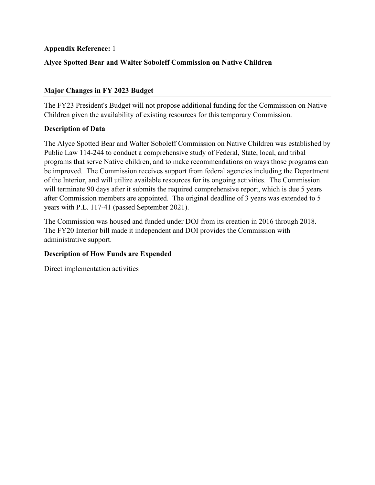# **Alyce Spotted Bear and Walter Soboleff Commission on Native Children**

# **Major Changes in FY 2023 Budget**

The FY23 President's Budget will not propose additional funding for the Commission on Native Children given the availability of existing resources for this temporary Commission.

# **Description of Data**

The Alyce Spotted Bear and Walter Soboleff Commission on Native Children was established by Public Law 114-244 to conduct a comprehensive study of Federal, State, local, and tribal programs that serve Native children, and to make recommendations on ways those programs can be improved. The Commission receives support from federal agencies including the Department of the Interior, and will utilize available resources for its ongoing activities. The Commission will terminate 90 days after it submits the required comprehensive report, which is due 5 years after Commission members are appointed. The original deadline of 3 years was extended to 5 years with P.L. 117-41 (passed September 2021).

The Commission was housed and funded under DOJ from its creation in 2016 through 2018. The FY20 Interior bill made it independent and DOI provides the Commission with administrative support.

# **Description of How Funds are Expended**

Direct implementation activities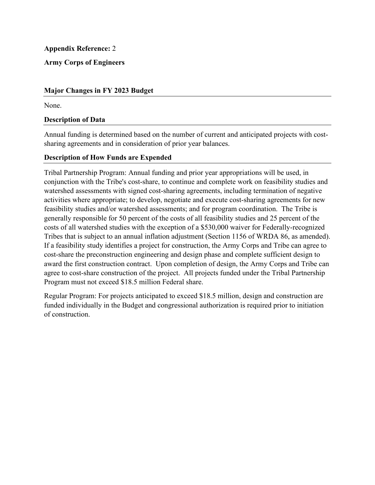**Army Corps of Engineers** 

# **Major Changes in FY 2023 Budget**

None.

## **Description of Data**

Annual funding is determined based on the number of current and anticipated projects with costsharing agreements and in consideration of prior year balances.

## **Description of How Funds are Expended**

Tribal Partnership Program: Annual funding and prior year appropriations will be used, in conjunction with the Tribe's cost-share, to continue and complete work on feasibility studies and watershed assessments with signed cost-sharing agreements, including termination of negative activities where appropriate; to develop, negotiate and execute cost-sharing agreements for new feasibility studies and/or watershed assessments; and for program coordination. The Tribe is generally responsible for 50 percent of the costs of all feasibility studies and 25 percent of the costs of all watershed studies with the exception of a \$530,000 waiver for Federally-recognized Tribes that is subject to an annual inflation adjustment (Section 1156 of WRDA 86, as amended). If a feasibility study identifies a project for construction, the Army Corps and Tribe can agree to cost-share the preconstruction engineering and design phase and complete sufficient design to award the first construction contract. Upon completion of design, the Army Corps and Tribe can agree to cost-share construction of the project. All projects funded under the Tribal Partnership Program must not exceed \$18.5 million Federal share.

Regular Program: For projects anticipated to exceed \$18.5 million, design and construction are funded individually in the Budget and congressional authorization is required prior to initiation of construction.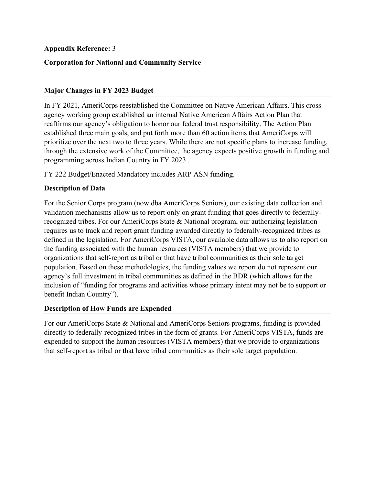# **Corporation for National and Community Service**

# **Major Changes in FY 2023 Budget**

In FY 2021, AmeriCorps reestablished the Committee on Native American Affairs. This cross agency working group established an internal Native American Affairs Action Plan that reaffirms our agency's obligation to honor our federal trust responsibility. The Action Plan established three main goals, and put forth more than 60 action items that AmeriCorps will prioritize over the next two to three years. While there are not specific plans to increase funding, through the extensive work of the Committee, the agency expects positive growth in funding and programming across Indian Country in FY 2023 .

FY 222 Budget/Enacted Mandatory includes ARP ASN funding.

# **Description of Data**

For the Senior Corps program (now dba AmeriCorps Seniors), our existing data collection and validation mechanisms allow us to report only on grant funding that goes directly to federallyrecognized tribes. For our AmeriCorps State & National program, our authorizing legislation requires us to track and report grant funding awarded directly to federally-recognized tribes as defined in the legislation. For AmeriCorps VISTA, our available data allows us to also report on the funding associated with the human resources (VISTA members) that we provide to organizations that self-report as tribal or that have tribal communities as their sole target population. Based on these methodologies, the funding values we report do not represent our agency's full investment in tribal communities as defined in the BDR (which allows for the inclusion of "funding for programs and activities whose primary intent may not be to support or benefit Indian Country").

# **Description of How Funds are Expended**

For our AmeriCorps State & National and AmeriCorps Seniors programs, funding is provided directly to federally-recognized tribes in the form of grants. For AmeriCorps VISTA, funds are expended to support the human resources (VISTA members) that we provide to organizations that self-report as tribal or that have tribal communities as their sole target population.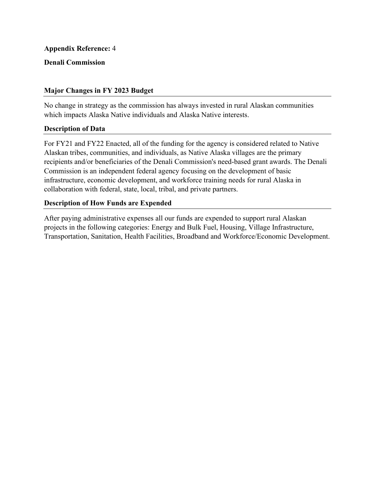## **Denali Commission**

# **Major Changes in FY 2023 Budget**

No change in strategy as the commission has always invested in rural Alaskan communities which impacts Alaska Native individuals and Alaska Native interests.

## **Description of Data**

For FY21 and FY22 Enacted, all of the funding for the agency is considered related to Native Alaskan tribes, communities, and individuals, as Native Alaska villages are the primary recipients and/or beneficiaries of the Denali Commission's need-based grant awards. The Denali Commission is an independent federal agency focusing on the development of basic infrastructure, economic development, and workforce training needs for rural Alaska in collaboration with federal, state, local, tribal, and private partners.

## **Description of How Funds are Expended**

After paying administrative expenses all our funds are expended to support rural Alaskan projects in the following categories: Energy and Bulk Fuel, Housing, Village Infrastructure, Transportation, Sanitation, Health Facilities, Broadband and Workforce/Economic Development.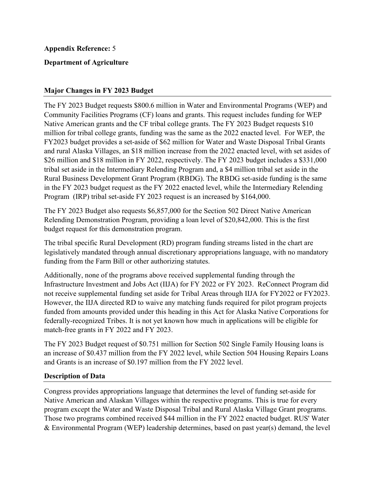# **Department of Agriculture**

## **Major Changes in FY 2023 Budget**

 Native American grants and the CF tribal college grants. The FY 2023 Budget requests \$10 million for tribal college grants, funding was the same as the 2022 enacted level. For WEP, the The FY 2023 Budget requests \$800.6 million in Water and Environmental Programs (WEP) and Community Facilities Programs (CF) loans and grants. This request includes funding for WEP FY2023 budget provides a set-aside of \$62 million for Water and Waste Disposal Tribal Grants and rural Alaska Villages, an \$18 million increase from the 2022 enacted level, with set asides of \$26 million and \$18 million in FY 2022, respectively. The FY 2023 budget includes a \$331,000 tribal set aside in the Intermediary Relending Program and, a \$4 million tribal set aside in the Rural Business Development Grant Program (RBDG). The RBDG set-aside funding is the same in the FY 2023 budget request as the FY 2022 enacted level, while the Intermediary Relending Program (IRP) tribal set-aside FY 2023 request is an increased by \$164,000.

The FY 2023 Budget also requests \$6,857,000 for the Section 502 Direct Native American Relending Demonstration Program, providing a loan level of \$20,842,000. This is the first budget request for this demonstration program.

The tribal specific Rural Development (RD) program funding streams listed in the chart are legislatively mandated through annual discretionary appropriations language, with no mandatory funding from the Farm Bill or other authorizing statutes.

 Infrastructure Investment and Jobs Act (IIJA) for FY 2022 or FY 2023. ReConnect Program did Additionally, none of the programs above received supplemental funding through the not receive supplemental funding set aside for Tribal Areas through IIJA for FY2022 or FY2023. However, the IIJA directed RD to waive any matching funds required for pilot program projects funded from amounts provided under this heading in this Act for Alaska Native Corporations for federally-recognized Tribes. It is not yet known how much in applications will be eligible for match-free grants in FY 2022 and FY 2023.

The FY 2023 Budget request of \$0.751 million for Section 502 Single Family Housing loans is an increase of \$0.437 million from the FY 2022 level, while Section 504 Housing Repairs Loans and Grants is an increase of \$0.197 million from the FY 2022 level.

## **Description of Data**

Congress provides appropriations language that determines the level of funding set-aside for Native American and Alaskan Villages within the respective programs. This is true for every program except the Water and Waste Disposal Tribal and Rural Alaska Village Grant programs. Those two programs combined received \$44 million in the FY 2022 enacted budget. RUS' Water & Environmental Program (WEP) leadership determines, based on past year(s) demand, the level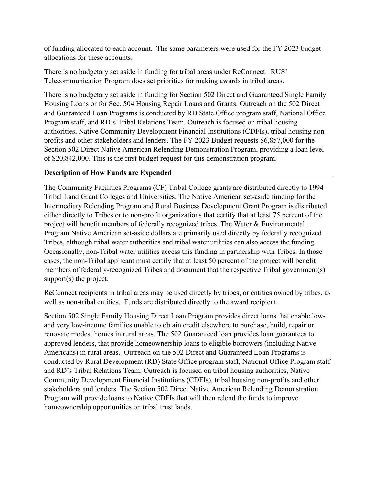of funding allocated to each account. The same parameters were used for the FY 2023 budget allocations for these accounts.

There is no budgetary set aside in funding for tribal areas under ReConnect. RUS' Telecommunication Program does set priorities for making awards in tribal areas.

There is no budgetary set aside in funding for Section 502 Direct and Guaranteed Single Family Housing Loans or for Sec. 504 Housing Repair Loans and Grants. Outreach on the 502 Direct and Guaranteed Loan Programs is conducted by RD State Office program staff, National Office Program staff, and RD's Tribal Relations Team. Outreach is focused on tribal housing authorities, Native Community Development Financial Institutions (CDFIs), tribal housing nonprofits and other stakeholders and lenders. The FY 2023 Budget requests \$6,857,000 for the Section 502 Direct Native American Relending Demonstration Program, providing a loan level of \$20,842,000. This is the first budget request for this demonstration program.

# **Description of How Funds are Expended**

 project will benefit members of federally recognized tribes. The Water & Environmental The Community Facilities Programs (CF) Tribal College grants are distributed directly to 1994 Tribal Land Grant Colleges and Universities. The Native American set-aside funding for the Intermediary Relending Program and Rural Business Development Grant Program is distributed either directly to Tribes or to non-profit organizations that certify that at least 75 percent of the Program Native American set-aside dollars are primarily used directly by federally recognized Tribes, although tribal water authorities and tribal water utilities can also access the funding. Occasionally, non-Tribal water utilities access this funding in partnership with Tribes. In those cases, the non-Tribal applicant must certify that at least 50 percent of the project will benefit members of federally-recognized Tribes and document that the respective Tribal government(s) support(s) the project.

ReConnect recipients in tribal areas may be used directly by tribes, or entities owned by tribes, as well as non-tribal entities. Funds are distributed directly to the award recipient.

Section 502 Single Family Housing Direct Loan Program provides direct loans that enable lowand very low-income families unable to obtain credit elsewhere to purchase, build, repair or renovate modest homes in rural areas. The 502 Guaranteed loan provides loan guarantees to approved lenders, that provide homeownership loans to eligible borrowers (including Native Americans) in rural areas. Outreach on the 502 Direct and Guaranteed Loan Programs is conducted by Rural Development (RD) State Office program staff, National Office Program staff and RD's Tribal Relations Team. Outreach is focused on tribal housing authorities, Native Community Development Financial Institutions (CDFIs), tribal housing non-profits and other stakeholders and lenders. The Section 502 Direct Native American Relending Demonstration Program will provide loans to Native CDFIs that will then relend the funds to improve homeownership opportunities on tribal trust lands.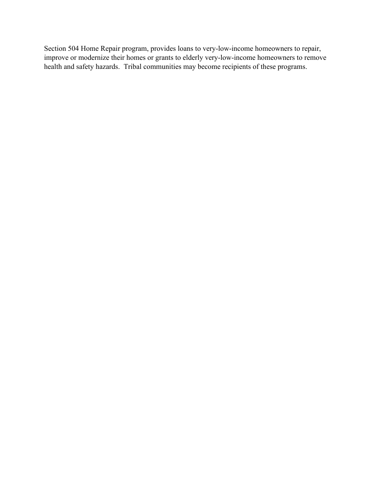Section 504 Home Repair program, provides loans to very-low-income homeowners to repair, improve or modernize their homes or grants to elderly very-low-income homeowners to remove health and safety hazards. Tribal communities may become recipients of these programs.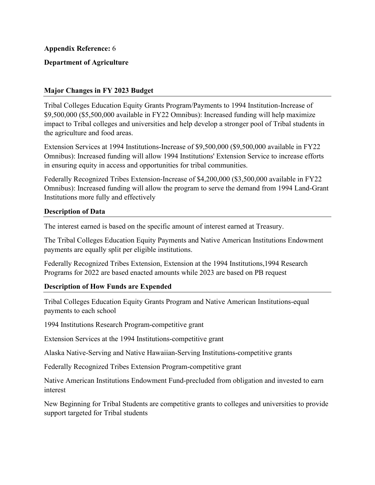# **Department of Agriculture**

## **Major Changes in FY 2023 Budget**

Tribal Colleges Education Equity Grants Program/Payments to 1994 Institution-Increase of \$9,500,000 (\$5,500,000 available in FY22 Omnibus): Increased funding will help maximize impact to Tribal colleges and universities and help develop a stronger pool of Tribal students in the agriculture and food areas.

Extension Services at 1994 Institutions-Increase of \$9,500,000 (\$9,500,000 available in FY22 Omnibus): Increased funding will allow 1994 Institutions' Extension Service to increase efforts in ensuring equity in access and opportunities for tribal communities.

Federally Recognized Tribes Extension-Increase of \$4,200,000 (\$3,500,000 available in FY22 Omnibus): Increased funding will allow the program to serve the demand from 1994 Land-Grant Institutions more fully and effectively

## **Description of Data**

The interest earned is based on the specific amount of interest earned at Treasury.

The Tribal Colleges Education Equity Payments and Native American Institutions Endowment payments are equally split per eligible institutions.

Federally Recognized Tribes Extension, Extension at the 1994 Institutions,1994 Research Programs for 2022 are based enacted amounts while 2023 are based on PB request

## **Description of How Funds are Expended**

Tribal Colleges Education Equity Grants Program and Native American Institutions-equal payments to each school

1994 Institutions Research Program-competitive grant

Extension Services at the 1994 Institutions-competitive grant

Alaska Native-Serving and Native Hawaiian-Serving Institutions-competitive grants

Federally Recognized Tribes Extension Program-competitive grant

Native American Institutions Endowment Fund-precluded from obligation and invested to earn interest

New Beginning for Tribal Students are competitive grants to colleges and universities to provide support targeted for Tribal students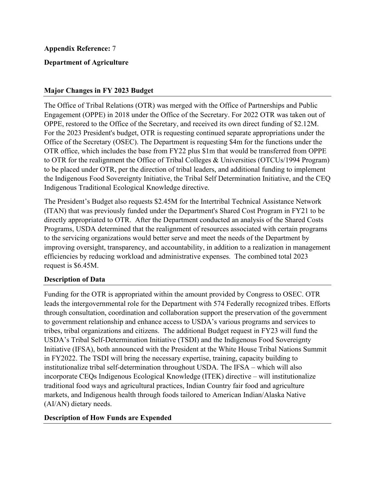# **Department of Agriculture**

## **Major Changes in FY 2023 Budget**

The Office of Tribal Relations (OTR) was merged with the Office of Partnerships and Public Engagement (OPPE) in 2018 under the Office of the Secretary. For 2022 OTR was taken out of OPPE, restored to the Office of the Secretary, and received its own direct funding of \$2.12M. For the 2023 President's budget, OTR is requesting continued separate appropriations under the Office of the Secretary (OSEC). The Department is requesting \$4m for the functions under the OTR office, which includes the base from FY22 plus \$1m that would be transferred from OPPE to OTR for the realignment the Office of Tribal Colleges & Universities (OTCUs/1994 Program) to be placed under OTR, per the direction of tribal leaders, and additional funding to implement the Indigenous Food Sovereignty Initiative, the Tribal Self Determination Initiative, and the CEQ Indigenous Traditional Ecological Knowledge directive.

The President's Budget also requests \$2.45M for the Intertribal Technical Assistance Network (ITAN) that was previously funded under the Department's Shared Cost Program in FY21 to be directly appropriated to OTR. After the Department conducted an analysis of the Shared Costs Programs, USDA determined that the realignment of resources associated with certain programs to the servicing organizations would better serve and meet the needs of the Department by improving oversight, transparency, and accountability, in addition to a realization in management efficiencies by reducing workload and administrative expenses. The combined total 2023 request is \$6.45M.

## **Description of Data**

Funding for the OTR is appropriated within the amount provided by Congress to OSEC. OTR leads the intergovernmental role for the Department with 574 Federally recognized tribes. Efforts through consultation, coordination and collaboration support the preservation of the government to government relationship and enhance access to USDA's various programs and services to tribes, tribal organizations and citizens. The additional Budget request in FY23 will fund the USDA's Tribal Self-Determination Initiative (TSDI) and the Indigenous Food Sovereignty Initiative (IFSA), both announced with the President at the White House Tribal Nations Summit in FY2022. The TSDI will bring the necessary expertise, training, capacity building to institutionalize tribal self-determination throughout USDA. The IFSA – which will also incorporate CEQs Indigenous Ecological Knowledge (ITEK) directive – will institutionalize traditional food ways and agricultural practices, Indian Country fair food and agriculture markets, and Indigenous health through foods tailored to American Indian/Alaska Native (AI/AN) dietary needs.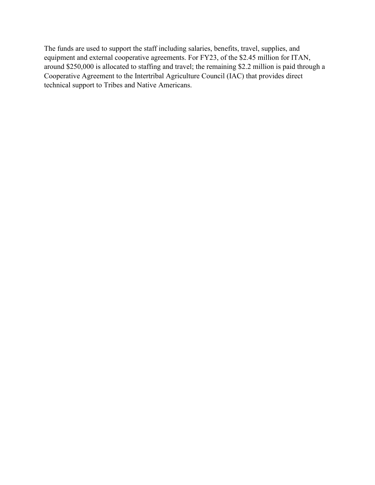The funds are used to support the staff including salaries, benefits, travel, supplies, and equipment and external cooperative agreements. For FY23, of the \$2.45 million for ITAN, around \$250,000 is allocated to staffing and travel; the remaining \$2.2 million is paid through a Cooperative Agreement to the Intertribal Agriculture Council (IAC) that provides direct technical support to Tribes and Native Americans.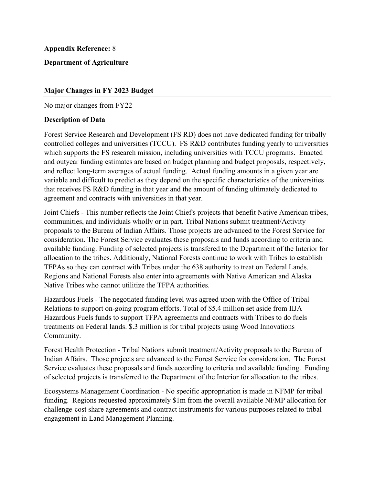## **Department of Agriculture**

## **Major Changes in FY 2023 Budget**

No major changes from FY22

#### **Description of Data**

Forest Service Research and Development (FS RD) does not have dedicated funding for tribally controlled colleges and universities (TCCU). FS R&D contributes funding yearly to universities which supports the FS research mission, including universities with TCCU programs. Enacted and outyear funding estimates are based on budget planning and budget proposals, respectively, and reflect long-term averages of actual funding. Actual funding amounts in a given year are variable and difficult to predict as they depend on the specific characteristics of the universities that receives FS R&D funding in that year and the amount of funding ultimately dedicated to agreement and contracts with universities in that year.

 proposals to the Bureau of Indian Affairs. Those projects are advanced to the Forest Service for available funding. Funding of selected projects is transfered to the Department of the Interior for Joint Chiefs - This number reflects the Joint Chief's projects that benefit Native American tribes, communities, and individuals wholly or in part. Tribal Nations submit treatment/Activity consideration. The Forest Service evaluates these proposals and funds according to criteria and allocation to the tribes. Additionaly, National Forests continue to work with Tribes to establish TFPAs so they can contract with Tribes under the 638 authority to treat on Federal Lands. Regions and National Forests also enter into agreements with Native American and Alaska Native Tribes who cannot utilitize the TFPA authorities.

 Relations to support on-going program efforts. Total of \$5.4 million set aside from IIJA Hazardous Fuels - The negotiated funding level was agreed upon with the Office of Tribal Hazardous Fuels funds to support TFPA agreements and contracts with Tribes to do fuels treatments on Federal lands. \$.3 million is for tribal projects using Wood Innovations Community.

 Indian Affairs. Those projects are advanced to the Forest Service for consideration. The Forest of selected projects is transferred to the Department of the Interior for allocation to the tribes. Forest Health Protection - Tribal Nations submit treatment/Activity proposals to the Bureau of Service evaluates these proposals and funds according to criteria and available funding. Funding

Ecosystems Management Coordination - No specific appropriation is made in NFMP for tribal funding. Regions requested approximately \$1m from the overall available NFMP allocation for challenge-cost share agreements and contract instruments for various purposes related to tribal engagement in Land Management Planning.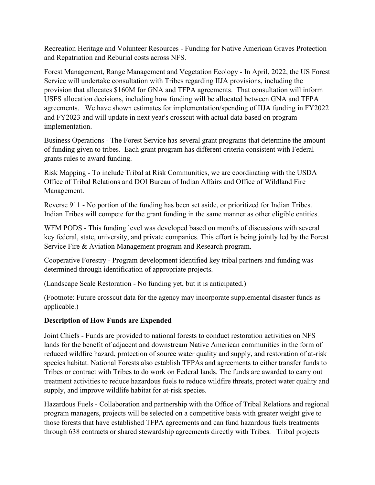Recreation Heritage and Volunteer Resources - Funding for Native American Graves Protection and Repatriation and Reburial costs across NFS.

Forest Management, Range Management and Vegetation Ecology - In April, 2022, the US Forest Service will undertake consultation with Tribes regarding IIJA provisions, including the provision that allocates \$160M for GNA and TFPA agreements. That consultation will inform USFS allocation decisions, including how funding will be allocated between GNA and TFPA agreements. We have shown estimates for implementation/spending of IIJA funding in FY2022 and FY2023 and will update in next year's crosscut with actual data based on program implementation.

 of funding given to tribes. Each grant program has different criteria consistent with Federal Business Operations - The Forest Service has several grant programs that determine the amount grants rules to award funding.

Risk Mapping - To include Tribal at Risk Communities, we are coordinating with the USDA Office of Tribal Relations and DOI Bureau of Indian Affairs and Office of Wildland Fire Management.

Reverse 911 - No portion of the funding has been set aside, or prioritized for Indian Tribes. Indian Tribes will compete for the grant funding in the same manner as other eligible entities.

WFM PODS - This funding level was developed based on months of discussions with several key federal, state, university, and private companies. This effort is being jointly led by the Forest Service Fire & Aviation Management program and Research program.

Cooperative Forestry - Program development identified key tribal partners and funding was determined through identification of appropriate projects.

(Landscape Scale Restoration - No funding yet, but it is anticipated.)

(Footnote: Future crosscut data for the agency may incorporate supplemental disaster funds as applicable.)

# **Description of How Funds are Expended**

 Tribes or contract with Tribes to do work on Federal lands. The funds are awarded to carry out Joint Chiefs - Funds are provided to national forests to conduct restoration activities on NFS lands for the benefit of adjacent and downstream Native American communities in the form of reduced wildfire hazard, protection of source water quality and supply, and restoration of at-risk species habitat. National Forests also establish TFPAs and agreements to either transfer funds to treatment activities to reduce hazardous fuels to reduce wildfire threats, protect water quality and supply, and improve wildlife habitat for at-risk species.

Hazardous Fuels - Collaboration and partnership with the Office of Tribal Relations and regional program managers, projects will be selected on a competitive basis with greater weight give to those forests that have established TFPA agreements and can fund hazardous fuels treatments through 638 contracts or shared stewardship agreements directly with Tribes. Tribal projects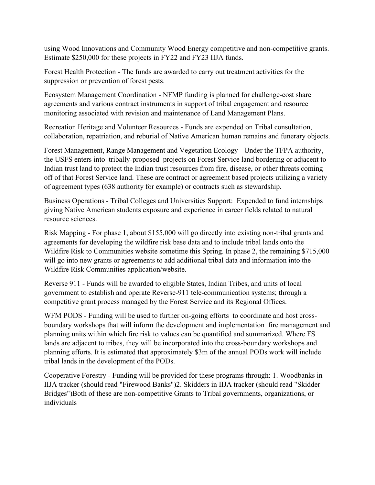using Wood Innovations and Community Wood Energy competitive and non-competitive grants. Estimate \$250,000 for these projects in FY22 and FY23 IIJA funds.

Forest Health Protection - The funds are awarded to carry out treatment activities for the suppression or prevention of forest pests.

Ecosystem Management Coordination - NFMP funding is planned for challenge-cost share agreements and various contract instruments in support of tribal engagement and resource monitoring associated with revision and maintenance of Land Management Plans.

Recreation Heritage and Volunteer Resources - Funds are expended on Tribal consultation, collaboration, repatriation, and reburial of Native American human remains and funerary objects.

Forest Management, Range Management and Vegetation Ecology - Under the TFPA authority, the USFS enters into tribally-proposed projects on Forest Service land bordering or adjacent to Indian trust land to protect the Indian trust resources from fire, disease, or other threats coming off of that Forest Service land. These are contract or agreement based projects utilizing a variety of agreement types (638 authority for example) or contracts such as stewardship.

 Business Operations - Tribal Colleges and Universities Support: Expended to fund internships giving Native American students exposure and experience in career fields related to natural resource sciences.

Risk Mapping - For phase 1, about \$155,000 will go directly into existing non-tribal grants and agreements for developing the wildfire risk base data and to include tribal lands onto the Wildfire Risk to Communities website sometime this Spring. In phase 2, the remaining \$715,000 will go into new grants or agreements to add additional tribal data and information into the Wildfire Risk Communities application/website.

 competitive grant process managed by the Forest Service and its Regional Offices. Reverse 911 - Funds will be awarded to eligible States, Indian Tribes, and units of local government to establish and operate Reverse-911 tele-communication systems; through a

WFM PODS - Funding will be used to further on-going efforts to coordinate and host crossboundary workshops that will inform the development and implementation fire management and planning units within which fire risk to values can be quantified and summarized. Where FS lands are adjacent to tribes, they will be incorporated into the cross-boundary workshops and planning efforts. It is estimated that approximately \$3m of the annual PODs work will include tribal lands in the development of the PODs.

Cooperative Forestry - Funding will be provided for these programs through: 1. Woodbanks in IIJA tracker (should read "Firewood Banks")2. Skidders in IIJA tracker (should read "Skidder Bridges")Both of these are non-competitive Grants to Tribal governments, organizations, or individuals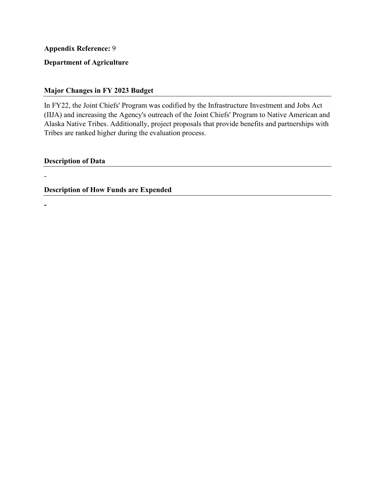# **Department of Agriculture**

# **Major Changes in FY 2023 Budget**

In FY22, the Joint Chiefs' Program was codified by the Infrastructure Investment and Jobs Act (IIJA) and increasing the Agency's outreach of the Joint Chiefs' Program to Native American and Alaska Native Tribes. Additionally, project proposals that provide benefits and partnerships with Tribes are ranked higher during the evaluation process.

**Description of Data** 

-

**-**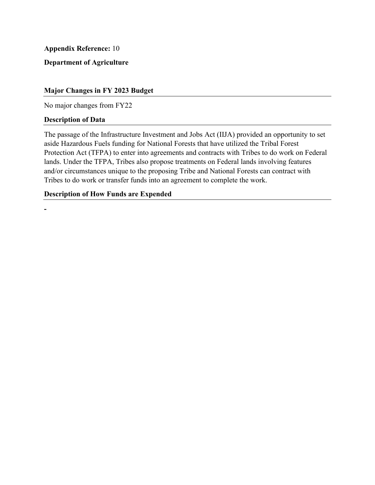**Department of Agriculture** 

# **Major Changes in FY 2023 Budget**

No major changes from FY22

## **Description of Data**

The passage of the Infrastructure Investment and Jobs Act (IIJA) provided an opportunity to set aside Hazardous Fuels funding for National Forests that have utilized the Tribal Forest Protection Act (TFPA) to enter into agreements and contracts with Tribes to do work on Federal lands. Under the TFPA, Tribes also propose treatments on Federal lands involving features and/or circumstances unique to the proposing Tribe and National Forests can contract with Tribes to do work or transfer funds into an agreement to complete the work.

## **Description of How Funds are Expended**

**-**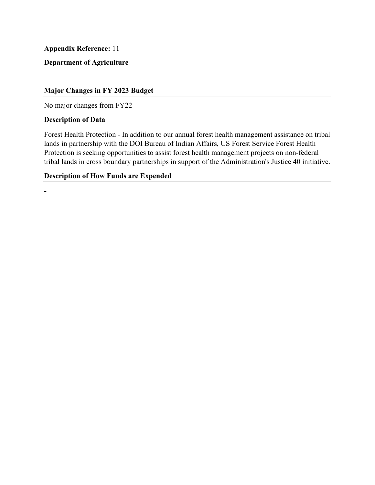# **Department of Agriculture**

## **Major Changes in FY 2023 Budget**

No major changes from FY22

## **Description of Data**

**-**

Forest Health Protection - In addition to our annual forest health management assistance on tribal lands in partnership with the DOI Bureau of Indian Affairs, US Forest Service Forest Health Protection is seeking opportunities to assist forest health management projects on non-federal tribal lands in cross boundary partnerships in support of the Administration's Justice 40 initiative.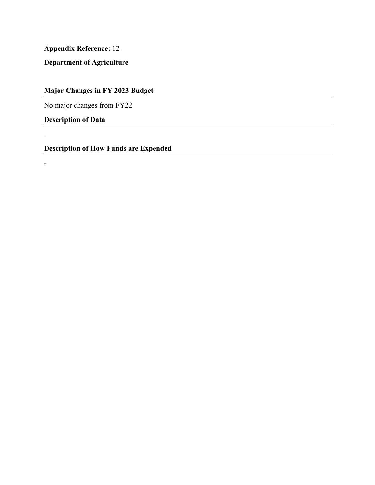**Department of Agriculture** 

**Major Changes in FY 2023 Budget** 

No major changes from FY22

**Description of Data** 

-

**-**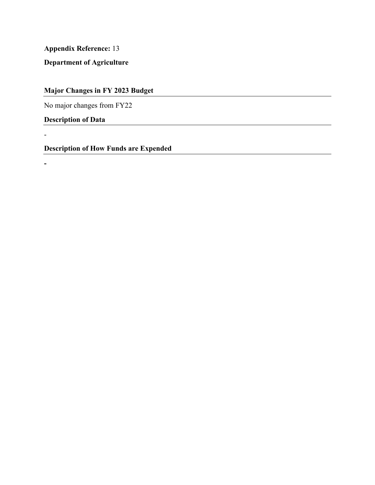**Department of Agriculture** 

**Major Changes in FY 2023 Budget** 

No major changes from FY22

**Description of Data** 

-

**-**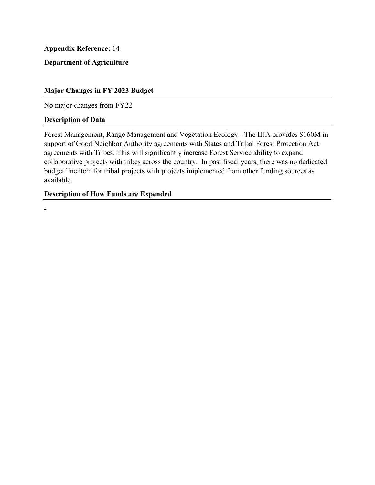**Department of Agriculture** 

# **Major Changes in FY 2023 Budget**

No major changes from FY22

#### **Description of Data**

Forest Management, Range Management and Vegetation Ecology - The IIJA provides \$160M in support of Good Neighbor Authority agreements with States and Tribal Forest Protection Act agreements with Tribes. This will significantly increase Forest Service ability to expand collaborative projects with tribes across the country. In past fiscal years, there was no dedicated budget line item for tribal projects with projects implemented from other funding sources as available.

## **Description of How Funds are Expended**

**-**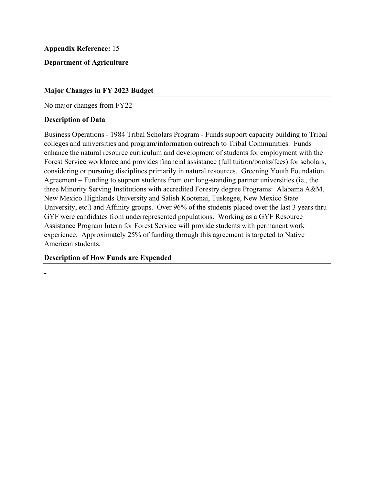# **Department of Agriculture**

## **Major Changes in FY 2023 Budget**

No major changes from FY22

#### **Description of Data**

**-**

Business Operations - 1984 Tribal Scholars Program - Funds support capacity building to Tribal colleges and universities and program/information outreach to Tribal Communities. Funds enhance the natural resource curriculum and development of students for employment with the Forest Service workforce and provides financial assistance (full tuition/books/fees) for scholars, considering or pursuing disciplines primarily in natural resources. Greening Youth Foundation Agreement – Funding to support students from our long-standing partner universities (ie., the three Minority Serving Institutions with accredited Forestry degree Programs: Alabama A&M, New Mexico Highlands University and Salish Kootenai, Tuskegee, New Mexico State University, etc.) and Affinity groups. Over 96% of the students placed over the last 3 years thru GYF were candidates from underrepresented populations. Working as a GYF Resource Assistance Program Intern for Forest Service will provide students with permanent work experience. Approximately 25% of funding through this agreement is targeted to Native American students.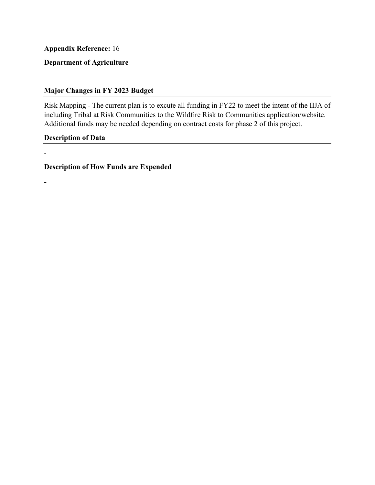# **Department of Agriculture**

# **Major Changes in FY 2023 Budget**

 Risk Mapping - The current plan is to excute all funding in FY22 to meet the intent of the IIJA of including Tribal at Risk Communities to the Wildfire Risk to Communities application/website. Additional funds may be needed depending on contract costs for phase 2 of this project.

## **Description of Data**

-

**-**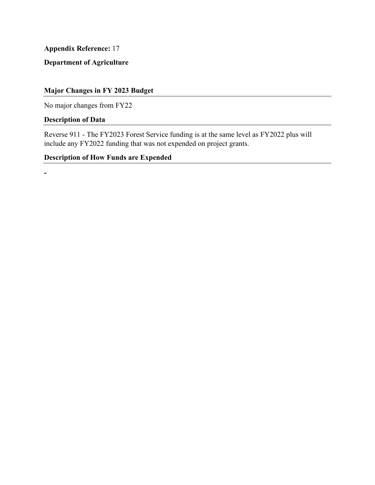**Department of Agriculture** 

# **Major Changes in FY 2023 Budget**

No major changes from FY22

# **Description of Data**

**-**

 Reverse 911 - The FY2023 Forest Service funding is at the same level as FY2022 plus will include any FY2022 funding that was not expended on project grants.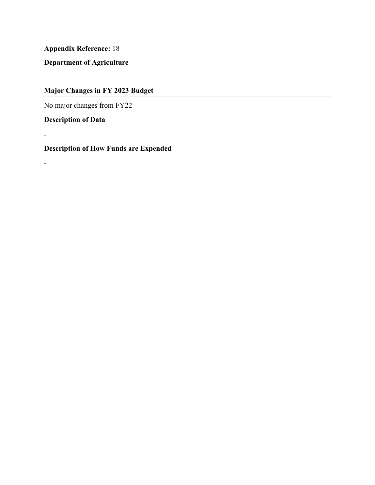**Department of Agriculture** 

**Major Changes in FY 2023 Budget** 

No major changes from FY22

**Description of Data** 

-

**-**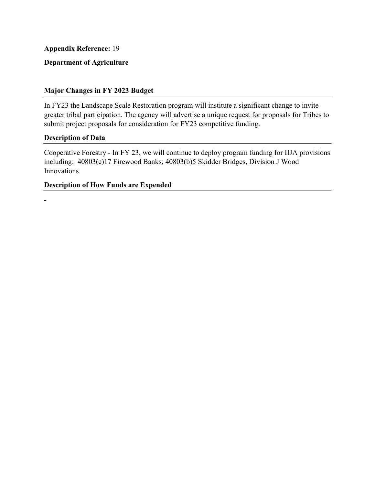# **Department of Agriculture**

# **Major Changes in FY 2023 Budget**

In FY23 the Landscape Scale Restoration program will institute a significant change to invite greater tribal participation. The agency will advertise a unique request for proposals for Tribes to submit project proposals for consideration for FY23 competitive funding.

## **Description of Data**

**-**

 Cooperative Forestry - In FY 23, we will continue to deploy program funding for IIJA provisions including: 40803(c)17 Firewood Banks; 40803(b)5 Skidder Bridges, Division J Wood Innovations.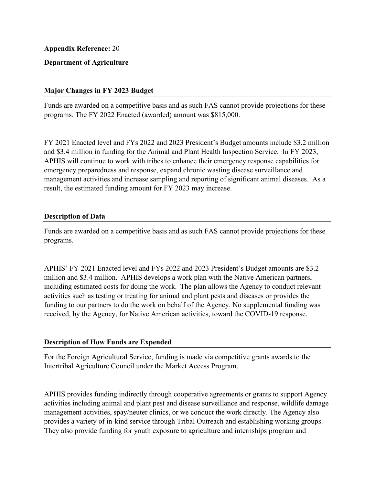# **Department of Agriculture**

## **Major Changes in FY 2023 Budget**

Funds are awarded on a competitive basis and as such FAS cannot provide projections for these programs. The FY 2022 Enacted (awarded) amount was \$815,000.

 emergency preparedness and response, expand chronic wasting disease surveillance and   result, the estimated funding amount for FY 2023 may increase. FY 2021 Enacted level and FYs 2022 and 2023 President's Budget amounts include \$3.2 million and \$3.4 million in funding for the Animal and Plant Health Inspection Service. In FY 2023, APHIS will continue to work with tribes to enhance their emergency response capabilities for management activities and increase sampling and reporting of significant animal diseases. As a

#### **Description of Data**

Funds are awarded on a competitive basis and as such FAS cannot provide projections for these programs.

APHIS' FY 2021 Enacted level and FYs 2022 and 2023 President's Budget amounts are \$3.2 million and \$3.4 million. APHIS develops a work plan with the Native American partners, including estimated costs for doing the work.  The plan allows the Agency to conduct relevant activities such as testing or treating for animal and plant pests and diseases or provides the funding to our partners to do the work on behalf of the Agency. No supplemental funding was received, by the Agency, for Native American activities, toward the COVID-19 response.

## **Description of How Funds are Expended**

For the Foreign Agricultural Service, funding is made via competitive grants awards to the Intertribal Agriculture Council under the Market Access Program.

 management activities, spay/neuter clinics, or we conduct the work directly. The Agency also APHIS provides funding indirectly through cooperative agreements or grants to support Agency activities including animal and plant pest and disease surveillance and response, wildlife damage provides a variety of in-kind service through Tribal Outreach and establishing working groups. They also provide funding for youth exposure to agriculture and internships program and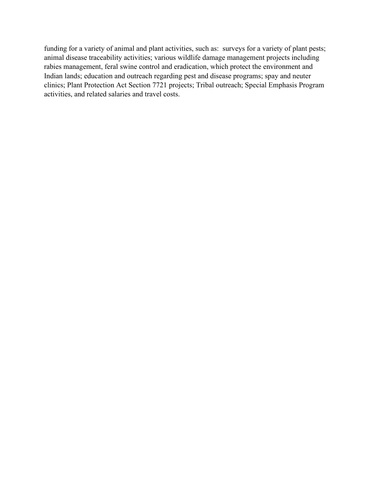funding for a variety of animal and plant activities, such as: surveys for a variety of plant pests; animal disease traceability activities; various wildlife damage management projects including rabies management, feral swine control and eradication, which protect the environment and Indian lands; education and outreach regarding pest and disease programs; spay and neuter clinics; Plant Protection Act Section 7721 projects; Tribal outreach; Special Emphasis Program activities, and related salaries and travel costs.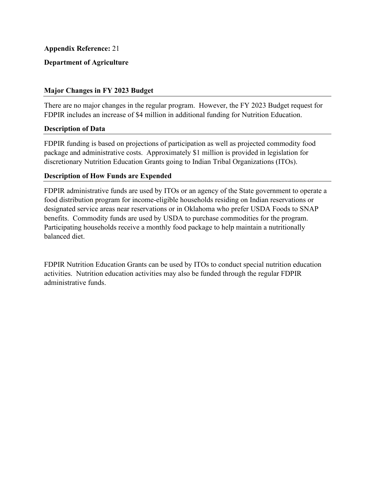# **Department of Agriculture**

## **Major Changes in FY 2023 Budget**

There are no major changes in the regular program. However, the FY 2023 Budget request for FDPIR includes an increase of \$4 million in additional funding for Nutrition Education.

## **Description of Data**

 package and administrative costs. Approximately \$1 million is provided in legislation for FDPIR funding is based on projections of participation as well as projected commodity food discretionary Nutrition Education Grants going to Indian Tribal Organizations (ITOs).

## **Description of How Funds are Expended**

FDPIR administrative funds are used by ITOs or an agency of the State government to operate a food distribution program for income-eligible households residing on Indian reservations or designated service areas near reservations or in Oklahoma who prefer USDA Foods to SNAP benefits. Commodity funds are used by USDA to purchase commodities for the program. Participating households receive a monthly food package to help maintain a nutritionally balanced diet.

FDPIR Nutrition Education Grants can be used by ITOs to conduct special nutrition education activities. Nutrition education activities may also be funded through the regular FDPIR administrative funds.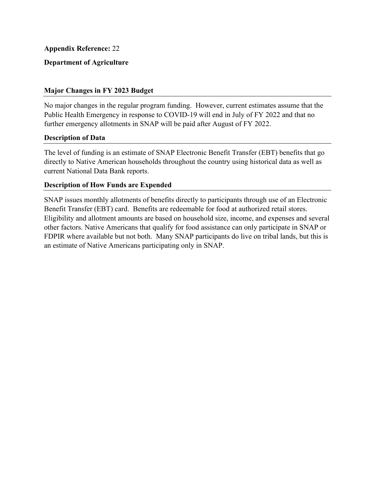# **Department of Agriculture**

## **Major Changes in FY 2023 Budget**

No major changes in the regular program funding. However, current estimates assume that the Public Health Emergency in response to COVID-19 will end in July of FY 2022 and that no further emergency allotments in SNAP will be paid after August of FY 2022.

## **Description of Data**

 directly to Native American households throughout the country using historical data as well as The level of funding is an estimate of SNAP Electronic Benefit Transfer (EBT) benefits that go current National Data Bank reports.

#### **Description of How Funds are Expended**

Benefit Transfer (EBT) card. Benefits are redeemable for food at authorized retail stores. an estimate of Native Americans participating only in SNAP. SNAP issues monthly allotments of benefits directly to participants through use of an Electronic Eligibility and allotment amounts are based on household size, income, and expenses and several other factors. Native Americans that qualify for food assistance can only participate in SNAP or FDPIR where available but not both. Many SNAP participants do live on tribal lands, but this is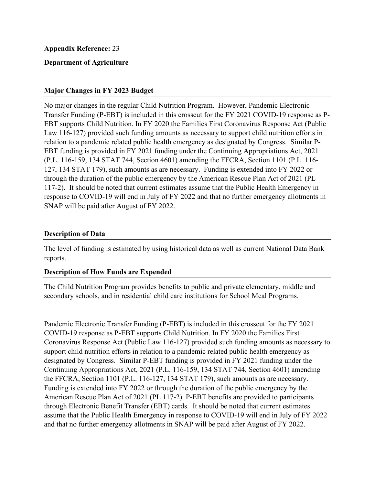## **Department of Agriculture**

## **Major Changes in FY 2023 Budget**

No major changes in the regular Child Nutrition Program. However, Pandemic Electronic Transfer Funding (P-EBT) is included in this crosscut for the FY 2021 COVID-19 response as P-EBT supports Child Nutrition. In FY 2020 the Families First Coronavirus Response Act (Public Law 116-127) provided such funding amounts as necessary to support child nutrition efforts in relation to a pandemic related public health emergency as designated by Congress. Similar P-EBT funding is provided in FY 2021 funding under the Continuing Appropriations Act, 2021 (P.L. 116-159, 134 STAT 744, Section 4601) amending the FFCRA, Section 1101 (P.L. 116- 127, 134 STAT 179), such amounts as are necessary. Funding is extended into FY 2022 or through the duration of the public emergency by the American Rescue Plan Act of 2021 (PL 117-2). It should be noted that current estimates assume that the Public Health Emergency in response to COVID-19 will end in July of FY 2022 and that no further emergency allotments in SNAP will be paid after August of FY 2022.

#### **Description of Data**

The level of funding is estimated by using historical data as well as current National Data Bank reports.

## **Description of How Funds are Expended**

The Child Nutrition Program provides benefits to public and private elementary, middle and secondary schools, and in residential child care institutions for School Meal Programs.

Pandemic Electronic Transfer Funding (P-EBT) is included in this crosscut for the FY 2021 COVID-19 response as P-EBT supports Child Nutrition. In FY 2020 the Families First Coronavirus Response Act (Public Law 116-127) provided such funding amounts as necessary to support child nutrition efforts in relation to a pandemic related public health emergency as designated by Congress. Similar P-EBT funding is provided in FY 2021 funding under the Continuing Appropriations Act, 2021 (P.L. 116-159, 134 STAT 744, Section 4601) amending the FFCRA, Section 1101 (P.L. 116-127, 134 STAT 179), such amounts as are necessary. Funding is extended into FY 2022 or through the duration of the public emergency by the American Rescue Plan Act of 2021 (PL 117-2). P-EBT benefits are provided to participants through Electronic Benefit Transfer (EBT) cards. It should be noted that current estimates assume that the Public Health Emergency in response to COVID-19 will end in July of FY 2022 and that no further emergency allotments in SNAP will be paid after August of FY 2022.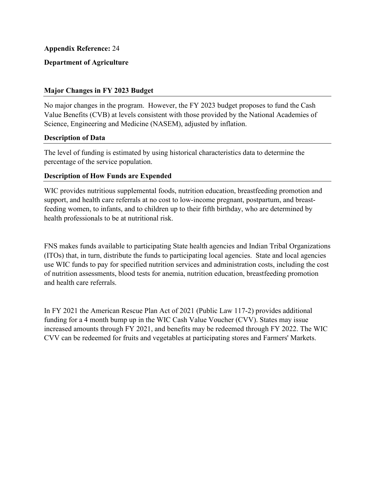# **Department of Agriculture**

## **Major Changes in FY 2023 Budget**

No major changes in the program. However, the FY 2023 budget proposes to fund the Cash Value Benefits (CVB) at levels consistent with those provided by the National Academies of Science, Engineering and Medicine (NASEM), adjusted by inflation.

## **Description of Data**

The level of funding is estimated by using historical characteristics data to determine the percentage of the service population.

## **Description of How Funds are Expended**

WIC provides nutritious supplemental foods, nutrition education, breastfeeding promotion and support, and health care referrals at no cost to low-income pregnant, postpartum, and breastfeeding women, to infants, and to children up to their fifth birthday, who are determined by health professionals to be at nutritional risk.

 (ITOs) that, in turn, distribute the funds to participating local agencies. State and local agencies FNS makes funds available to participating State health agencies and Indian Tribal Organizations use WIC funds to pay for specified nutrition services and administration costs, including the cost of nutrition assessments, blood tests for anemia, nutrition education, breastfeeding promotion and health care referrals.

 increased amounts through FY 2021, and benefits may be redeemed through FY 2022. The WIC In FY 2021 the American Rescue Plan Act of 2021 (Public Law 117-2) provides additional funding for a 4 month bump up in the WIC Cash Value Voucher (CVV). States may issue CVV can be redeemed for fruits and vegetables at participating stores and Farmers' Markets.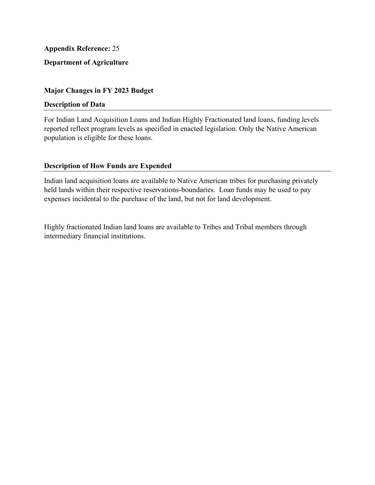# **Department of Agriculture**

## **Major Changes in FY 2023 Budget**

#### **Description of Data**

For Indian Land Acquisition Loans and Indian Highly Fractionated land loans, funding levels reported reflect program levels as specified in enacted legislation. Only the Native American population is eligible for these loans.

# **Description of How Funds are Expended**

Indian land acquisition loans are available to Native American tribes for purchasing privately held lands within their respective reservations-boundaries. Loan funds may be used to pay expenses incidental to the purchase of the land, but not for land development.

Highly fractionated Indian land loans are available to Tribes and Tribal members through intermediary financial institutions.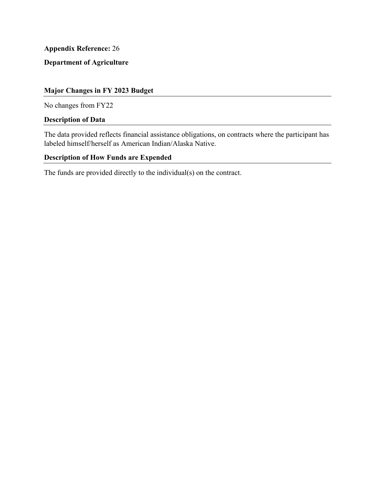# **Department of Agriculture**

# **Major Changes in FY 2023 Budget**

No changes from FY22

# **Description of Data**

The data provided reflects financial assistance obligations, on contracts where the participant has labeled himself/herself as American Indian/Alaska Native.

# **Description of How Funds are Expended**

The funds are provided directly to the individual(s) on the contract.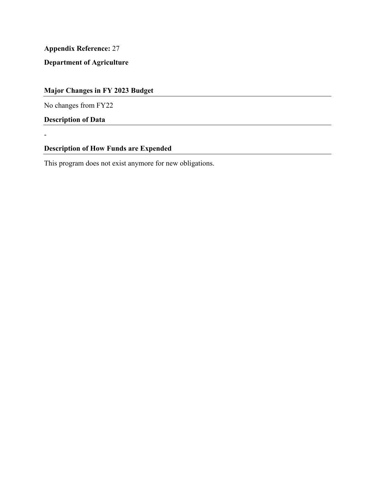**Department of Agriculture** 

# **Major Changes in FY 2023 Budget**

No changes from FY22

**Description of Data** 

-

# **Description of How Funds are Expended**

This program does not exist anymore for new obligations.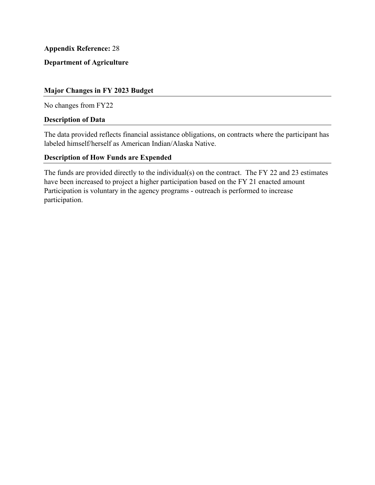**Department of Agriculture** 

## **Major Changes in FY 2023 Budget**

No changes from FY22

#### **Description of Data**

The data provided reflects financial assistance obligations, on contracts where the participant has labeled himself/herself as American Indian/Alaska Native.

## **Description of How Funds are Expended**

have been increased to project a higher participation based on the FY 21 enacted amount The funds are provided directly to the individual(s) on the contract. The FY 22 and 23 estimates Participation is voluntary in the agency programs - outreach is performed to increase participation.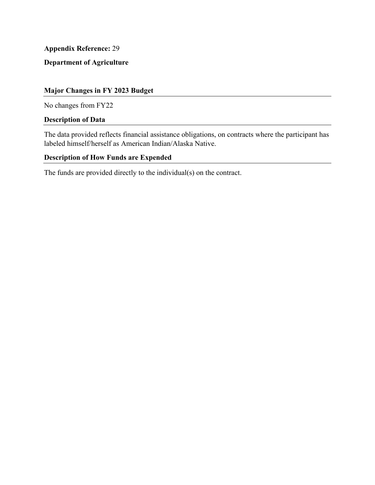**Department of Agriculture** 

# **Major Changes in FY 2023 Budget**

No changes from FY22

# **Description of Data**

The data provided reflects financial assistance obligations, on contracts where the participant has labeled himself/herself as American Indian/Alaska Native.

## **Description of How Funds are Expended**

The funds are provided directly to the individual(s) on the contract.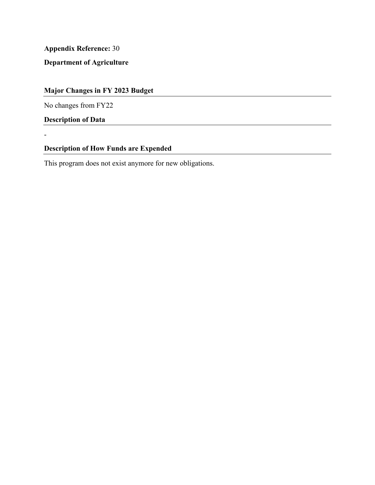**Department of Agriculture** 

# **Major Changes in FY 2023 Budget**

No changes from FY22

**Description of Data** 

-

## **Description of How Funds are Expended**

This program does not exist anymore for new obligations.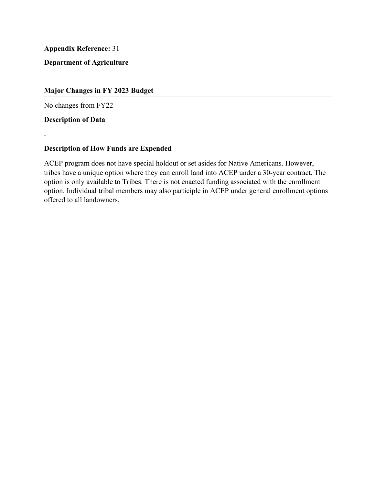**Department of Agriculture** 

## **Major Changes in FY 2023 Budget**

No changes from FY22

**Description of Data** 

-

# **Description of How Funds are Expended**

ACEP program does not have special holdout or set asides for Native Americans. However, tribes have a unique option where they can enroll land into ACEP under a 30-year contract. The option is only available to Tribes. There is not enacted funding associated with the enrollment option. Individual tribal members may also participle in ACEP under general enrollment options offered to all landowners.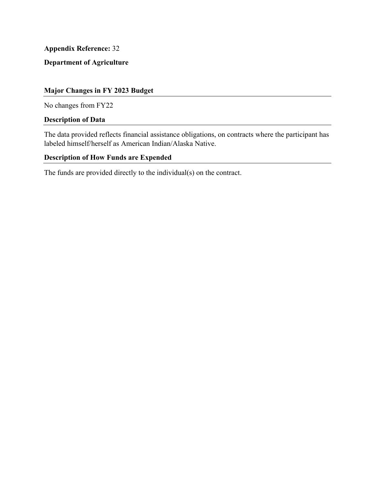# **Department of Agriculture**

# **Major Changes in FY 2023 Budget**

No changes from FY22

# **Description of Data**

The data provided reflects financial assistance obligations, on contracts where the participant has labeled himself/herself as American Indian/Alaska Native.

## **Description of How Funds are Expended**

The funds are provided directly to the individual(s) on the contract.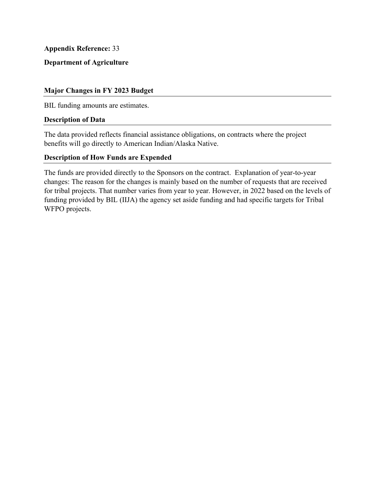## **Department of Agriculture**

### **Major Changes in FY 2023 Budget**

BIL funding amounts are estimates.

### **Description of Data**

The data provided reflects financial assistance obligations, on contracts where the project benefits will go directly to American Indian/Alaska Native.

### **Description of How Funds are Expended**

The funds are provided directly to the Sponsors on the contract. Explanation of year-to-year changes: The reason for the changes is mainly based on the number of requests that are received for tribal projects. That number varies from year to year. However, in 2022 based on the levels of funding provided by BIL (IIJA) the agency set aside funding and had specific targets for Tribal WFPO projects.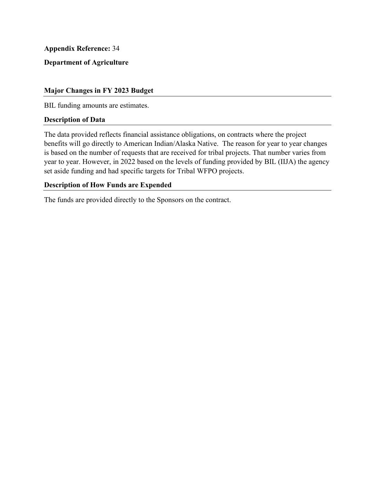## **Department of Agriculture**

### **Major Changes in FY 2023 Budget**

BIL funding amounts are estimates.

### **Description of Data**

 is based on the number of requests that are received for tribal projects. That number varies from The data provided reflects financial assistance obligations, on contracts where the project benefits will go directly to American Indian/Alaska Native. The reason for year to year changes year to year. However, in 2022 based on the levels of funding provided by BIL (IIJA) the agency set aside funding and had specific targets for Tribal WFPO projects.

### **Description of How Funds are Expended**

The funds are provided directly to the Sponsors on the contract.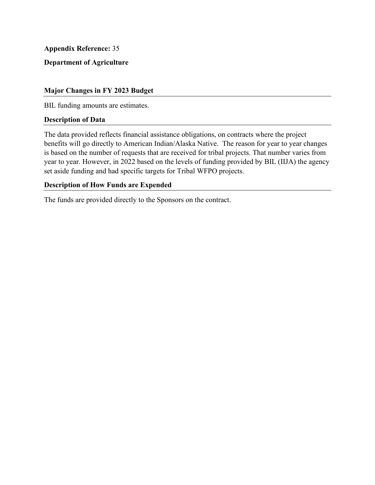## **Department of Agriculture**

### **Major Changes in FY 2023 Budget**

BIL funding amounts are estimates.

### **Description of Data**

 benefits will go directly to American Indian/Alaska Native. The reason for year to year changes is based on the number of requests that are received for tribal projects. That number varies from The data provided reflects financial assistance obligations, on contracts where the project year to year. However, in 2022 based on the levels of funding provided by BIL (IIJA) the agency set aside funding and had specific targets for Tribal WFPO projects.

### **Description of How Funds are Expended**

The funds are provided directly to the Sponsors on the contract.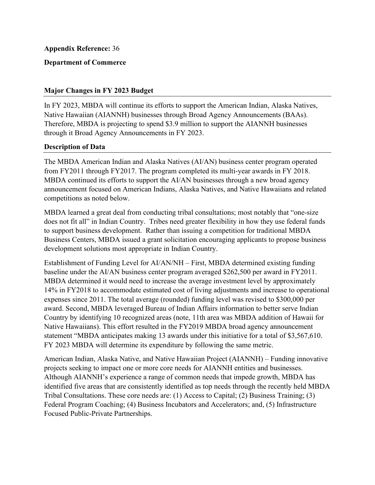## **Department of Commerce**

### **Major Changes in FY 2023 Budget**

In FY 2023, MBDA will continue its efforts to support the American Indian, Alaska Natives, Native Hawaiian (AIANNH) businesses through Broad Agency Announcements (BAAs). Therefore, MBDA is projecting to spend \$3.9 million to support the AIANNH businesses through it Broad Agency Announcements in FY 2023.

### **Description of Data**

 The MBDA American Indian and Alaska Natives (AI/AN) business center program operated announcement focused on American Indians, Alaska Natives, and Native Hawaiians and related from FY2011 through FY2017. The program completed its multi-year awards in FY 2018. MBDA continued its efforts to support the AI/AN businesses through a new broad agency competitions as noted below.

 does not fit all" in Indian Country. Tribes need greater flexibility in how they use federal funds MBDA learned a great deal from conducting tribal consultations; most notably that "one-size to support business development. Rather than issuing a competition for traditional MBDA Business Centers, MBDA issued a grant solicitation encouraging applicants to propose business development solutions most appropriate in Indian Country.

Establishment of Funding Level for AI/AN/NH – First, MBDA determined existing funding baseline under the AI/AN business center program averaged \$262,500 per award in FY2011. MBDA determined it would need to increase the average investment level by approximately 14% in FY2018 to accommodate estimated cost of living adjustments and increase to operational expenses since 2011. The total average (rounded) funding level was revised to \$300,000 per award. Second, MBDA leveraged Bureau of Indian Affairs information to better serve Indian Country by identifying 10 recognized areas (note, 11th area was MBDA addition of Hawaii for Native Hawaiians). This effort resulted in the FY2019 MBDA broad agency announcement statement "MBDA anticipates making 13 awards under this initiative for a total of \$3,567,610. FY 2023 MBDA will determine its expenditure by following the same metric.

American Indian, Alaska Native, and Native Hawaiian Project (AIANNH) – Funding innovative projects seeking to impact one or more core needs for AIANNH entities and businesses. Although AIANNH's experience a range of common needs that impede growth, MBDA has identified five areas that are consistently identified as top needs through the recently held MBDA Tribal Consultations. These core needs are: (1) Access to Capital; (2) Business Training; (3) Federal Program Coaching; (4) Business Incubators and Accelerators; and, (5) Infrastructure Focused Public-Private Partnerships.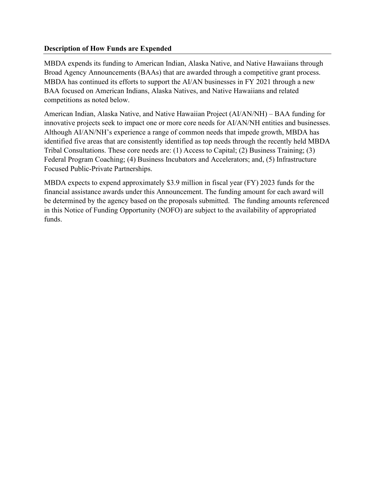## **Description of How Funds are Expended**

MBDA expends its funding to American Indian, Alaska Native, and Native Hawaiians through Broad Agency Announcements (BAAs) that are awarded through a competitive grant process. MBDA has continued its efforts to support the AI/AN businesses in FY 2021 through a new BAA focused on American Indians, Alaska Natives, and Native Hawaiians and related competitions as noted below.

American Indian, Alaska Native, and Native Hawaiian Project (AI/AN/NH) – BAA funding for innovative projects seek to impact one or more core needs for AI/AN/NH entities and businesses. Although AI/AN/NH's experience a range of common needs that impede growth, MBDA has identified five areas that are consistently identified as top needs through the recently held MBDA Tribal Consultations. These core needs are: (1) Access to Capital; (2) Business Training; (3) Federal Program Coaching; (4) Business Incubators and Accelerators; and, (5) Infrastructure Focused Public-Private Partnerships.

MBDA expects to expend approximately \$3.9 million in fiscal year (FY) 2023 funds for the financial assistance awards under this Announcement. The funding amount for each award will be determined by the agency based on the proposals submitted. The funding amounts referenced in this Notice of Funding Opportunity (NOFO) are subject to the availability of appropriated funds.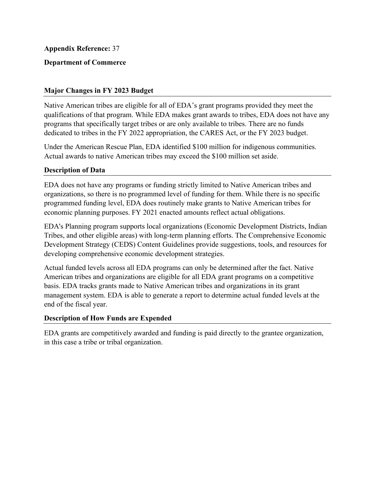## **Department of Commerce**

### **Major Changes in FY 2023 Budget**

Native American tribes are eligible for all of EDA's grant programs provided they meet the qualifications of that program. While EDA makes grant awards to tribes, EDA does not have any programs that specifically target tribes or are only available to tribes. There are no funds dedicated to tribes in the FY 2022 appropriation, the CARES Act, or the FY 2023 budget.

Under the American Rescue Plan, EDA identified \$100 million for indigenous communities. Actual awards to native American tribes may exceed the \$100 million set aside.

### **Description of Data**

 programmed funding level, EDA does routinely make grants to Native American tribes for EDA does not have any programs or funding strictly limited to Native American tribes and organizations, so there is no programmed level of funding for them. While there is no specific economic planning purposes. FY 2021 enacted amounts reflect actual obligations.

EDA's Planning program supports local organizations (Economic Development Districts, Indian Tribes, and other eligible areas) with long-term planning efforts. The Comprehensive Economic Development Strategy (CEDS) Content Guidelines provide suggestions, tools, and resources for developing comprehensive economic development strategies.

 American tribes and organizations are eligible for all EDA grant programs on a competitive Actual funded levels across all EDA programs can only be determined after the fact. Native basis. EDA tracks grants made to Native American tribes and organizations in its grant management system. EDA is able to generate a report to determine actual funded levels at the end of the fiscal year.

### **Description of How Funds are Expended**

EDA grants are competitively awarded and funding is paid directly to the grantee organization, in this case a tribe or tribal organization.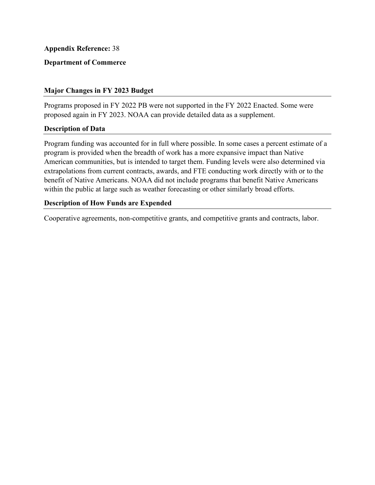## **Department of Commerce**

### **Major Changes in FY 2023 Budget**

Programs proposed in FY 2022 PB were not supported in the FY 2022 Enacted. Some were proposed again in FY 2023. NOAA can provide detailed data as a supplement.

### **Description of Data**

 Program funding was accounted for in full where possible. In some cases a percent estimate of a program is provided when the breadth of work has a more expansive impact than Native American communities, but is intended to target them. Funding levels were also determined via extrapolations from current contracts, awards, and FTE conducting work directly with or to the benefit of Native Americans. NOAA did not include programs that benefit Native Americans within the public at large such as weather forecasting or other similarly broad efforts.

### **Description of How Funds are Expended**

Cooperative agreements, non-competitive grants, and competitive grants and contracts, labor.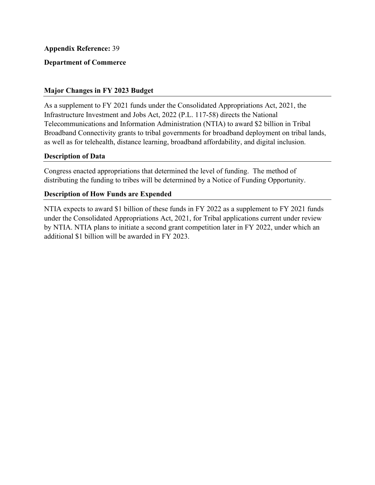## **Department of Commerce**

### **Major Changes in FY 2023 Budget**

 Infrastructure Investment and Jobs Act, 2022 (P.L. 117-58) directs the National As a supplement to FY 2021 funds under the Consolidated Appropriations Act, 2021, the Telecommunications and Information Administration (NTIA) to award \$2 billion in Tribal Broadband Connectivity grants to tribal governments for broadband deployment on tribal lands, as well as for telehealth, distance learning, broadband affordability, and digital inclusion.

### **Description of Data**

 Congress enacted appropriations that determined the level of funding. The method of distributing the funding to tribes will be determined by a Notice of Funding Opportunity.

## **Description of How Funds are Expended**

NTIA expects to award \$1 billion of these funds in FY 2022 as a supplement to FY 2021 funds under the Consolidated Appropriations Act, 2021, for Tribal applications current under review by NTIA. NTIA plans to initiate a second grant competition later in FY 2022, under which an additional \$1 billion will be awarded in FY 2023.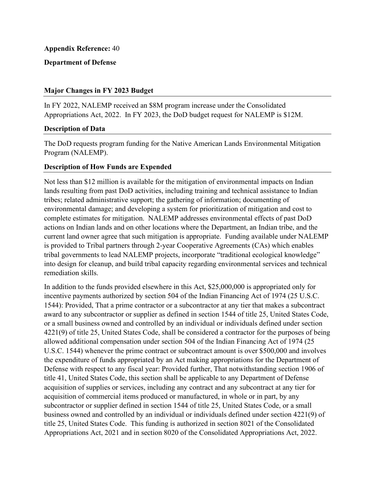## **Department of Defense**

### **Major Changes in FY 2023 Budget**

 Appropriations Act, 2022. In FY 2023, the DoD budget request for NALEMP is \$12M. In FY 2022, NALEMP received an \$8M program increase under the Consolidated

## **Description of Data**

The DoD requests program funding for the Native American Lands Environmental Mitigation Program (NALEMP).

## **Description of How Funds are Expended**

 Not less than \$12 million is available for the mitigation of environmental impacts on Indian current land owner agree that such mitigation is appropriate. Funding available under NALEMP lands resulting from past DoD activities, including training and technical assistance to Indian tribes; related administrative support; the gathering of information; documenting of environmental damage; and developing a system for prioritization of mitigation and cost to complete estimates for mitigation. NALEMP addresses environmental effects of past DoD actions on Indian lands and on other locations where the Department, an Indian tribe, and the is provided to Tribal partners through 2-year Cooperative Agreements (CAs) which enables tribal governments to lead NALEMP projects, incorporate "traditional ecological knowledge" into design for cleanup, and build tribal capacity regarding environmental services and technical remediation skills.

 acquisition of supplies or services, including any contract and any subcontract at any tier for In addition to the funds provided elsewhere in this Act, \$25,000,000 is appropriated only for incentive payments authorized by section 504 of the Indian Financing Act of 1974 (25 U.S.C. 1544): Provided, That a prime contractor or a subcontractor at any tier that makes a subcontract award to any subcontractor or supplier as defined in section 1544 of title 25, United States Code, or a small business owned and controlled by an individual or individuals defined under section 4221(9) of title 25, United States Code, shall be considered a contractor for the purposes of being allowed additional compensation under section 504 of the Indian Financing Act of 1974 (25 U.S.C. 1544) whenever the prime contract or subcontract amount is over \$500,000 and involves the expenditure of funds appropriated by an Act making appropriations for the Department of Defense with respect to any fiscal year: Provided further, That notwithstanding section 1906 of title 41, United States Code, this section shall be applicable to any Department of Defense acquisition of commercial items produced or manufactured, in whole or in part, by any subcontractor or supplier defined in section 1544 of title 25, United States Code, or a small business owned and controlled by an individual or individuals defined under section 4221(9) of title 25, United States Code. This funding is authorized in section 8021 of the Consolidated Appropriations Act, 2021 and in section 8020 of the Consolidated Appropriations Act, 2022.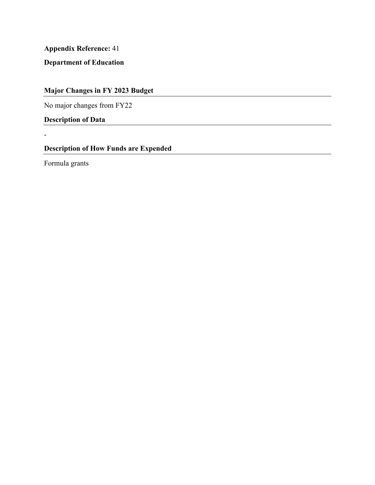**Department of Education** 

**Major Changes in FY 2023 Budget** 

No major changes from FY22

**Description of Data** 

**Description of How Funds are Expended** 

Formula grants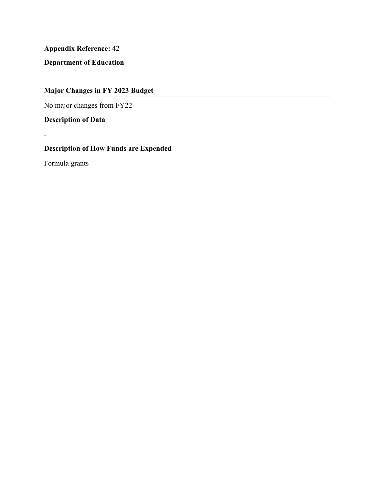**Department of Education** 

**Major Changes in FY 2023 Budget** 

No major changes from FY22

**Description of Data** 

**Description of How Funds are Expended** 

Formula grants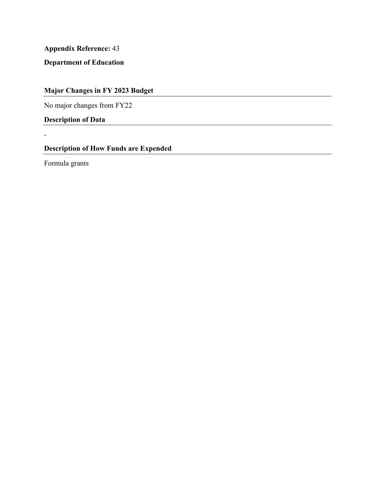**Department of Education** 

**Major Changes in FY 2023 Budget** 

No major changes from FY22

**Description of Data** 

**Description of How Funds are Expended** 

Formula grants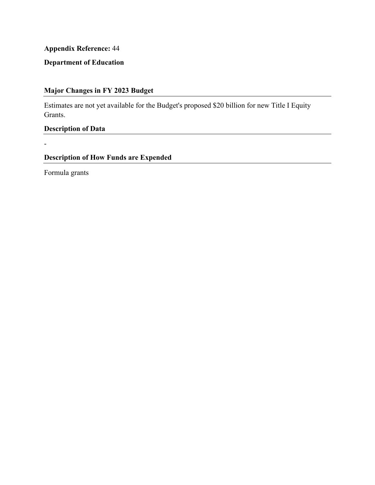# **Department of Education**

# **Major Changes in FY 2023 Budget**

Estimates are not yet available for the Budget's proposed \$20 billion for new Title I Equity Grants.

**Description of Data** 

**Description of How Funds are Expended** 

Formula grants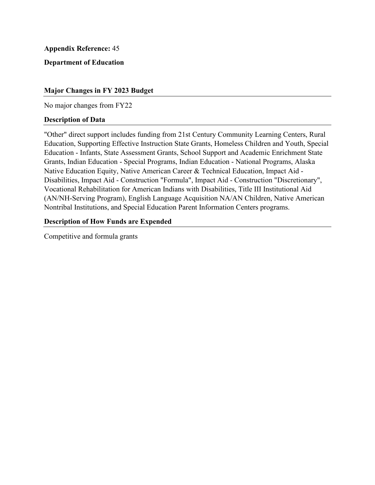## **Department of Education**

### **Major Changes in FY 2023 Budget**

No major changes from FY22

### **Description of Data**

 Vocational Rehabilitation for American Indians with Disabilities, Title III Institutional Aid "Other" direct support includes funding from 21st Century Community Learning Centers, Rural Education, Supporting Effective Instruction State Grants, Homeless Children and Youth, Special Education - Infants, State Assessment Grants, School Support and Academic Enrichment State Grants, Indian Education - Special Programs, Indian Education - National Programs, Alaska Native Education Equity, Native American Career & Technical Education, Impact Aid - Disabilities, Impact Aid - Construction "Formula", Impact Aid - Construction "Discretionary", (AN/NH-Serving Program), English Language Acquisition NA/AN Children, Native American Nontribal Institutions, and Special Education Parent Information Centers programs.

### **Description of How Funds are Expended**

Competitive and formula grants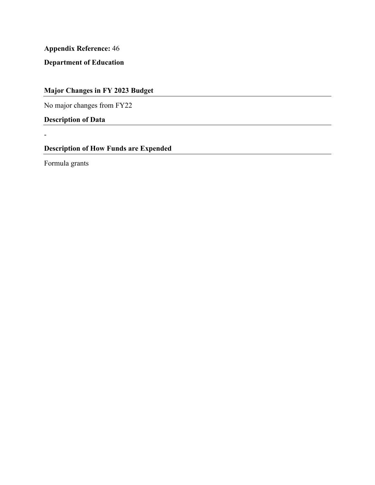**Department of Education** 

**Major Changes in FY 2023 Budget** 

No major changes from FY22

**Description of Data** 

**Description of How Funds are Expended** 

Formula grants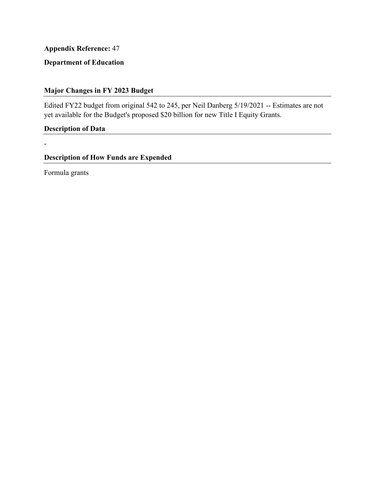# **Department of Education**

# **Major Changes in FY 2023 Budget**

Edited FY22 budget from original 542 to 245, per Neil Danberg 5/19/2021 -- Estimates are not yet available for the Budget's proposed \$20 billion for new Title I Equity Grants.

**Description of Data** 

**Description of How Funds are Expended** 

Formula grants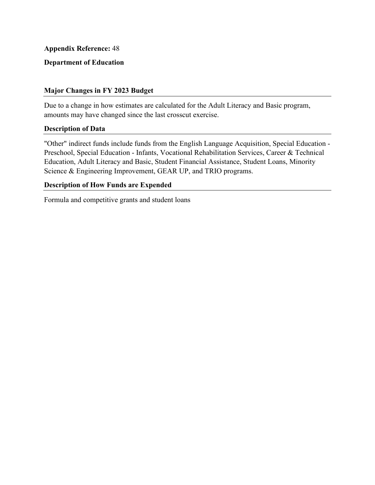## **Department of Education**

### **Major Changes in FY 2023 Budget**

 Due to a change in how estimates are calculated for the Adult Literacy and Basic program, amounts may have changed since the last crosscut exercise.

### **Description of Data**

"Other" indirect funds include funds from the English Language Acquisition, Special Education - Preschool, Special Education - Infants, Vocational Rehabilitation Services, Career & Technical Education, Adult Literacy and Basic, Student Financial Assistance, Student Loans, Minority Science & Engineering Improvement, GEAR UP, and TRIO programs.

### **Description of How Funds are Expended**

Formula and competitive grants and student loans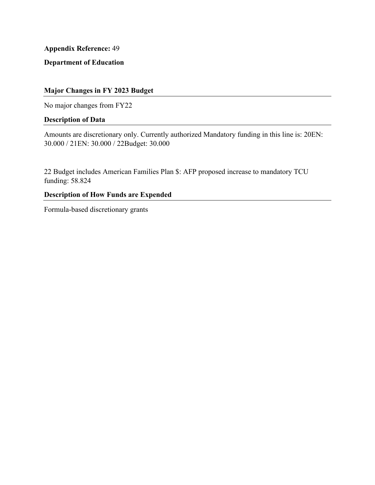**Department of Education** 

# **Major Changes in FY 2023 Budget**

No major changes from FY22

## **Description of Data**

Amounts are discretionary only. Currently authorized Mandatory funding in this line is: 20EN: 30.000 / 21EN: 30.000 / 22Budget: 30.000

22 Budget includes American Families Plan \$: AFP proposed increase to mandatory TCU funding: 58.824

# **Description of How Funds are Expended**

Formula-based discretionary grants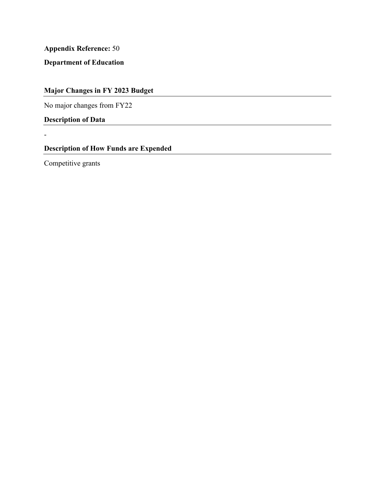**Department of Education** 

**Major Changes in FY 2023 Budget** 

No major changes from FY22

**Description of Data** 

**Description of How Funds are Expended** 

Competitive grants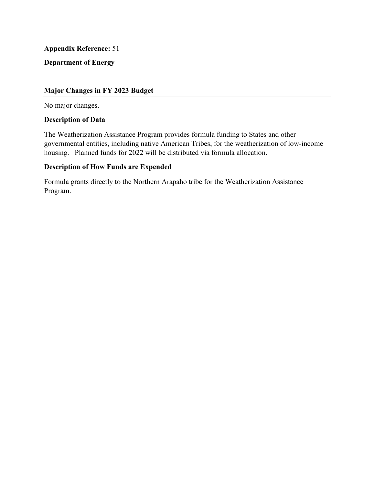# **Department of Energy**

### **Major Changes in FY 2023 Budget**

No major changes.

### **Description of Data**

The Weatherization Assistance Program provides formula funding to States and other governmental entities, including native American Tribes, for the weatherization of low-income housing. Planned funds for 2022 will be distributed via formula allocation.

# **Description of How Funds are Expended**

Formula grants directly to the Northern Arapaho tribe for the Weatherization Assistance Program.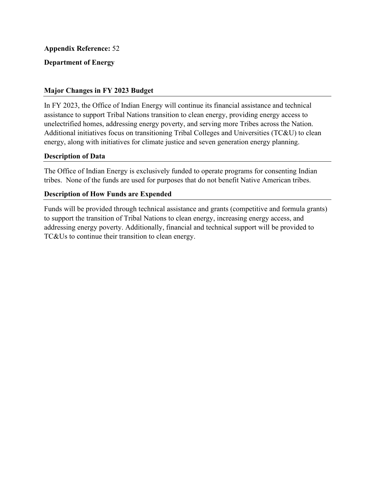# **Department of Energy**

## **Major Changes in FY 2023 Budget**

In FY 2023, the Office of Indian Energy will continue its financial assistance and technical assistance to support Tribal Nations transition to clean energy, providing energy access to unelectrified homes, addressing energy poverty, and serving more Tribes across the Nation. Additional initiatives focus on transitioning Tribal Colleges and Universities (TC&U) to clean energy, along with initiatives for climate justice and seven generation energy planning.

## **Description of Data**

The Office of Indian Energy is exclusively funded to operate programs for consenting Indian tribes. None of the funds are used for purposes that do not benefit Native American tribes.

## **Description of How Funds are Expended**

Funds will be provided through technical assistance and grants (competitive and formula grants) to support the transition of Tribal Nations to clean energy, increasing energy access, and addressing energy poverty. Additionally, financial and technical support will be provided to TC&Us to continue their transition to clean energy.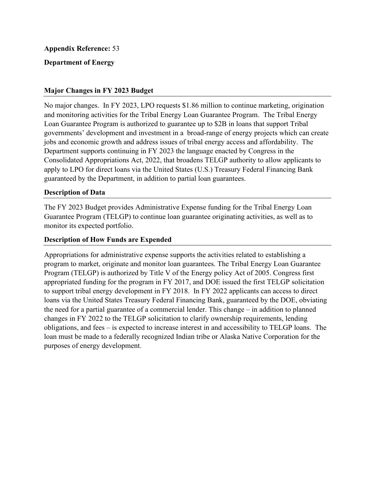## **Department of Energy**

### **Major Changes in FY 2023 Budget**

No major changes. In FY 2023, LPO requests \$1.86 million to continue marketing, origination and monitoring activities for the Tribal Energy Loan Guarantee Program. The Tribal Energy Loan Guarantee Program is authorized to guarantee up to \$2B in loans that support Tribal governments' development and investment in a broad-range of energy projects which can create jobs and economic growth and address issues of tribal energy access and affordability. The Department supports continuing in FY 2023 the language enacted by Congress in the Consolidated Appropriations Act, 2022, that broadens TELGP authority to allow applicants to apply to LPO for direct loans via the United States (U.S.) Treasury Federal Financing Bank guaranteed by the Department, in addition to partial loan guarantees.

### **Description of Data**

The FY 2023 Budget provides Administrative Expense funding for the Tribal Energy Loan Guarantee Program (TELGP) to continue loan guarantee originating activities, as well as to monitor its expected portfolio.

### **Description of How Funds are Expended**

 loan must be made to a federally recognized Indian tribe or Alaska Native Corporation for the Appropriations for administrative expense supports the activities related to establishing a program to market, originate and monitor loan guarantees. The Tribal Energy Loan Guarantee Program (TELGP) is authorized by Title V of the Energy policy Act of 2005. Congress first appropriated funding for the program in FY 2017, and DOE issued the first TELGP solicitation to support tribal energy development in FY 2018. In FY 2022 applicants can access to direct loans via the United States Treasury Federal Financing Bank, guaranteed by the DOE, obviating the need for a partial guarantee of a commercial lender. This change – in addition to planned changes in FY 2022 to the TELGP solicitation to clarify ownership requirements, lending obligations, and fees – is expected to increase interest in and accessibility to TELGP loans. The purposes of energy development.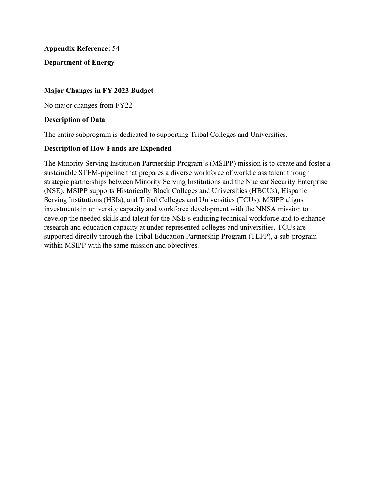## **Department of Energy**

## **Major Changes in FY 2023 Budget**

No major changes from FY22

### **Description of Data**

The entire subprogram is dedicated to supporting Tribal Colleges and Universities.

### **Description of How Funds are Expended**

 The Minority Serving Institution Partnership Program's (MSIPP) mission is to create and foster a sustainable STEM-pipeline that prepares a diverse workforce of world class talent through strategic partnerships between Minority Serving Institutions and the Nuclear Security Enterprise (NSE). MSIPP supports Historically Black Colleges and Universities (HBCUs), Hispanic Serving Institutions (HSIs), and Tribal Colleges and Universities (TCUs). MSIPP aligns investments in university capacity and workforce development with the NNSA mission to develop the needed skills and talent for the NSE's enduring technical workforce and to enhance research and education capacity at under-represented colleges and universities. TCUs are supported directly through the Tribal Education Partnership Program (TEPP), a sub-program within MSIPP with the same mission and objectives.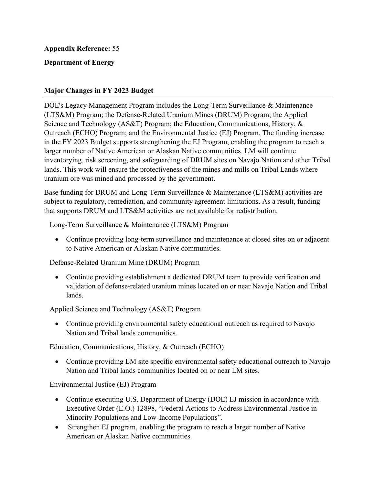# **Department of Energy**

## **Major Changes in FY 2023 Budget**

DOE's Legacy Management Program includes the Long-Term Surveillance & Maintenance (LTS&M) Program; the Defense-Related Uranium Mines (DRUM) Program; the Applied Science and Technology (AS&T) Program; the Education, Communications, History, & Outreach (ECHO) Program; and the Environmental Justice (EJ) Program. The funding increase in the FY 2023 Budget supports strengthening the EJ Program, enabling the program to reach a larger number of Native American or Alaskan Native communities. LM will continue inventorying, risk screening, and safeguarding of DRUM sites on Navajo Nation and other Tribal lands. This work will ensure the protectiveness of the mines and mills on Tribal Lands where uranium ore was mined and processed by the government.

Base funding for DRUM and Long-Term Surveillance & Maintenance (LTS&M) activities are subject to regulatory, remediation, and community agreement limitations. As a result, funding that supports DRUM and LTS&M activities are not available for redistribution.

Long-Term Surveillance & Maintenance (LTS&M) Program

to Native American or Alaskan Native communities. • Continue providing long-term surveillance and maintenance at closed sites on or adjacent

## Defense-Related Uranium Mine (DRUM) Program

• Continue providing establishment a dedicated DRUM team to provide verification and validation of defense-related uranium mines located on or near Navajo Nation and Tribal lands.

## Applied Science and Technology (AS&T) Program

• Continue providing environmental safety educational outreach as required to Navajo Nation and Tribal lands communities.

Education, Communications, History, & Outreach (ECHO)

• Continue providing LM site specific environmental safety educational outreach to Navajo Nation and Tribal lands communities located on or near LM sites.

Environmental Justice (EJ) Program

- Continue executing U.S. Department of Energy (DOE) EJ mission in accordance with Executive Order (E.O.) 12898, "Federal Actions to Address Environmental Justice in Minority Populations and Low-Income Populations".
- • Strengthen EJ program, enabling the program to reach a larger number of Native American or Alaskan Native communities.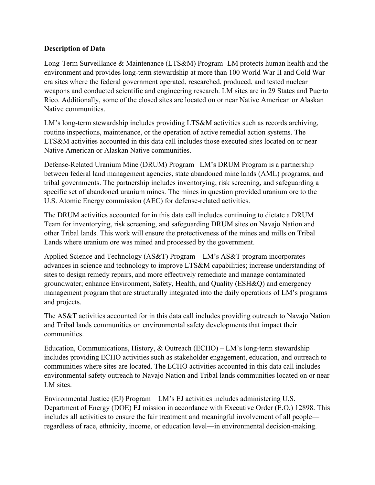## **Description of Data**

Long-Term Surveillance & Maintenance (LTS&M) Program -LM protects human health and the environment and provides long-term stewardship at more than 100 World War II and Cold War era sites where the federal government operated, researched, produced, and tested nuclear weapons and conducted scientific and engineering research. LM sites are in 29 States and Puerto Rico. Additionally, some of the closed sites are located on or near Native American or Alaskan Native communities.

LM's long-term stewardship includes providing LTS&M activities such as records archiving, routine inspections, maintenance, or the operation of active remedial action systems. The LTS&M activities accounted in this data call includes those executed sites located on or near Native American or Alaskan Native communities.

Defense-Related Uranium Mine (DRUM) Program –LM's DRUM Program is a partnership between federal land management agencies, state abandoned mine lands (AML) programs, and tribal governments. The partnership includes inventorying, risk screening, and safeguarding a specific set of abandoned uranium mines. The mines in question provided uranium ore to the U.S. Atomic Energy commission (AEC) for defense-related activities.

The DRUM activities accounted for in this data call includes continuing to dictate a DRUM Team for inventorying, risk screening, and safeguarding DRUM sites on Navajo Nation and other Tribal lands. This work will ensure the protectiveness of the mines and mills on Tribal Lands where uranium ore was mined and processed by the government.

Applied Science and Technology (AS&T) Program – LM's AS&T program incorporates advances in science and technology to improve LTS&M capabilities; increase understanding of sites to design remedy repairs, and more effectively remediate and manage contaminated groundwater; enhance Environment, Safety, Health, and Quality (ESH&Q) and emergency management program that are structurally integrated into the daily operations of LM's programs and projects.

The AS&T activities accounted for in this data call includes providing outreach to Navajo Nation and Tribal lands communities on environmental safety developments that impact their communities.

Education, Communications, History, & Outreach (ECHO) – LM's long-term stewardship includes providing ECHO activities such as stakeholder engagement, education, and outreach to communities where sites are located. The ECHO activities accounted in this data call includes environmental safety outreach to Navajo Nation and Tribal lands communities located on or near LM sites.

Environmental Justice (EJ) Program – LM's EJ activities includes administering U.S. Department of Energy (DOE) EJ mission in accordance with Executive Order (E.O.) 12898. This includes all activities to ensure the fair treatment and meaningful involvement of all people regardless of race, ethnicity, income, or education level—in environmental decision-making.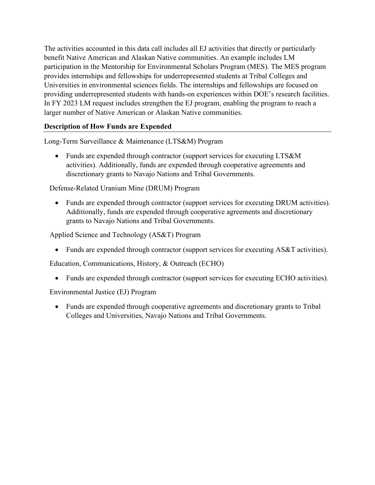providing underrepresented students with hands-on experiences within DOE's research facilities. The activities accounted in this data call includes all EJ activities that directly or particularly benefit Native American and Alaskan Native communities. An example includes LM participation in the Mentorship for Environmental Scholars Program (MES). The MES program provides internships and fellowships for underrepresented students at Tribal Colleges and Universities in environmental sciences fields. The internships and fellowships are focused on In FY 2023 LM request includes strengthen the EJ program, enabling the program to reach a larger number of Native American or Alaskan Native communities.

# **Description of How Funds are Expended**

Long-Term Surveillance & Maintenance (LTS&M) Program

• Funds are expended through contractor (support services for executing LTS&M) activities). Additionally, funds are expended through cooperative agreements and discretionary grants to Navajo Nations and Tribal Governments.

Defense-Related Uranium Mine (DRUM) Program

• Funds are expended through contractor (support services for executing DRUM activities). Additionally, funds are expended through cooperative agreements and discretionary grants to Navajo Nations and Tribal Governments.

Applied Science and Technology (AS&T) Program

• Funds are expended through contractor (support services for executing AS&T activities).

Education, Communications, History, & Outreach (ECHO)

• Funds are expended through contractor (support services for executing ECHO activities).

Environmental Justice (EJ) Program

• Funds are expended through cooperative agreements and discretionary grants to Tribal Colleges and Universities, Navajo Nations and Tribal Governments.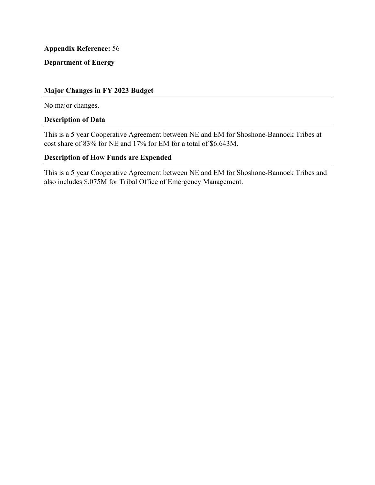# **Department of Energy**

### **Major Changes in FY 2023 Budget**

No major changes.

## **Description of Data**

This is a 5 year Cooperative Agreement between NE and EM for Shoshone-Bannock Tribes at cost share of 83% for NE and 17% for EM for a total of \$6.643M.

### **Description of How Funds are Expended**

This is a 5 year Cooperative Agreement between NE and EM for Shoshone-Bannock Tribes and also includes \$.075M for Tribal Office of Emergency Management.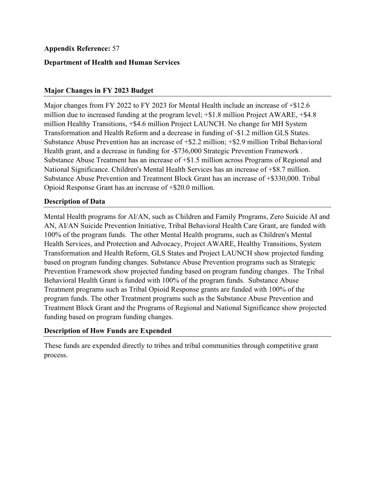## **Department of Health and Human Services**

### **Major Changes in FY 2023 Budget**

 Major changes from FY 2022 to FY 2023 for Mental Health include an increase of +\$12.6 million due to increased funding at the program level; +\$1.8 million Project AWARE, +\$4.8 million Healthy Transitions, +\$4.6 million Project LAUNCH. No change for MH System Transformation and Health Reform and a decrease in funding of -\$1.2 million GLS States. Substance Abuse Prevention has an increase of +\$2.2 million; +\$2.9 million Tribal Behavioral Health grant, and a decrease in funding for -\$736,000 Strategic Prevention Framework . Substance Abuse Treatment has an increase of +\$1.5 million across Programs of Regional and National Significance. Children's Mental Health Services has an increase of +\$8.7 million. Substance Abuse Prevention and Treatment Block Grant has an increase of +\$330,000. Tribal Opioid Response Grant has an increase of +\$20.0 million.

### **Description of Data**

 AN, AI/AN Suicide Prevention Initiative, Tribal Behavioral Health Care Grant, are funded with Mental Health programs for AI/AN, such as Children and Family Programs, Zero Suicide AI and 100% of the program funds. The other Mental Health programs, such as Children's Mental Health Services, and Protection and Advocacy, Project AWARE, Healthy Transitions, System Transformation and Health Reform, GLS States and Project LAUNCH show projected funding based on program funding changes. Substance Abuse Prevention programs such as Strategic Prevention Framework show projected funding based on program funding changes. The Tribal Behavioral Health Grant is funded with 100% of the program funds. Substance Abuse Treatment programs such as Tribal Opioid Response grants are funded with 100% of the program funds. The other Treatment programs such as the Substance Abuse Prevention and Treatment Block Grant and the Programs of Regional and National Significance show projected funding based on program funding changes.

### **Description of How Funds are Expended**

These funds are expended directly to tribes and tribal communities through competitive grant process.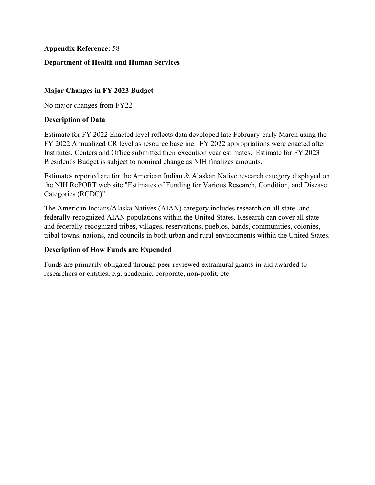## **Department of Health and Human Services**

## **Major Changes in FY 2023 Budget**

No major changes from FY22

### **Description of Data**

Estimate for FY 2022 Enacted level reflects data developed late February-early March using the FY 2022 Annualized CR level as resource baseline. FY 2022 appropriations were enacted after Institutes, Centers and Office submitted their execution year estimates. Estimate for FY 2023 President's Budget is subject to nominal change as NIH finalizes amounts.

 Estimates reported are for the American Indian & Alaskan Native research category displayed on the NIH RePORT web site "Estimates of Funding for Various Research, Condition, and Disease Categories (RCDC)".

The American Indians/Alaska Natives (AIAN) category includes research on all state- and federally-recognized AIAN populations within the United States. Research can cover all stateand federally-recognized tribes, villages, reservations, pueblos, bands, communities, colonies, tribal towns, nations, and councils in both urban and rural environments within the United States.

## **Description of How Funds are Expended**

Funds are primarily obligated through peer-reviewed extramural grants-in-aid awarded to researchers or entities, e.g. academic, corporate, non-profit, etc.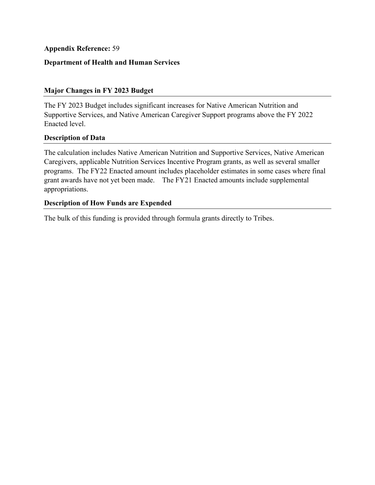## **Department of Health and Human Services**

## **Major Changes in FY 2023 Budget**

 Enacted level. The FY 2023 Budget includes significant increases for Native American Nutrition and Supportive Services, and Native American Caregiver Support programs above the FY 2022

### **Description of Data**

The calculation includes Native American Nutrition and Supportive Services, Native American Caregivers, applicable Nutrition Services Incentive Program grants, as well as several smaller programs. The FY22 Enacted amount includes placeholder estimates in some cases where final grant awards have not yet been made. The FY21 Enacted amounts include supplemental appropriations.

### **Description of How Funds are Expended**

The bulk of this funding is provided through formula grants directly to Tribes.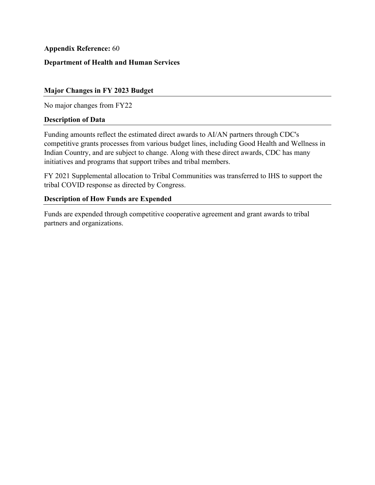## **Department of Health and Human Services**

### **Major Changes in FY 2023 Budget**

No major changes from FY22

### **Description of Data**

Funding amounts reflect the estimated direct awards to AI/AN partners through CDC's competitive grants processes from various budget lines, including Good Health and Wellness in Indian Country, and are subject to change. Along with these direct awards, CDC has many initiatives and programs that support tribes and tribal members.

FY 2021 Supplemental allocation to Tribal Communities was transferred to IHS to support the tribal COVID response as directed by Congress.

## **Description of How Funds are Expended**

Funds are expended through competitive cooperative agreement and grant awards to tribal partners and organizations.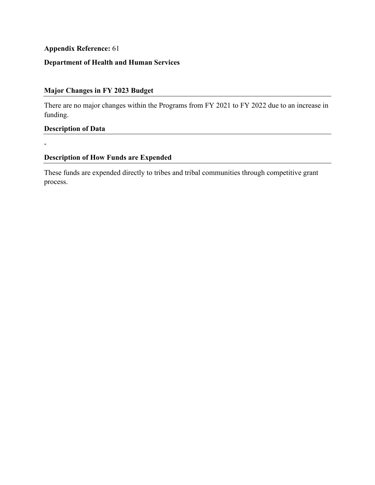# **Department of Health and Human Services**

# **Major Changes in FY 2023 Budget**

There are no major changes within the Programs from FY 2021 to FY 2022 due to an increase in funding.

## **Description of Data**

-

## **Description of How Funds are Expended**

These funds are expended directly to tribes and tribal communities through competitive grant process.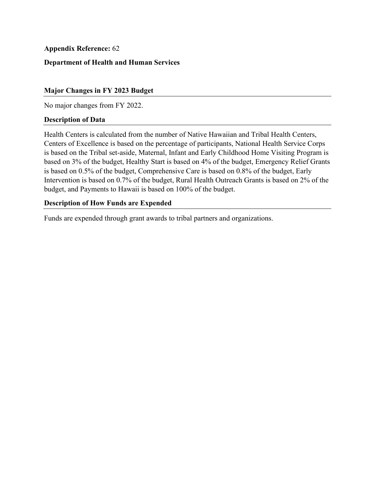## **Department of Health and Human Services**

### **Major Changes in FY 2023 Budget**

No major changes from FY 2022.

#### **Description of Data**

Health Centers is calculated from the number of Native Hawaiian and Tribal Health Centers, Centers of Excellence is based on the percentage of participants, National Health Service Corps is based on the Tribal set-aside, Maternal, Infant and Early Childhood Home Visiting Program is based on 3% of the budget, Healthy Start is based on 4% of the budget, Emergency Relief Grants is based on 0.5% of the budget, Comprehensive Care is based on 0.8% of the budget, Early Intervention is based on 0.7% of the budget, Rural Health Outreach Grants is based on 2% of the budget, and Payments to Hawaii is based on 100% of the budget.

### **Description of How Funds are Expended**

Funds are expended through grant awards to tribal partners and organizations.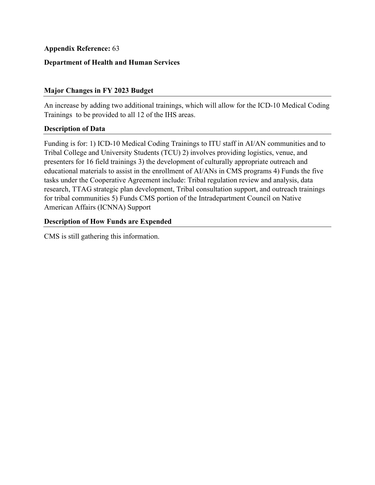## **Department of Health and Human Services**

## **Major Changes in FY 2023 Budget**

An increase by adding two additional trainings, which will allow for the ICD-10 Medical Coding Trainings to be provided to all 12 of the IHS areas.

### **Description of Data**

Funding is for: 1) ICD-10 Medical Coding Trainings to ITU staff in AI/AN communities and to Tribal College and University Students (TCU) 2) involves providing logistics, venue, and presenters for 16 field trainings 3) the development of culturally appropriate outreach and educational materials to assist in the enrollment of AI/ANs in CMS programs 4) Funds the five tasks under the Cooperative Agreement include: Tribal regulation review and analysis, data research, TTAG strategic plan development, Tribal consultation support, and outreach trainings for tribal communities 5) Funds CMS portion of the Intradepartment Council on Native American Affairs (ICNNA) Support

## **Description of How Funds are Expended**

CMS is still gathering this information.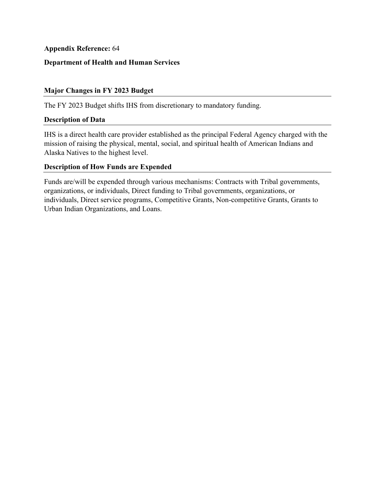## **Department of Health and Human Services**

## **Major Changes in FY 2023 Budget**

The FY 2023 Budget shifts IHS from discretionary to mandatory funding.

### **Description of Data**

IHS is a direct health care provider established as the principal Federal Agency charged with the mission of raising the physical, mental, social, and spiritual health of American Indians and Alaska Natives to the highest level.

## **Description of How Funds are Expended**

Funds are/will be expended through various mechanisms: Contracts with Tribal governments, organizations, or individuals, Direct funding to Tribal governments, organizations, or individuals, Direct service programs, Competitive Grants, Non-competitive Grants, Grants to Urban Indian Organizations, and Loans.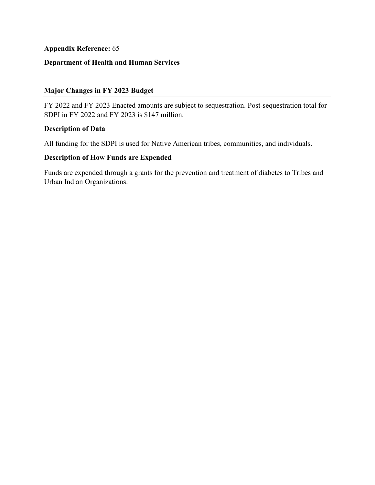# **Department of Health and Human Services**

### **Major Changes in FY 2023 Budget**

FY 2022 and FY 2023 Enacted amounts are subject to sequestration. Post-sequestration total for SDPI in FY 2022 and FY 2023 is \$147 million.

#### **Description of Data**

All funding for the SDPI is used for Native American tribes, communities, and individuals.

## **Description of How Funds are Expended**

Funds are expended through a grants for the prevention and treatment of diabetes to Tribes and Urban Indian Organizations.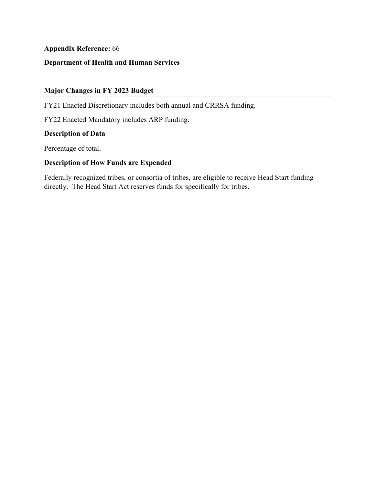# **Department of Health and Human Services**

# **Major Changes in FY 2023 Budget**

FY21 Enacted Discretionary includes both annual and CRRSA funding.

FY22 Enacted Mandatory includes ARP funding.

## **Description of Data**

Percentage of total.

## **Description of How Funds are Expended**

 directly. The Head Start Act reserves funds for specifically for tribes. Federally recognized tribes, or consortia of tribes, are eligible to receive Head Start funding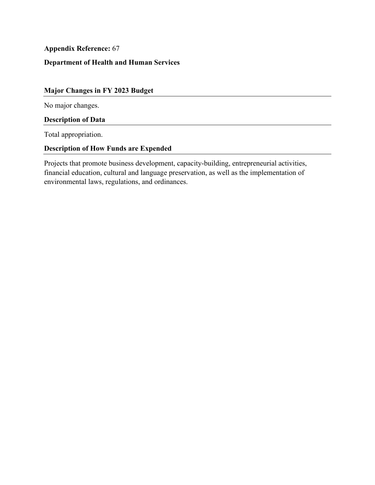## **Department of Health and Human Services**

# **Major Changes in FY 2023 Budget**

No major changes.

## **Description of Data**

Total appropriation.

## **Description of How Funds are Expended**

Projects that promote business development, capacity-building, entrepreneurial activities, financial education, cultural and language preservation, as well as the implementation of environmental laws, regulations, and ordinances.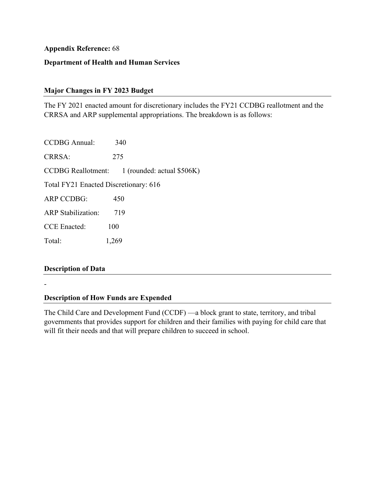## **Department of Health and Human Services**

## **Major Changes in FY 2023 Budget**

The FY 2021 enacted amount for discretionary includes the FY21 CCDBG reallotment and the CRRSA and ARP supplemental appropriations. The breakdown is as follows:

 CRRSA: 275 **CCDBG** Reallotment: CCDBG Annual: 340  $1$  (rounded: actual \$506K) Total FY21 Enacted Discretionary: 616 ARP CCDBG: 450 ARP Stabilization: 719 CCE Enacted: 100 Total: 1,269

### **Description of Data**

-

## **Description of How Funds are Expended**

The Child Care and Development Fund (CCDF) —a block grant to state, territory, and tribal governments that provides support for children and their families with paying for child care that will fit their needs and that will prepare children to succeed in school.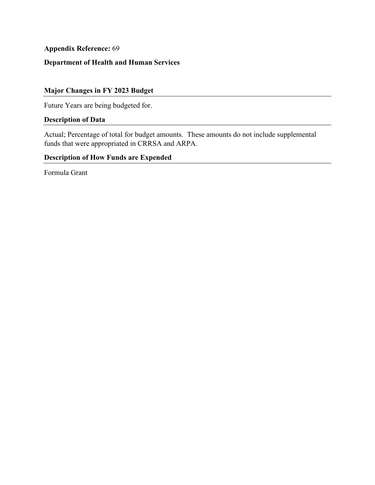# **Department of Health and Human Services**

# **Major Changes in FY 2023 Budget**

Future Years are being budgeted for.

# **Description of Data**

Actual; Percentage of total for budget amounts. These amounts do not include supplemental funds that were appropriated in CRRSA and ARPA.

# **Description of How Funds are Expended**

Formula Grant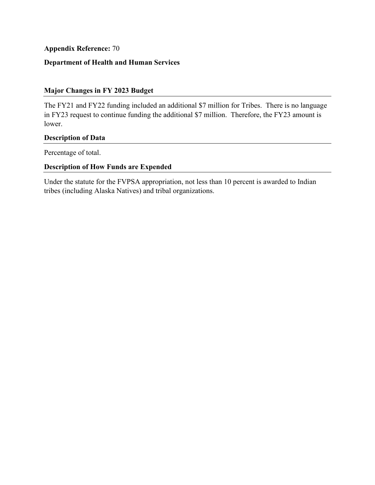# **Department of Health and Human Services**

## **Major Changes in FY 2023 Budget**

The FY21 and FY22 funding included an additional \$7 million for Tribes. There is no language in FY23 request to continue funding the additional \$7 million. Therefore, the FY23 amount is lower.

## **Description of Data**

Percentage of total.

## **Description of How Funds are Expended**

Under the statute for the FVPSA appropriation, not less than 10 percent is awarded to Indian tribes (including Alaska Natives) and tribal organizations.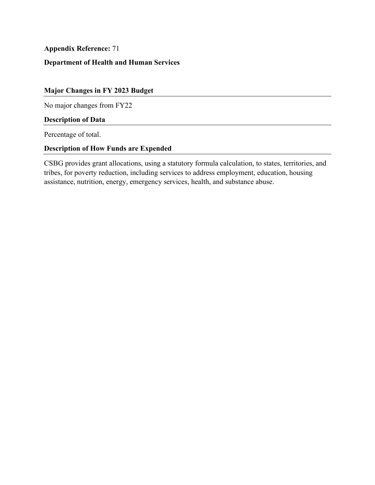# **Department of Health and Human Services**

# **Major Changes in FY 2023 Budget**

No major changes from FY22

## **Description of Data**

Percentage of total.

## **Description of How Funds are Expended**

CSBG provides grant allocations, using a statutory formula calculation, to states, territories, and tribes, for poverty reduction, including services to address employment, education, housing assistance, nutrition, energy, emergency services, health, and substance abuse.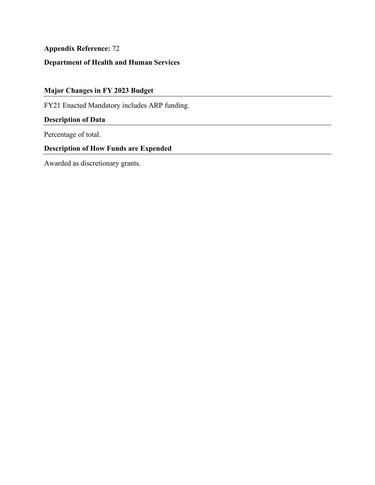# **Department of Health and Human Services**

# **Major Changes in FY 2023 Budget**

FY21 Enacted Mandatory includes ARP funding.

# **Description of Data**

Percentage of total.

## **Description of How Funds are Expended**

Awarded as discretionary grants.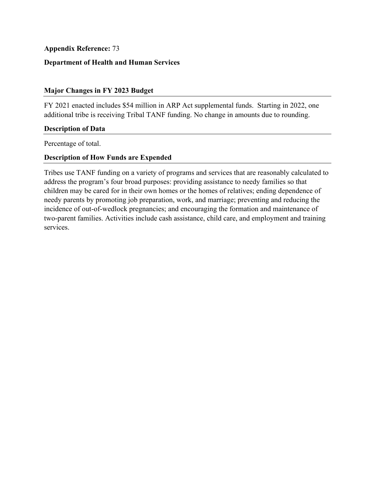## **Department of Health and Human Services**

### **Major Changes in FY 2023 Budget**

FY 2021 enacted includes \$54 million in ARP Act supplemental funds. Starting in 2022, one additional tribe is receiving Tribal TANF funding. No change in amounts due to rounding.

#### **Description of Data**

Percentage of total.

### **Description of How Funds are Expended**

Tribes use TANF funding on a variety of programs and services that are reasonably calculated to address the program's four broad purposes: providing assistance to needy families so that children may be cared for in their own homes or the homes of relatives; ending dependence of needy parents by promoting job preparation, work, and marriage; preventing and reducing the incidence of out-of-wedlock pregnancies; and encouraging the formation and maintenance of two-parent families. Activities include cash assistance, child care, and employment and training services.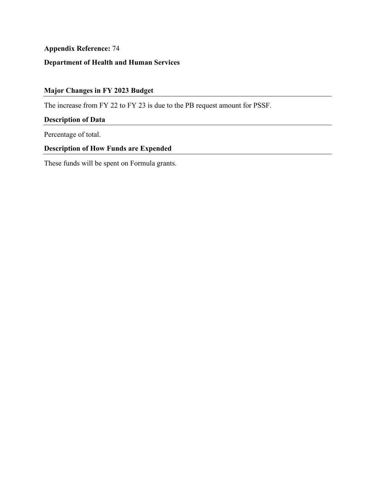# **Department of Health and Human Services**

# **Major Changes in FY 2023 Budget**

The increase from FY 22 to FY 23 is due to the PB request amount for PSSF.

## **Description of Data**

Percentage of total.

## **Description of How Funds are Expended**

These funds will be spent on Formula grants.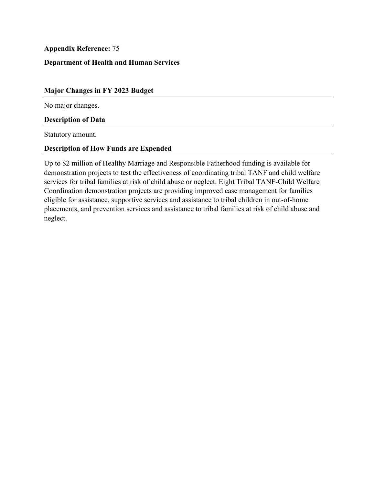## **Department of Health and Human Services**

#### **Major Changes in FY 2023 Budget**

No major changes.

#### **Description of Data**

Statutory amount.

### **Description of How Funds are Expended**

Up to \$2 million of Healthy Marriage and Responsible Fatherhood funding is available for demonstration projects to test the effectiveness of coordinating tribal TANF and child welfare services for tribal families at risk of child abuse or neglect. Eight Tribal TANF-Child Welfare Coordination demonstration projects are providing improved case management for families eligible for assistance, supportive services and assistance to tribal children in out-of-home placements, and prevention services and assistance to tribal families at risk of child abuse and neglect.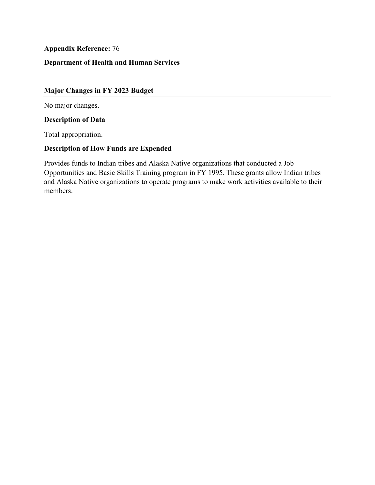# **Department of Health and Human Services**

# **Major Changes in FY 2023 Budget**

No major changes.

#### **Description of Data**

Total appropriation.

### **Description of How Funds are Expended**

 Provides funds to Indian tribes and Alaska Native organizations that conducted a Job Opportunities and Basic Skills Training program in FY 1995. These grants allow Indian tribes and Alaska Native organizations to operate programs to make work activities available to their members.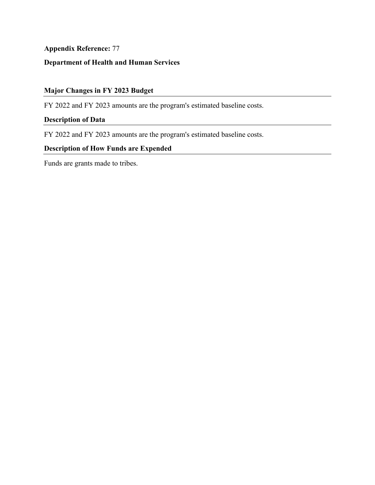# **Department of Health and Human Services**

# **Major Changes in FY 2023 Budget**

FY 2022 and FY 2023 amounts are the program's estimated baseline costs.

## **Description of Data**

FY 2022 and FY 2023 amounts are the program's estimated baseline costs.

## **Description of How Funds are Expended**

Funds are grants made to tribes.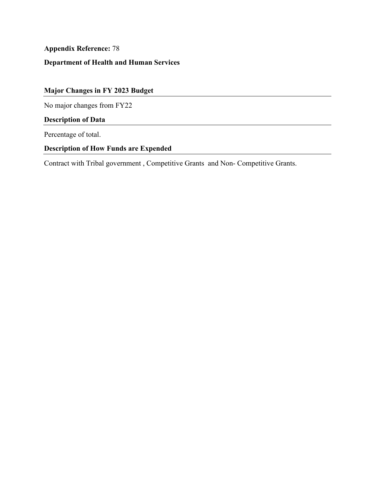# **Department of Health and Human Services**

# **Major Changes in FY 2023 Budget**

No major changes from FY22

# **Description of Data**

Percentage of total.

# **Description of How Funds are Expended**

Contract with Tribal government , Competitive Grants and Non- Competitive Grants.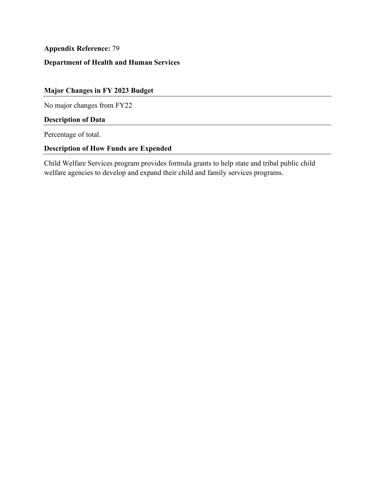# **Department of Health and Human Services**

# **Major Changes in FY 2023 Budget**

No major changes from FY22

## **Description of Data**

Percentage of total.

## **Description of How Funds are Expended**

Child Welfare Services program provides formula grants to help state and tribal public child welfare agencies to develop and expand their child and family services programs.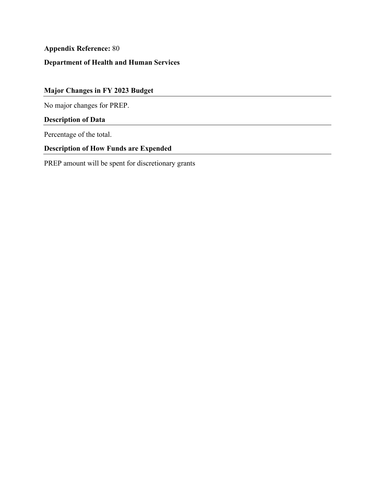# **Department of Health and Human Services**

# **Major Changes in FY 2023 Budget**

No major changes for PREP.

# **Description of Data**

Percentage of the total.

## **Description of How Funds are Expended**

PREP amount will be spent for discretionary grants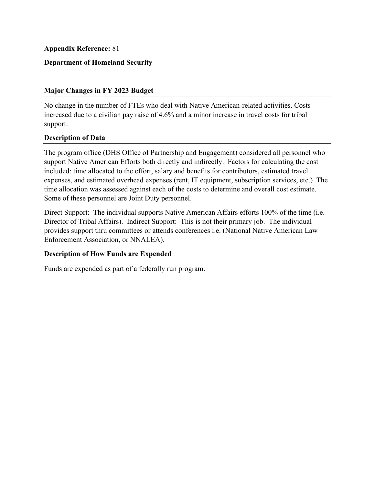## **Department of Homeland Security**

### **Major Changes in FY 2023 Budget**

No change in the number of FTEs who deal with Native American-related activities. Costs increased due to a civilian pay raise of 4.6% and a minor increase in travel costs for tribal support.

### **Description of Data**

The program office (DHS Office of Partnership and Engagement) considered all personnel who support Native American Efforts both directly and indirectly. Factors for calculating the cost included: time allocated to the effort, salary and benefits for contributors, estimated travel expenses, and estimated overhead expenses (rent, IT equipment, subscription services, etc.) The time allocation was assessed against each of the costs to determine and overall cost estimate. Some of these personnel are Joint Duty personnel.

 provides support thru committees or attends conferences i.e. (National Native American Law Direct Support: The individual supports Native American Affairs efforts 100% of the time (i.e. Director of Tribal Affairs). Indirect Support: This is not their primary job. The individual Enforcement Association, or NNALEA).

### **Description of How Funds are Expended**

Funds are expended as part of a federally run program.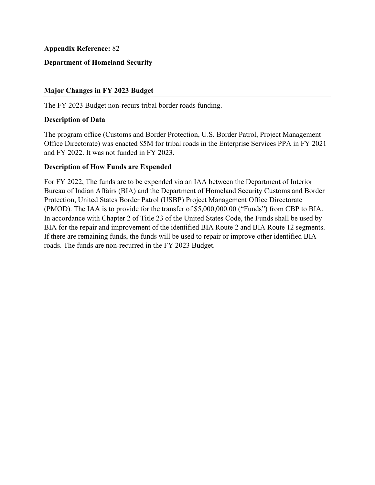## **Department of Homeland Security**

## **Major Changes in FY 2023 Budget**

The FY 2023 Budget non-recurs tribal border roads funding.

### **Description of Data**

 and FY 2022. It was not funded in FY 2023. The program office (Customs and Border Protection, U.S. Border Patrol, Project Management Office Directorate) was enacted \$5M for tribal roads in the Enterprise Services PPA in FY 2021

## **Description of How Funds are Expended**

 For FY 2022, The funds are to be expended via an IAA between the Department of Interior Bureau of Indian Affairs (BIA) and the Department of Homeland Security Customs and Border Protection, United States Border Patrol (USBP) Project Management Office Directorate (PMOD). The IAA is to provide for the transfer of \$5,000,000.00 ("Funds") from CBP to BIA. In accordance with Chapter 2 of Title 23 of the United States Code, the Funds shall be used by BIA for the repair and improvement of the identified BIA Route 2 and BIA Route 12 segments. If there are remaining funds, the funds will be used to repair or improve other identified BIA roads. The funds are non-recurred in the FY 2023 Budget.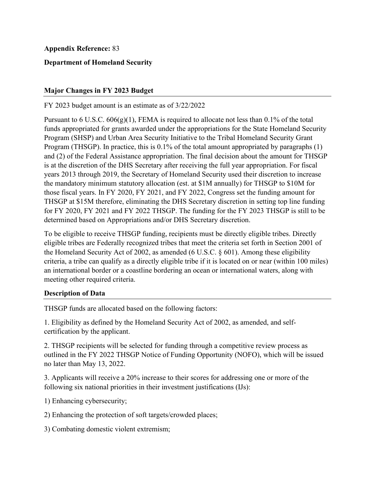## **Department of Homeland Security**

### **Major Changes in FY 2023 Budget**

### FY 2023 budget amount is an estimate as of 3/22/2022

 Program (THSGP). In practice, this is 0.1% of the total amount appropriated by paragraphs (1) for FY 2020, FY 2021 and FY 2022 THSGP. The funding for the FY 2023 THSGP is still to be Pursuant to 6 U.S.C.  $606(g)(1)$ , FEMA is required to allocate not less than 0.1% of the total funds appropriated for grants awarded under the appropriations for the State Homeland Security Program (SHSP) and Urban Area Security Initiative to the Tribal Homeland Security Grant and (2) of the Federal Assistance appropriation. The final decision about the amount for THSGP is at the discretion of the DHS Secretary after receiving the full year appropriation. For fiscal years 2013 through 2019, the Secretary of Homeland Security used their discretion to increase the mandatory minimum statutory allocation (est. at \$1M annually) for THSGP to \$10M for those fiscal years. In FY 2020, FY 2021, and FY 2022, Congress set the funding amount for THSGP at \$15M therefore, eliminating the DHS Secretary discretion in setting top line funding determined based on Appropriations and/or DHS Secretary discretion.

To be eligible to receive THSGP funding, recipients must be directly eligible tribes. Directly eligible tribes are Federally recognized tribes that meet the criteria set forth in Section 2001 of the Homeland Security Act of 2002, as amended (6 U.S.C. § 601). Among these eligibility criteria, a tribe can qualify as a directly eligible tribe if it is located on or near (within 100 miles) an international border or a coastline bordering an ocean or international waters, along with meeting other required criteria.

### **Description of Data**

THSGP funds are allocated based on the following factors:

1. Eligibility as defined by the Homeland Security Act of 2002, as amended, and selfcertification by the applicant.

 2. THSGP recipients will be selected for funding through a competitive review process as outlined in the FY 2022 THSGP Notice of Funding Opportunity (NOFO), which will be issued no later than May 13, 2022.

3. Applicants will receive a 20% increase to their scores for addressing one or more of the following six national priorities in their investment justifications (IJs):

1) Enhancing cybersecurity;

2) Enhancing the protection of soft targets/crowded places; 3) Combating domestic violent extremism;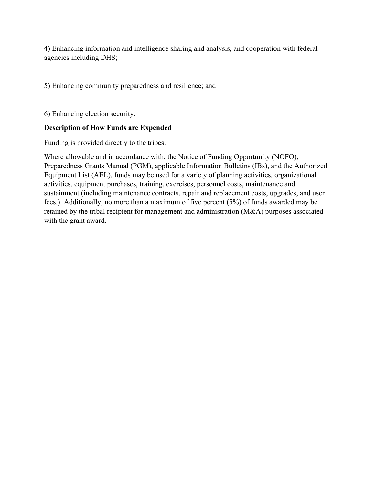4) Enhancing information and intelligence sharing and analysis, and cooperation with federal agencies including DHS;

5) Enhancing community preparedness and resilience; and

6) Enhancing election security.

# **Description of How Funds are Expended**

Funding is provided directly to the tribes.

 Where allowable and in accordance with, the Notice of Funding Opportunity (NOFO), Preparedness Grants Manual (PGM), applicable Information Bulletins (IBs), and the Authorized Equipment List (AEL), funds may be used for a variety of planning activities, organizational activities, equipment purchases, training, exercises, personnel costs, maintenance and sustainment (including maintenance contracts, repair and replacement costs, upgrades, and user fees.). Additionally, no more than a maximum of five percent (5%) of funds awarded may be retained by the tribal recipient for management and administration (M&A) purposes associated with the grant award.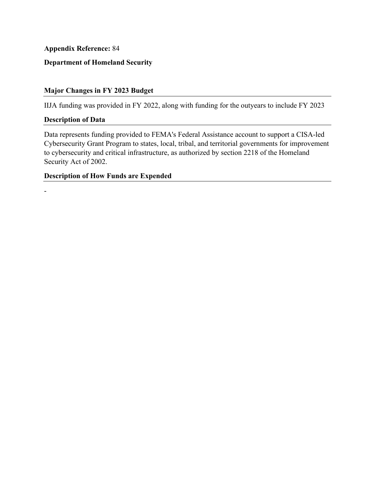# **Department of Homeland Security**

# **Major Changes in FY 2023 Budget**

IIJA funding was provided in FY 2022, along with funding for the outyears to include FY 2023

#### **Description of Data**

-

Data represents funding provided to FEMA's Federal Assistance account to support a CISA-led Cybersecurity Grant Program to states, local, tribal, and territorial governments for improvement to cybersecurity and critical infrastructure, as authorized by section 2218 of the Homeland Security Act of 2002.

#### **Description of How Funds are Expended**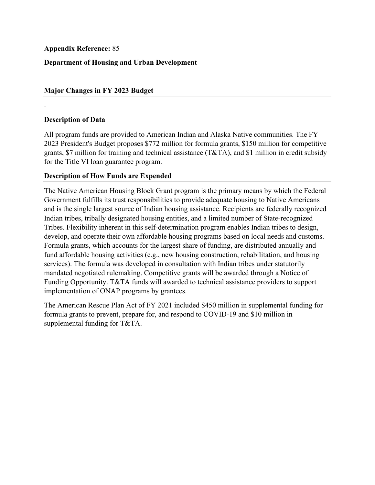# **Department of Housing and Urban Development**

## **Major Changes in FY 2023 Budget**

### **Description of Data**

-

All program funds are provided to American Indian and Alaska Native communities. The FY 2023 President's Budget proposes \$772 million for formula grants, \$150 million for competitive grants, \$7 million for training and technical assistance (T&TA), and \$1 million in credit subsidy for the Title VI loan guarantee program.

### **Description of How Funds are Expended**

The Native American Housing Block Grant program is the primary means by which the Federal Government fulfills its trust responsibilities to provide adequate housing to Native Americans and is the single largest source of Indian housing assistance. Recipients are federally recognized Indian tribes, tribally designated housing entities, and a limited number of State-recognized Tribes. Flexibility inherent in this self-determination program enables Indian tribes to design, develop, and operate their own affordable housing programs based on local needs and customs. Formula grants, which accounts for the largest share of funding, are distributed annually and fund affordable housing activities (e.g., new housing construction, rehabilitation, and housing services). The formula was developed in consultation with Indian tribes under statutorily mandated negotiated rulemaking. Competitive grants will be awarded through a Notice of Funding Opportunity. T&TA funds will awarded to technical assistance providers to support implementation of ONAP programs by grantees.

The American Rescue Plan Act of FY 2021 included \$450 million in supplemental funding for formula grants to prevent, prepare for, and respond to COVID-19 and \$10 million in supplemental funding for T&TA.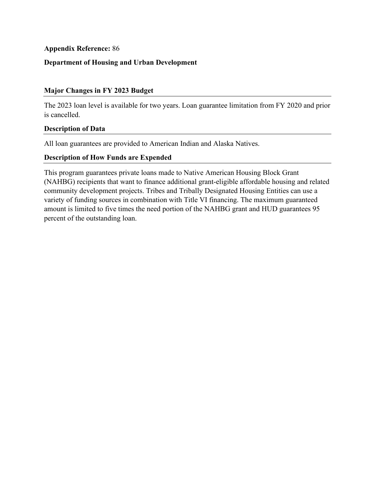## **Department of Housing and Urban Development**

## **Major Changes in FY 2023 Budget**

The 2023 loan level is available for two years. Loan guarantee limitation from FY 2020 and prior is cancelled.

### **Description of Data**

All loan guarantees are provided to American Indian and Alaska Natives.

### **Description of How Funds are Expended**

This program guarantees private loans made to Native American Housing Block Grant (NAHBG) recipients that want to finance additional grant-eligible affordable housing and related community development projects. Tribes and Tribally Designated Housing Entities can use a variety of funding sources in combination with Title VI financing. The maximum guaranteed amount is limited to five times the need portion of the NAHBG grant and HUD guarantees 95 percent of the outstanding loan.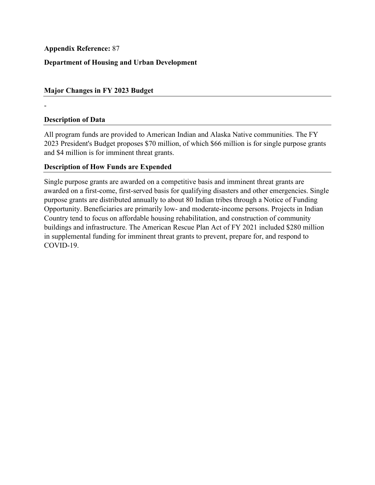# **Department of Housing and Urban Development**

## **Major Changes in FY 2023 Budget**

## **Description of Data**

-

All program funds are provided to American Indian and Alaska Native communities. The FY 2023 President's Budget proposes \$70 million, of which \$66 million is for single purpose grants and \$4 million is for imminent threat grants.

## **Description of How Funds are Expended**

 purpose grants are distributed annually to about 80 Indian tribes through a Notice of Funding Single purpose grants are awarded on a competitive basis and imminent threat grants are awarded on a first-come, first-served basis for qualifying disasters and other emergencies. Single Opportunity. Beneficiaries are primarily low- and moderate-income persons. Projects in Indian Country tend to focus on affordable housing rehabilitation, and construction of community buildings and infrastructure. The American Rescue Plan Act of FY 2021 included \$280 million in supplemental funding for imminent threat grants to prevent, prepare for, and respond to COVID-19.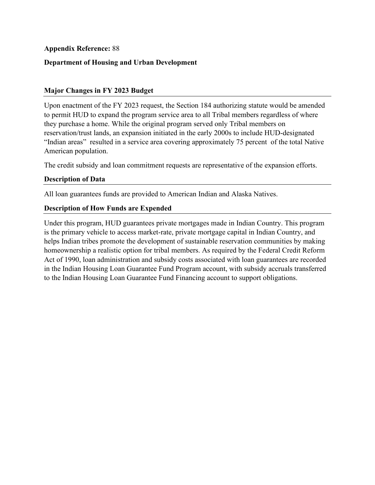## **Department of Housing and Urban Development**

## **Major Changes in FY 2023 Budget**

Upon enactment of the FY 2023 request, the Section 184 authorizing statute would be amended to permit HUD to expand the program service area to all Tribal members regardless of where they purchase a home. While the original program served only Tribal members on reservation/trust lands, an expansion initiated in the early 2000s to include HUD-designated "Indian areas" resulted in a service area covering approximately 75 percent of the total Native American population.

The credit subsidy and loan commitment requests are representative of the expansion efforts.

## **Description of Data**

All loan guarantees funds are provided to American Indian and Alaska Natives.

### **Description of How Funds are Expended**

Under this program, HUD guarantees private mortgages made in Indian Country. This program is the primary vehicle to access market-rate, private mortgage capital in Indian Country, and helps Indian tribes promote the development of sustainable reservation communities by making homeownership a realistic option for tribal members. As required by the Federal Credit Reform Act of 1990, loan administration and subsidy costs associated with loan guarantees are recorded in the Indian Housing Loan Guarantee Fund Program account, with subsidy accruals transferred to the Indian Housing Loan Guarantee Fund Financing account to support obligations.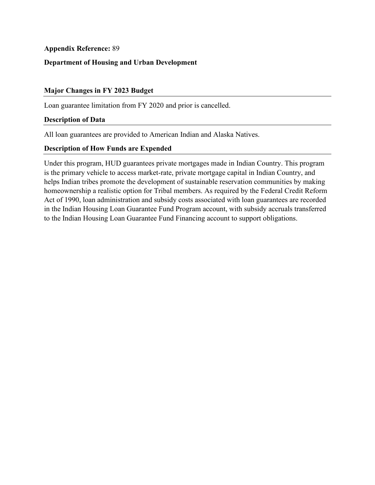## **Department of Housing and Urban Development**

### **Major Changes in FY 2023 Budget**

Loan guarantee limitation from FY 2020 and prior is cancelled.

#### **Description of Data**

All loan guarantees are provided to American Indian and Alaska Natives.

### **Description of How Funds are Expended**

Under this program, HUD guarantees private mortgages made in Indian Country. This program is the primary vehicle to access market-rate, private mortgage capital in Indian Country, and helps Indian tribes promote the development of sustainable reservation communities by making homeownership a realistic option for Tribal members. As required by the Federal Credit Reform Act of 1990, loan administration and subsidy costs associated with loan guarantees are recorded in the Indian Housing Loan Guarantee Fund Program account, with subsidy accruals transferred to the Indian Housing Loan Guarantee Fund Financing account to support obligations.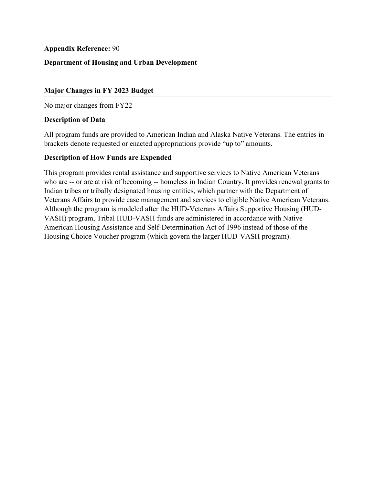# **Department of Housing and Urban Development**

## **Major Changes in FY 2023 Budget**

No major changes from FY22

#### **Description of Data**

All program funds are provided to American Indian and Alaska Native Veterans. The entries in brackets denote requested or enacted appropriations provide "up to" amounts.

### **Description of How Funds are Expended**

 who are -- or are at risk of becoming -- homeless in Indian Country. It provides renewal grants to This program provides rental assistance and supportive services to Native American Veterans Indian tribes or tribally designated housing entities, which partner with the Department of Veterans Affairs to provide case management and services to eligible Native American Veterans. Although the program is modeled after the HUD-Veterans Affairs Supportive Housing (HUD-VASH) program, Tribal HUD-VASH funds are administered in accordance with Native American Housing Assistance and Self-Determination Act of 1996 instead of those of the Housing Choice Voucher program (which govern the larger HUD-VASH program).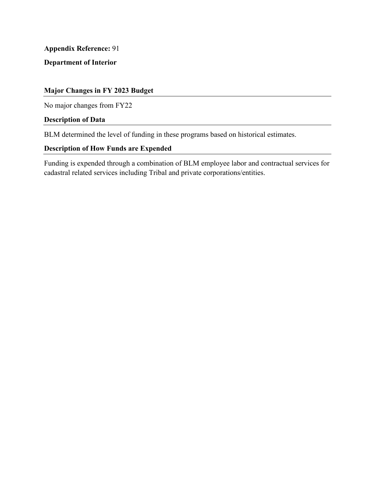**Department of Interior** 

# **Major Changes in FY 2023 Budget**

No major changes from FY22

## **Description of Data**

BLM determined the level of funding in these programs based on historical estimates.

# **Description of How Funds are Expended**

Funding is expended through a combination of BLM employee labor and contractual services for cadastral related services including Tribal and private corporations/entities.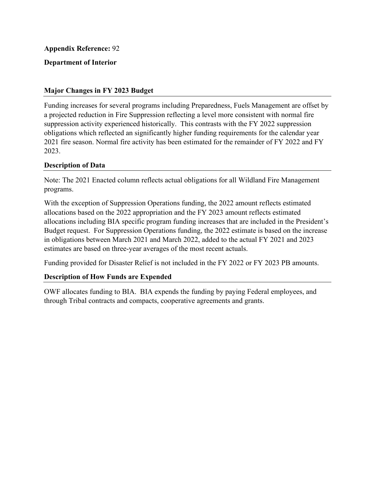## **Department of Interior**

## **Major Changes in FY 2023 Budget**

Funding increases for several programs including Preparedness, Fuels Management are offset by a projected reduction in Fire Suppression reflecting a level more consistent with normal fire suppression activity experienced historically. This contrasts with the FY 2022 suppression obligations which reflected an significantly higher funding requirements for the calendar year 2021 fire season. Normal fire activity has been estimated for the remainder of FY 2022 and FY 2023.

## **Description of Data**

Note: The 2021 Enacted column reflects actual obligations for all Wildland Fire Management programs.

With the exception of Suppression Operations funding, the 2022 amount reflects estimated allocations based on the 2022 appropriation and the FY 2023 amount reflects estimated allocations including BIA specific program funding increases that are included in the President's Budget request. For Suppression Operations funding, the 2022 estimate is based on the increase in obligations between March 2021 and March 2022, added to the actual FY 2021 and 2023 estimates are based on three-year averages of the most recent actuals.

Funding provided for Disaster Relief is not included in the FY 2022 or FY 2023 PB amounts.

### **Description of How Funds are Expended**

 OWF allocates funding to BIA. BIA expends the funding by paying Federal employees, and through Tribal contracts and compacts, cooperative agreements and grants.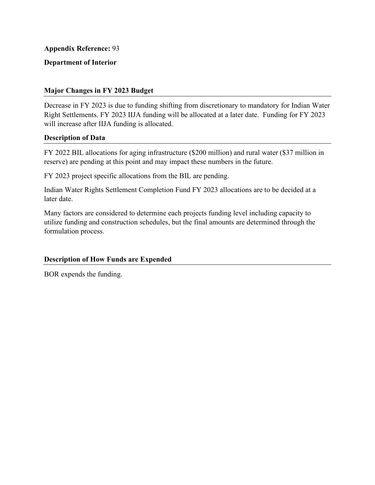## **Department of Interior**

### **Major Changes in FY 2023 Budget**

 will increase after IIJA funding is allocated. Decrease in FY 2023 is due to funding shifting from discretionary to mandatory for Indian Water Right Settlements. FY 2023 IIJA funding will be allocated at a later date. Funding for FY 2023

### **Description of Data**

FY 2022 BIL allocations for aging infrastructure (\$200 million) and rural water (\$37 million in reserve) are pending at this point and may impact these numbers in the future.

FY 2023 project specific allocations from the BIL are pending.

Indian Water Rights Settlement Completion Fund FY 2023 allocations are to be decided at a later date.

 Many factors are considered to determine each projects funding level including capacity to utilize funding and construction schedules, but the final amounts are determined through the formulation process.

## **Description of How Funds are Expended**

BOR expends the funding.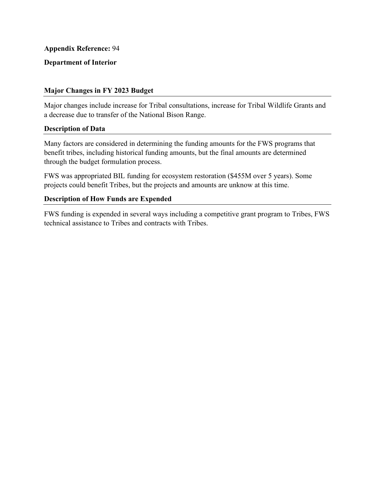## **Department of Interior**

## **Major Changes in FY 2023 Budget**

Major changes include increase for Tribal consultations, increase for Tribal Wildlife Grants and a decrease due to transfer of the National Bison Range.

### **Description of Data**

 Many factors are considered in determining the funding amounts for the FWS programs that benefit tribes, including historical funding amounts, but the final amounts are determined through the budget formulation process.

 FWS was appropriated BIL funding for ecosystem restoration (\$455M over 5 years). Some projects could benefit Tribes, but the projects and amounts are unknow at this time.

## **Description of How Funds are Expended**

FWS funding is expended in several ways including a competitive grant program to Tribes, FWS technical assistance to Tribes and contracts with Tribes.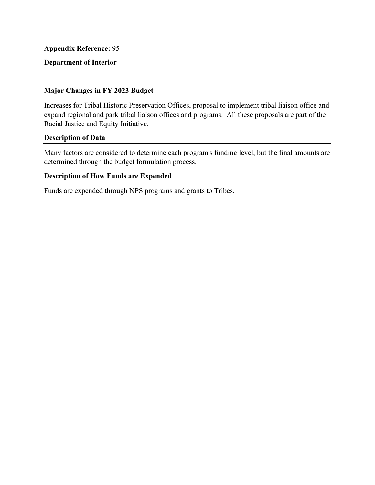# **Department of Interior**

### **Major Changes in FY 2023 Budget**

 Increases for Tribal Historic Preservation Offices, proposal to implement tribal liaison office and expand regional and park tribal liaison offices and programs. All these proposals are part of the Racial Justice and Equity Initiative.

#### **Description of Data**

 Many factors are considered to determine each program's funding level, but the final amounts are determined through the budget formulation process.

#### **Description of How Funds are Expended**

Funds are expended through NPS programs and grants to Tribes.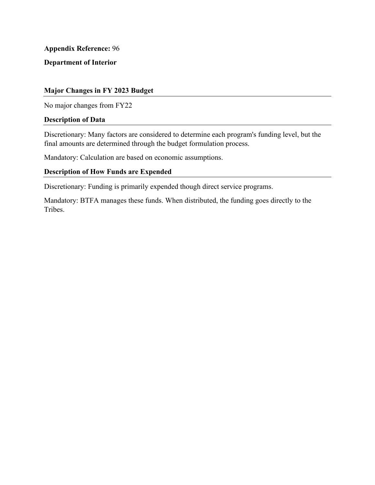**Department of Interior** 

### **Major Changes in FY 2023 Budget**

No major changes from FY22

#### **Description of Data**

Discretionary: Many factors are considered to determine each program's funding level, but the final amounts are determined through the budget formulation process.

Mandatory: Calculation are based on economic assumptions.

## **Description of How Funds are Expended**

Discretionary: Funding is primarily expended though direct service programs.

Mandatory: BTFA manages these funds. When distributed, the funding goes directly to the Tribes.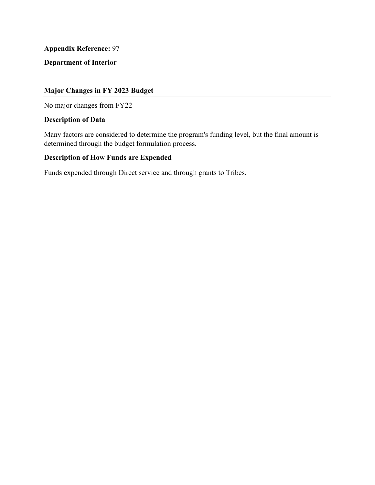**Department of Interior** 

# **Major Changes in FY 2023 Budget**

No major changes from FY22

### **Description of Data**

 Many factors are considered to determine the program's funding level, but the final amount is determined through the budget formulation process.

# **Description of How Funds are Expended**

Funds expended through Direct service and through grants to Tribes.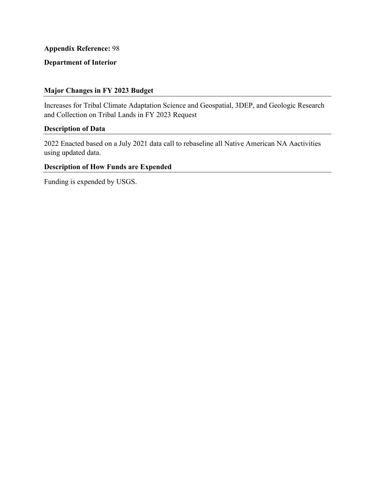# **Department of Interior**

### **Major Changes in FY 2023 Budget**

Increases for Tribal Climate Adaptation Science and Geospatial, 3DEP, and Geologic Research and Collection on Tribal Lands in FY 2023 Request

### **Description of Data**

2022 Enacted based on a July 2021 data call to rebaseline all Native American NA Aactivities using updated data.

## **Description of How Funds are Expended**

Funding is expended by USGS.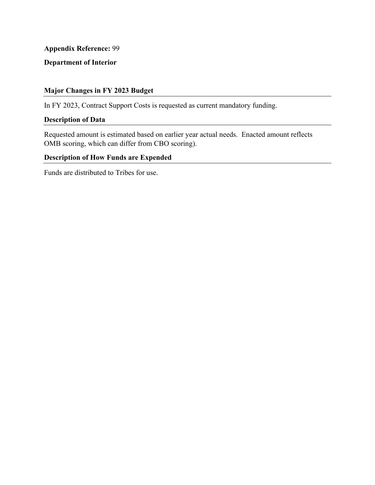# **Department of Interior**

# **Major Changes in FY 2023 Budget**

In FY 2023, Contract Support Costs is requested as current mandatory funding.

# **Description of Data**

Requested amount is estimated based on earlier year actual needs. Enacted amount reflects OMB scoring, which can differ from CBO scoring).

# **Description of How Funds are Expended**

Funds are distributed to Tribes for use.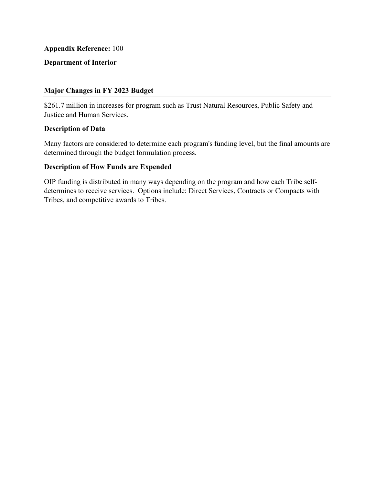### **Department of Interior**

### **Major Changes in FY 2023 Budget**

\$261.7 million in increases for program such as Trust Natural Resources, Public Safety and Justice and Human Services.

#### **Description of Data**

 Many factors are considered to determine each program's funding level, but the final amounts are determined through the budget formulation process.

# **Description of How Funds are Expended**

OIP funding is distributed in many ways depending on the program and how each Tribe selfdetermines to receive services. Options include: Direct Services, Contracts or Compacts with Tribes, and competitive awards to Tribes.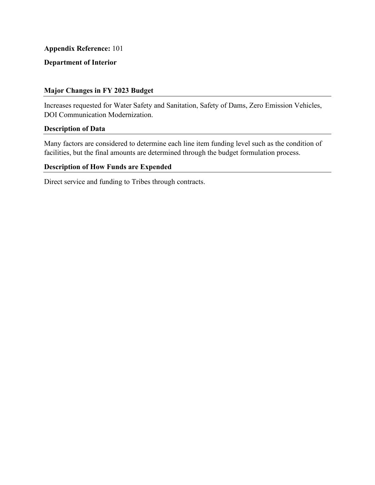# **Department of Interior**

### **Major Changes in FY 2023 Budget**

Increases requested for Water Safety and Sanitation, Safety of Dams, Zero Emission Vehicles, DOI Communication Modernization.

#### **Description of Data**

Many factors are considered to determine each line item funding level such as the condition of facilities, but the final amounts are determined through the budget formulation process.

# **Description of How Funds are Expended**

Direct service and funding to Tribes through contracts.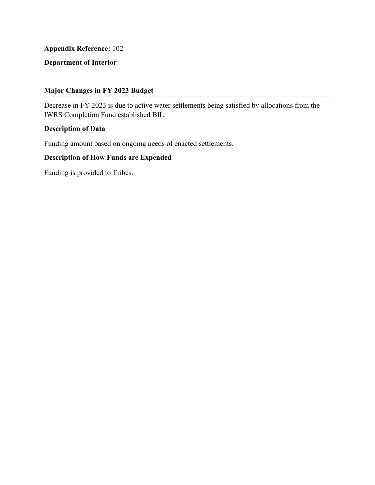# **Department of Interior**

### **Major Changes in FY 2023 Budget**

Decrease in FY 2023 is due to active water settlements being satisfied by allocations from the IWRS Completion Fund established BIL.

### **Description of Data**

Funding amount based on ongoing needs of enacted settlements.

# **Description of How Funds are Expended**

Funding is provided to Tribes.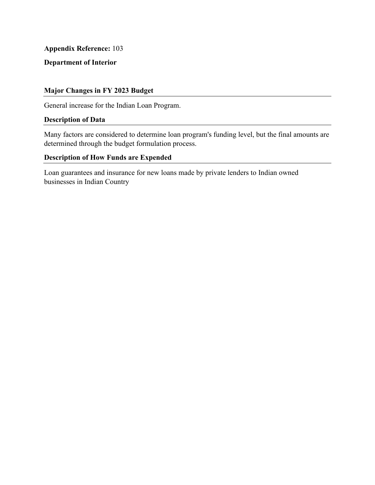# **Department of Interior**

### **Major Changes in FY 2023 Budget**

General increase for the Indian Loan Program.

### **Description of Data**

 Many factors are considered to determine loan program's funding level, but the final amounts are determined through the budget formulation process.

### **Description of How Funds are Expended**

Loan guarantees and insurance for new loans made by private lenders to Indian owned businesses in Indian Country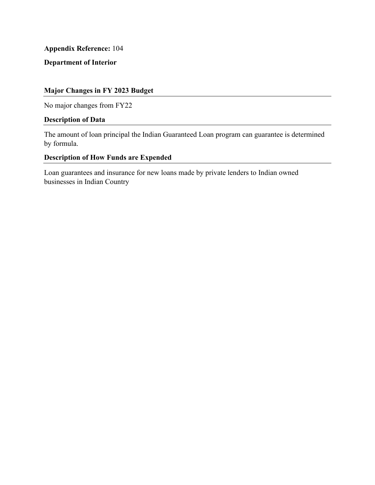# **Department of Interior**

# **Major Changes in FY 2023 Budget**

No major changes from FY22

### **Description of Data**

The amount of loan principal the Indian Guaranteed Loan program can guarantee is determined by formula.

# **Description of How Funds are Expended**

Loan guarantees and insurance for new loans made by private lenders to Indian owned businesses in Indian Country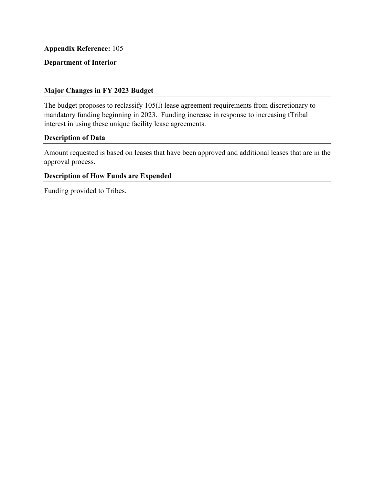# **Department of Interior**

### **Major Changes in FY 2023 Budget**

The budget proposes to reclassify 105(l) lease agreement requirements from discretionary to mandatory funding beginning in 2023. Funding increase in response to increasing tTribal interest in using these unique facility lease agreements.

#### **Description of Data**

Amount requested is based on leases that have been approved and additional leases that are in the approval process.

#### **Description of How Funds are Expended**

Funding provided to Tribes.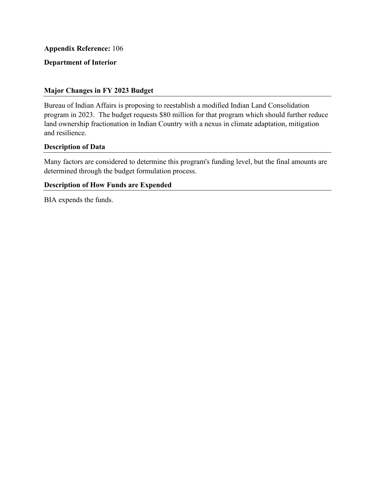# **Department of Interior**

### **Major Changes in FY 2023 Budget**

Bureau of Indian Affairs is proposing to reestablish a modified Indian Land Consolidation program in 2023. The budget requests \$80 million for that program which should further reduce land ownership fractionation in Indian Country with a nexus in climate adaptation, mitigation and resilience.

# **Description of Data**

 Many factors are considered to determine this program's funding level, but the final amounts are determined through the budget formulation process.

#### **Description of How Funds are Expended**

BIA expends the funds.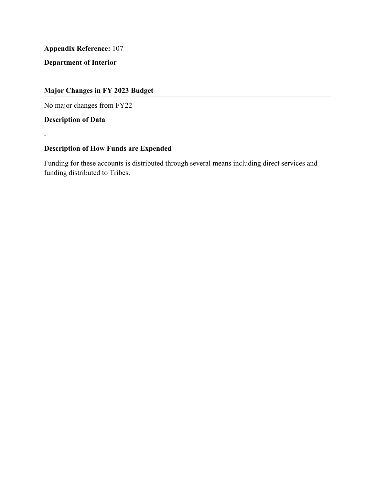**Department of Interior** 

# **Major Changes in FY 2023 Budget**

No major changes from FY22

**Description of Data** 

-

# **Description of How Funds are Expended**

Funding for these accounts is distributed through several means including direct services and funding distributed to Tribes.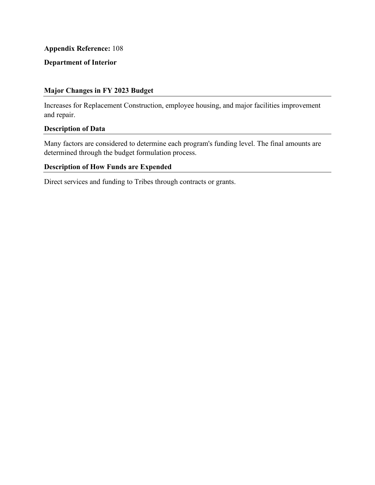# **Department of Interior**

# **Major Changes in FY 2023 Budget**

Increases for Replacement Construction, employee housing, and major facilities improvement and repair.

### **Description of Data**

 Many factors are considered to determine each program's funding level. The final amounts are determined through the budget formulation process.

# **Description of How Funds are Expended**

Direct services and funding to Tribes through contracts or grants.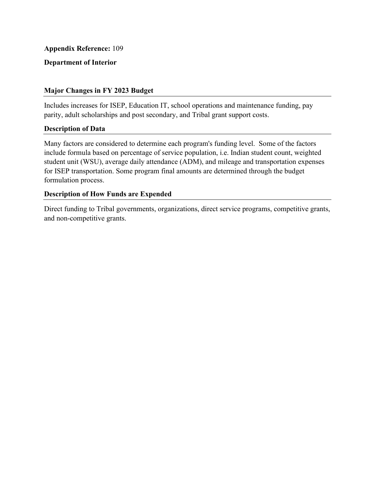## **Department of Interior**

### **Major Changes in FY 2023 Budget**

Includes increases for ISEP, Education IT, school operations and maintenance funding, pay parity, adult scholarships and post secondary, and Tribal grant support costs.

#### **Description of Data**

 Many factors are considered to determine each program's funding level. Some of the factors include formula based on percentage of service population, i.e. Indian student count, weighted student unit (WSU), average daily attendance (ADM), and mileage and transportation expenses for ISEP transportation. Some program final amounts are determined through the budget formulation process.

### **Description of How Funds are Expended**

Direct funding to Tribal governments, organizations, direct service programs, competitive grants, and non-competitive grants.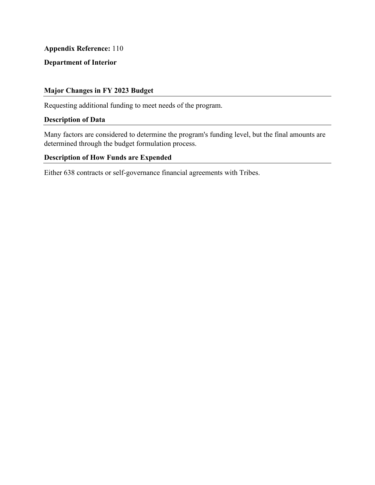# **Department of Interior**

## **Major Changes in FY 2023 Budget**

Requesting additional funding to meet needs of the program.

### **Description of Data**

 Many factors are considered to determine the program's funding level, but the final amounts are determined through the budget formulation process.

### **Description of How Funds are Expended**

Either 638 contracts or self-governance financial agreements with Tribes.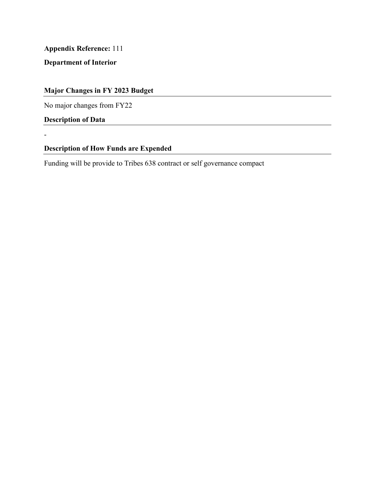**Department of Interior** 

# **Major Changes in FY 2023 Budget**

No major changes from FY22

**Description of Data** 

-

# **Description of How Funds are Expended**

Funding will be provide to Tribes 638 contract or self governance compact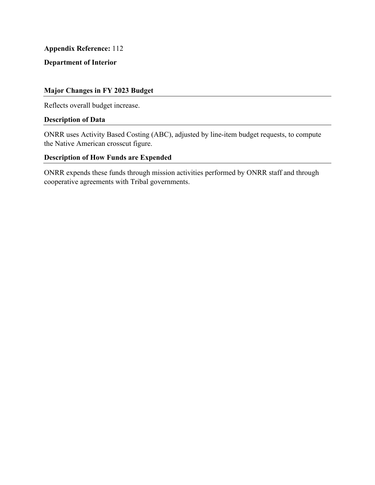# **Department of Interior**

### **Major Changes in FY 2023 Budget**

Reflects overall budget increase.

### **Description of Data**

ONRR uses Activity Based Costing (ABC), adjusted by line-item budget requests, to compute the Native American crosscut figure.

# **Description of How Funds are Expended**

 cooperative agreements with Tribal governments. ONRR expends these funds through mission activities performed by ONRR staff and through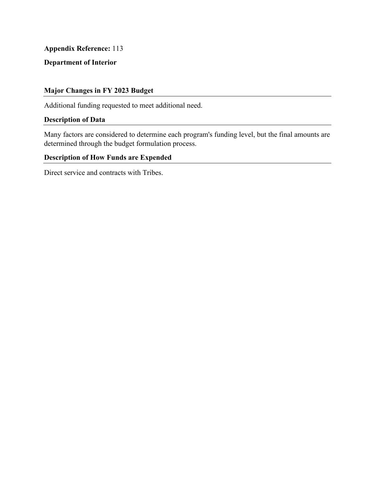# **Department of Interior**

## **Major Changes in FY 2023 Budget**

Additional funding requested to meet additional need.

### **Description of Data**

 Many factors are considered to determine each program's funding level, but the final amounts are determined through the budget formulation process.

# **Description of How Funds are Expended**

Direct service and contracts with Tribes.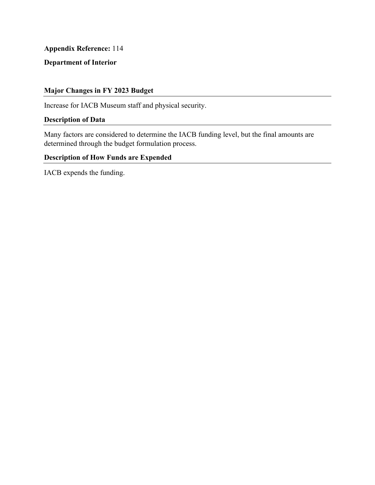# **Department of Interior**

## **Major Changes in FY 2023 Budget**

Increase for IACB Museum staff and physical security.

### **Description of Data**

 Many factors are considered to determine the IACB funding level, but the final amounts are determined through the budget formulation process.

# **Description of How Funds are Expended**

IACB expends the funding.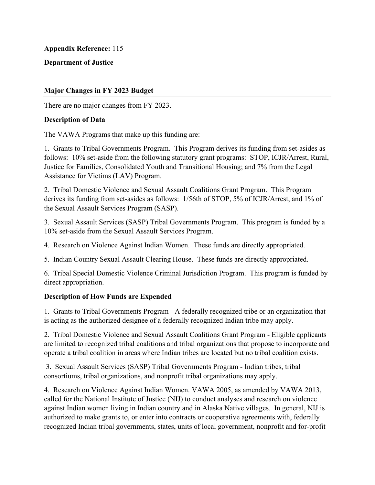## **Department of Justice**

### **Major Changes in FY 2023 Budget**

There are no major changes from FY 2023.

#### **Description of Data**

The VAWA Programs that make up this funding are:

1. Grants to Tribal Governments Program. This Program derives its funding from set-asides as follows: 10% set-aside from the following statutory grant programs: STOP, ICJR/Arrest, Rural, Justice for Families, Consolidated Youth and Transitional Housing; and 7% from the Legal Assistance for Victims (LAV) Program.

2. Tribal Domestic Violence and Sexual Assault Coalitions Grant Program. This Program derives its funding from set-asides as follows: 1/56th of STOP, 5% of ICJR/Arrest, and 1% of the Sexual Assault Services Program (SASP).

3. Sexual Assault Services (SASP) Tribal Governments Program. This program is funded by a 10% set-aside from the Sexual Assault Services Program.

4. Research on Violence Against Indian Women. These funds are directly appropriated.

5. Indian Country Sexual Assault Clearing House. These funds are directly appropriated.

6. Tribal Special Domestic Violence Criminal Jurisdiction Program. This program is funded by direct appropriation.

# **Description of How Funds are Expended**

1. Grants to Tribal Governments Program - A federally recognized tribe or an organization that is acting as the authorized designee of a federally recognized Indian tribe may apply.

2. Tribal Domestic Violence and Sexual Assault Coalitions Grant Program - Eligible applicants are limited to recognized tribal coalitions and tribal organizations that propose to incorporate and operate a tribal coalition in areas where Indian tribes are located but no tribal coalition exists.

 3. Sexual Assault Services (SASP) Tribal Governments Program - Indian tribes, tribal consortiums, tribal organizations, and nonprofit tribal organizations may apply.

4. Research on Violence Against Indian Women. VAWA 2005, as amended by VAWA 2013, called for the National Institute of Justice (NIJ) to conduct analyses and research on violence against Indian women living in Indian country and in Alaska Native villages. In general, NIJ is authorized to make grants to, or enter into contracts or cooperative agreements with, federally recognized Indian tribal governments, states, units of local government, nonprofit and for-profit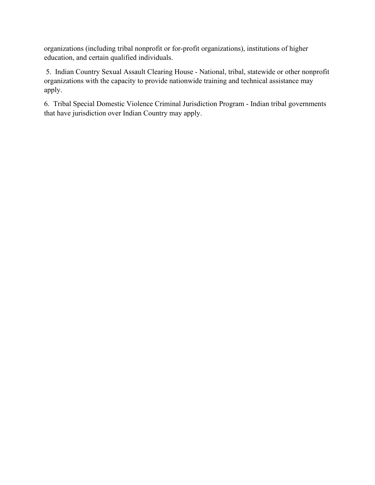organizations (including tribal nonprofit or for-profit organizations), institutions of higher education, and certain qualified individuals.

 5. Indian Country Sexual Assault Clearing House - National, tribal, statewide or other nonprofit organizations with the capacity to provide nationwide training and technical assistance may apply.

6. Tribal Special Domestic Violence Criminal Jurisdiction Program - Indian tribal governments that have jurisdiction over Indian Country may apply.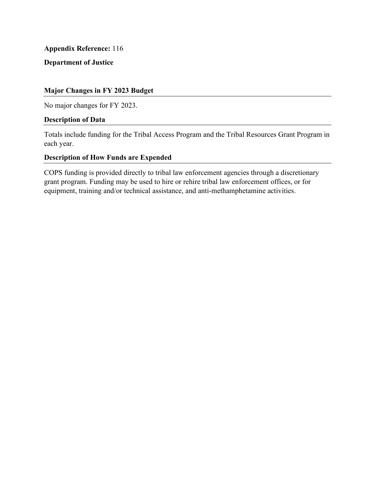# **Department of Justice**

### **Major Changes in FY 2023 Budget**

No major changes for FY 2023.

#### **Description of Data**

Totals include funding for the Tribal Access Program and the Tribal Resources Grant Program in each year.

#### **Description of How Funds are Expended**

COPS funding is provided directly to tribal law enforcement agencies through a discretionary grant program. Funding may be used to hire or rehire tribal law enforcement offices, or for equipment, training and/or technical assistance, and anti-methamphetamine activities.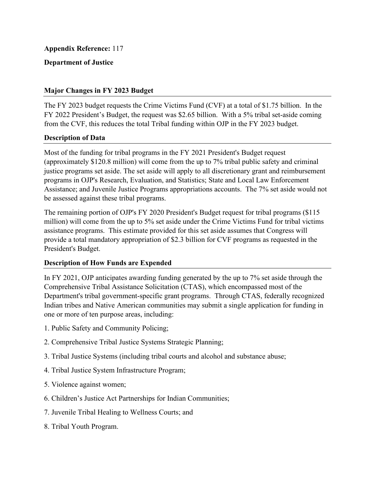## **Department of Justice**

### **Major Changes in FY 2023 Budget**

The FY 2023 budget requests the Crime Victims Fund (CVF) at a total of \$1.75 billion. In the FY 2022 President's Budget, the request was \$2.65 billion. With a 5% tribal set-aside coming from the CVF, this reduces the total Tribal funding within OJP in the FY 2023 budget.

#### **Description of Data**

 Most of the funding for tribal programs in the FY 2021 President's Budget request (approximately \$120.8 million) will come from the up to 7% tribal public safety and criminal justice programs set aside. The set aside will apply to all discretionary grant and reimbursement programs in OJP's Research, Evaluation, and Statistics; State and Local Law Enforcement Assistance; and Juvenile Justice Programs appropriations accounts. The 7% set aside would not be assessed against these tribal programs.

The remaining portion of OJP's FY 2020 President's Budget request for tribal programs (\$115 million) will come from the up to 5% set aside under the Crime Victims Fund for tribal victims assistance programs. This estimate provided for this set aside assumes that Congress will provide a total mandatory appropriation of \$2.3 billion for CVF programs as requested in the President's Budget.

# **Description of How Funds are Expended**

In FY 2021, OJP anticipates awarding funding generated by the up to 7% set aside through the Comprehensive Tribal Assistance Solicitation (CTAS), which encompassed most of the Department's tribal government-specific grant programs. Through CTAS, federally recognized Indian tribes and Native American communities may submit a single application for funding in one or more of ten purpose areas, including:

- 1. Public Safety and Community Policing;
- 2. Comprehensive Tribal Justice Systems Strategic Planning;
- 3. Tribal Justice Systems (including tribal courts and alcohol and substance abuse;
- 4. Tribal Justice System Infrastructure Program;
- 5. Violence against women;
- 6. Children's Justice Act Partnerships for Indian Communities;
- 7. Juvenile Tribal Healing to Wellness Courts; and
- 8. Tribal Youth Program.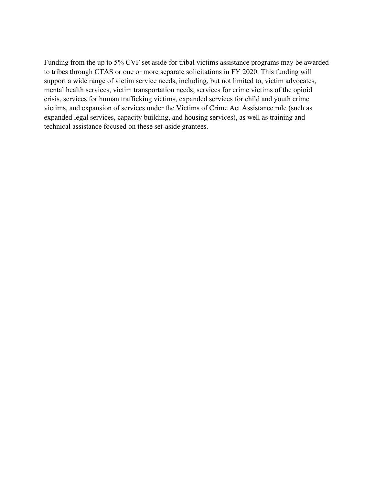Funding from the up to 5% CVF set aside for tribal victims assistance programs may be awarded to tribes through CTAS or one or more separate solicitations in FY 2020. This funding will support a wide range of victim service needs, including, but not limited to, victim advocates, mental health services, victim transportation needs, services for crime victims of the opioid crisis, services for human trafficking victims, expanded services for child and youth crime victims, and expansion of services under the Victims of Crime Act Assistance rule (such as expanded legal services, capacity building, and housing services), as well as training and technical assistance focused on these set-aside grantees.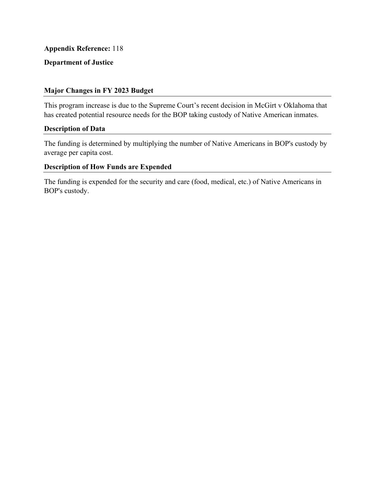# **Department of Justice**

### **Major Changes in FY 2023 Budget**

This program increase is due to the Supreme Court's recent decision in McGirt v Oklahoma that has created potential resource needs for the BOP taking custody of Native American inmates.

#### **Description of Data**

The funding is determined by multiplying the number of Native Americans in BOP's custody by average per capita cost.

# **Description of How Funds are Expended**

 The funding is expended for the security and care (food, medical, etc.) of Native Americans in BOP's custody.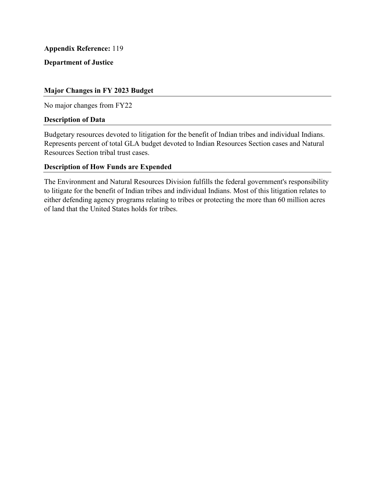**Department of Justice** 

## **Major Changes in FY 2023 Budget**

No major changes from FY22

#### **Description of Data**

Budgetary resources devoted to litigation for the benefit of Indian tribes and individual Indians. Represents percent of total GLA budget devoted to Indian Resources Section cases and Natural Resources Section tribal trust cases.

### **Description of How Funds are Expended**

 to litigate for the benefit of Indian tribes and individual Indians. Most of this litigation relates to The Environment and Natural Resources Division fulfills the federal government's responsibility either defending agency programs relating to tribes or protecting the more than 60 million acres of land that the United States holds for tribes.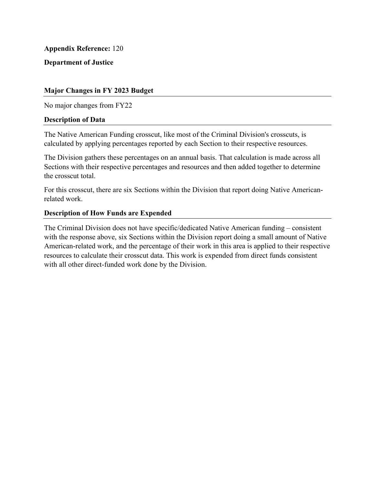**Department of Justice** 

## **Major Changes in FY 2023 Budget**

No major changes from FY22

#### **Description of Data**

The Native American Funding crosscut, like most of the Criminal Division's crosscuts, is calculated by applying percentages reported by each Section to their respective resources.

 The Division gathers these percentages on an annual basis. That calculation is made across all Sections with their respective percentages and resources and then added together to determine the crosscut total.

For this crosscut, there are six Sections within the Division that report doing Native Americanrelated work.

#### **Description of How Funds are Expended**

The Criminal Division does not have specific/dedicated Native American funding – consistent with the response above, six Sections within the Division report doing a small amount of Native American-related work, and the percentage of their work in this area is applied to their respective resources to calculate their crosscut data. This work is expended from direct funds consistent with all other direct-funded work done by the Division.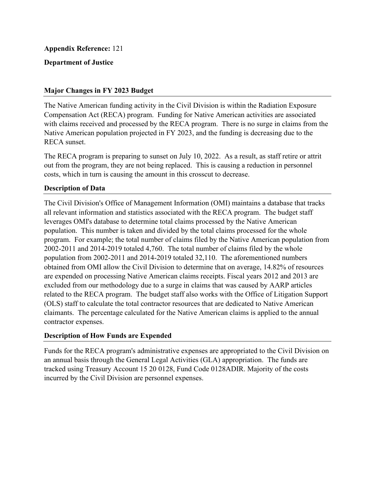## **Department of Justice**

### **Major Changes in FY 2023 Budget**

The Native American funding activity in the Civil Division is within the Radiation Exposure Compensation Act (RECA) program. Funding for Native American activities are associated with claims received and processed by the RECA program. There is no surge in claims from the Native American population projected in FY 2023, and the funding is decreasing due to the RECA sunset.

The RECA program is preparing to sunset on July 10, 2022. As a result, as staff retire or attrit out from the program, they are not being replaced. This is causing a reduction in personnel costs, which in turn is causing the amount in this crosscut to decrease.

#### **Description of Data**

The Civil Division's Office of Management Information (OMI) maintains a database that tracks all relevant information and statistics associated with the RECA program. The budget staff leverages OMI's database to determine total claims processed by the Native American population. This number is taken and divided by the total claims processed for the whole program. For example; the total number of claims filed by the Native American population from 2002-2011 and 2014-2019 totaled 4,760. The total number of claims filed by the whole population from 2002-2011 and 2014-2019 totaled 32,110. The aforementioned numbers obtained from OMI allow the Civil Division to determine that on average, 14.82% of resources are expended on processing Native American claims receipts. Fiscal years 2012 and 2013 are excluded from our methodology due to a surge in claims that was caused by AARP articles related to the RECA program. The budget staff also works with the Office of Litigation Support (OLS) staff to calculate the total contractor resources that are dedicated to Native American claimants. The percentage calculated for the Native American claims is applied to the annual contractor expenses.

#### **Description of How Funds are Expended**

Funds for the RECA program's administrative expenses are appropriated to the Civil Division on an annual basis through the General Legal Activities (GLA) appropriation. The funds are tracked using Treasury Account 15 20 0128, Fund Code 0128ADIR. Majority of the costs incurred by the Civil Division are personnel expenses.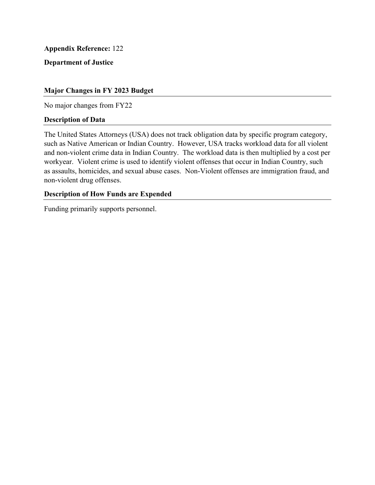### **Department of Justice**

### **Major Changes in FY 2023 Budget**

No major changes from FY22

#### **Description of Data**

The United States Attorneys (USA) does not track obligation data by specific program category, such as Native American or Indian Country. However, USA tracks workload data for all violent and non-violent crime data in Indian Country. The workload data is then multiplied by a cost per workyear. Violent crime is used to identify violent offenses that occur in Indian Country, such as assaults, homicides, and sexual abuse cases. Non-Violent offenses are immigration fraud, and non-violent drug offenses.

#### **Description of How Funds are Expended**

Funding primarily supports personnel.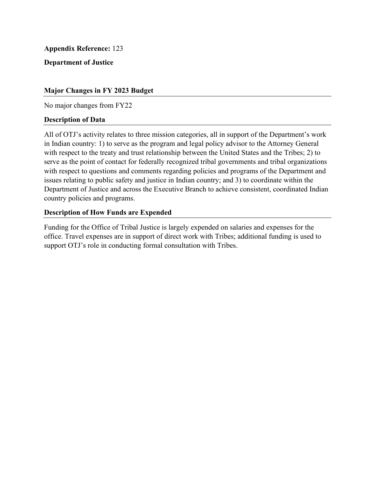# **Department of Justice**

### **Major Changes in FY 2023 Budget**

No major changes from FY22

#### **Description of Data**

All of OTJ's activity relates to three mission categories, all in support of the Department's work in Indian country: 1) to serve as the program and legal policy advisor to the Attorney General with respect to the treaty and trust relationship between the United States and the Tribes; 2) to serve as the point of contact for federally recognized tribal governments and tribal organizations with respect to questions and comments regarding policies and programs of the Department and issues relating to public safety and justice in Indian country; and 3) to coordinate within the Department of Justice and across the Executive Branch to achieve consistent, coordinated Indian country policies and programs.

#### **Description of How Funds are Expended**

 office. Travel expenses are in support of direct work with Tribes; additional funding is used to Funding for the Office of Tribal Justice is largely expended on salaries and expenses for the support OTJ's role in conducting formal consultation with Tribes.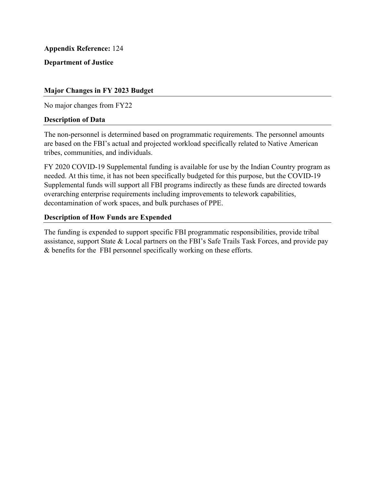**Department of Justice** 

## **Major Changes in FY 2023 Budget**

No major changes from FY22

#### **Description of Data**

 The non-personnel is determined based on programmatic requirements. The personnel amounts are based on the FBI's actual and projected workload specifically related to Native American tribes, communities, and individuals.

 overarching enterprise requirements including improvements to telework capabilities, FY 2020 COVID-19 Supplemental funding is available for use by the Indian Country program as needed. At this time, it has not been specifically budgeted for this purpose, but the COVID-19 Supplemental funds will support all FBI programs indirectly as these funds are directed towards decontamination of work spaces, and bulk purchases of PPE.

### **Description of How Funds are Expended**

 & benefits for the FBI personnel specifically working on these efforts. The funding is expended to support specific FBI programmatic responsibilities, provide tribal assistance, support State & Local partners on the FBI's Safe Trails Task Forces, and provide pay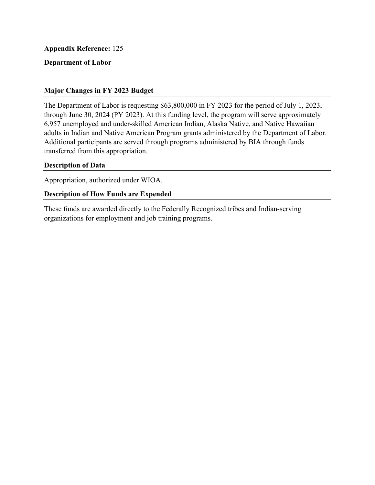### **Department of Labor**

### **Major Changes in FY 2023 Budget**

The Department of Labor is requesting \$63,800,000 in FY 2023 for the period of July 1, 2023, through June 30, 2024 (PY 2023). At this funding level, the program will serve approximately 6,957 unemployed and under-skilled American Indian, Alaska Native, and Native Hawaiian adults in Indian and Native American Program grants administered by the Department of Labor. Additional participants are served through programs administered by BIA through funds transferred from this appropriation.

#### **Description of Data**

Appropriation, authorized under WIOA.

#### **Description of How Funds are Expended**

 These funds are awarded directly to the Federally Recognized tribes and Indian-serving organizations for employment and job training programs.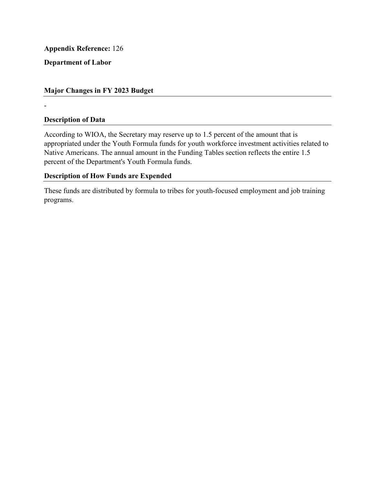**Department of Labor** 

## **Major Changes in FY 2023 Budget**

-

# **Description of Data**

According to WIOA, the Secretary may reserve up to 1.5 percent of the amount that is appropriated under the Youth Formula funds for youth workforce investment activities related to Native Americans. The annual amount in the Funding Tables section reflects the entire 1.5 percent of the Department's Youth Formula funds.

### **Description of How Funds are Expended**

These funds are distributed by formula to tribes for youth-focused employment and job training programs.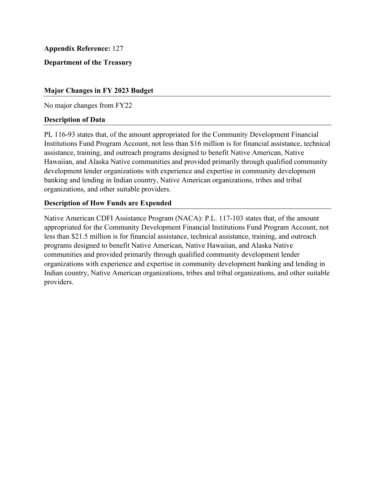**Department of the Treasury** 

### **Major Changes in FY 2023 Budget**

No major changes from FY22

#### **Description of Data**

PL 116-93 states that, of the amount appropriated for the Community Development Financial Institutions Fund Program Account, not less than \$16 million is for financial assistance, technical assistance, training, and outreach programs designed to benefit Native American, Native Hawaiian, and Alaska Native communities and provided primarily through qualified community development lender organizations with experience and expertise in community development banking and lending in Indian country, Native American organizations, tribes and tribal organizations, and other suitable providers.

#### **Description of How Funds are Expended**

Native American CDFI Assistance Program (NACA): P.L. 117-103 states that, of the amount appropriated for the Community Development Financial Institutions Fund Program Account, not less than \$21.5 million is for financial assistance, technical assistance, training, and outreach programs designed to benefit Native American, Native Hawaiian, and Alaska Native communities and provided primarily through qualified community development lender organizations with experience and expertise in community development banking and lending in Indian country, Native American organizations, tribes and tribal organizations, and other suitable providers.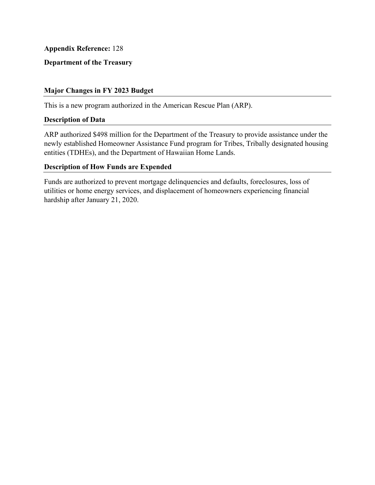**Department of the Treasury** 

### **Major Changes in FY 2023 Budget**

This is a new program authorized in the American Rescue Plan (ARP).

#### **Description of Data**

ARP authorized \$498 million for the Department of the Treasury to provide assistance under the newly established Homeowner Assistance Fund program for Tribes, Tribally designated housing entities (TDHEs), and the Department of Hawaiian Home Lands.

### **Description of How Funds are Expended**

Funds are authorized to prevent mortgage delinquencies and defaults, foreclosures, loss of utilities or home energy services, and displacement of homeowners experiencing financial hardship after January 21, 2020.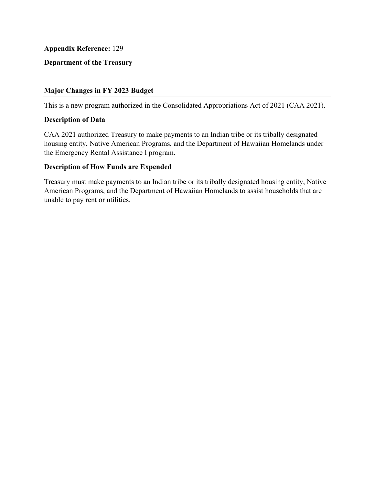### **Department of the Treasury**

### **Major Changes in FY 2023 Budget**

This is a new program authorized in the Consolidated Appropriations Act of 2021 (CAA 2021).

#### **Description of Data**

CAA 2021 authorized Treasury to make payments to an Indian tribe or its tribally designated housing entity, Native American Programs, and the Department of Hawaiian Homelands under the Emergency Rental Assistance I program.

### **Description of How Funds are Expended**

Treasury must make payments to an Indian tribe or its tribally designated housing entity, Native American Programs, and the Department of Hawaiian Homelands to assist households that are unable to pay rent or utilities.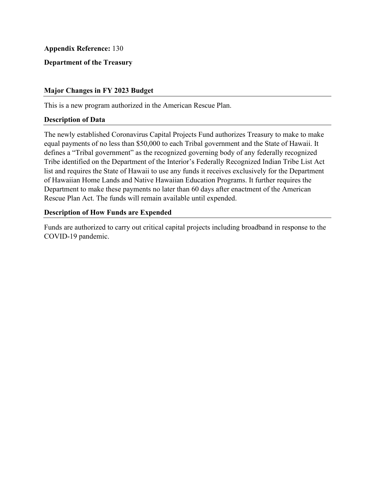### **Department of the Treasury**

### **Major Changes in FY 2023 Budget**

This is a new program authorized in the American Rescue Plan.

#### **Description of Data**

The newly established Coronavirus Capital Projects Fund authorizes Treasury to make to make equal payments of no less than \$50,000 to each Tribal government and the State of Hawaii. It defines a "Tribal government" as the recognized governing body of any federally recognized Tribe identified on the Department of the Interior's Federally Recognized Indian Tribe List Act list and requires the State of Hawaii to use any funds it receives exclusively for the Department of Hawaiian Home Lands and Native Hawaiian Education Programs. It further requires the Department to make these payments no later than 60 days after enactment of the American Rescue Plan Act. The funds will remain available until expended.

#### **Description of How Funds are Expended**

Funds are authorized to carry out critical capital projects including broadband in response to the COVID-19 pandemic.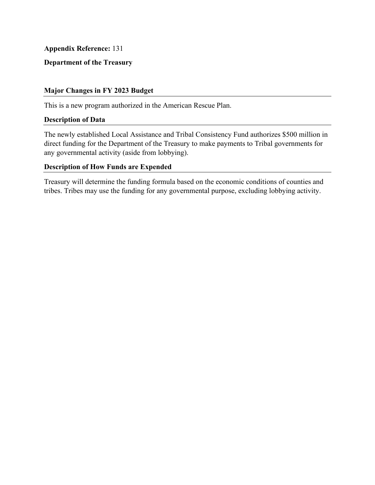# **Department of the Treasury**

### **Major Changes in FY 2023 Budget**

This is a new program authorized in the American Rescue Plan.

#### **Description of Data**

The newly established Local Assistance and Tribal Consistency Fund authorizes \$500 million in direct funding for the Department of the Treasury to make payments to Tribal governments for any governmental activity (aside from lobbying).

## **Description of How Funds are Expended**

Treasury will determine the funding formula based on the economic conditions of counties and tribes. Tribes may use the funding for any governmental purpose, excluding lobbying activity.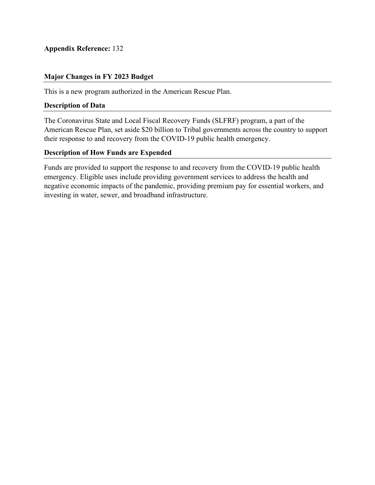## **Major Changes in FY 2023 Budget**

This is a new program authorized in the American Rescue Plan.

### **Description of Data**

The Coronavirus State and Local Fiscal Recovery Funds (SLFRF) program, a part of the American Rescue Plan, set aside \$20 billion to Tribal governments across the country to support their response to and recovery from the COVID-19 public health emergency.

## **Description of How Funds are Expended**

Funds are provided to support the response to and recovery from the COVID-19 public health emergency. Eligible uses include providing government services to address the health and negative economic impacts of the pandemic, providing premium pay for essential workers, and investing in water, sewer, and broadband infrastructure.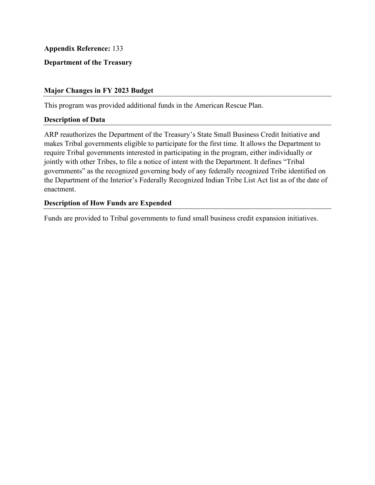## **Department of the Treasury**

### **Major Changes in FY 2023 Budget**

This program was provided additional funds in the American Rescue Plan.

#### **Description of Data**

 the Department of the Interior's Federally Recognized Indian Tribe List Act list as of the date of ARP reauthorizes the Department of the Treasury's State Small Business Credit Initiative and makes Tribal governments eligible to participate for the first time. It allows the Department to require Tribal governments interested in participating in the program, either individually or jointly with other Tribes, to file a notice of intent with the Department. It defines "Tribal governments" as the recognized governing body of any federally recognized Tribe identified on enactment.

### **Description of How Funds are Expended**

Funds are provided to Tribal governments to fund small business credit expansion initiatives.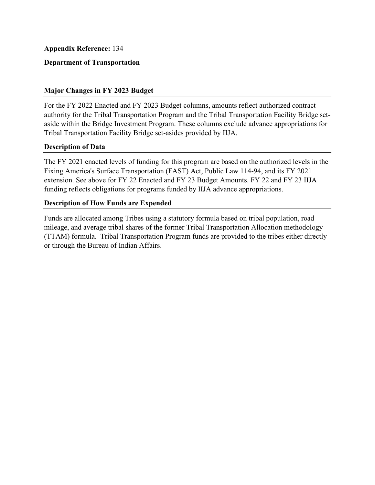## **Department of Transportation**

## **Major Changes in FY 2023 Budget**

For the FY 2022 Enacted and FY 2023 Budget columns, amounts reflect authorized contract authority for the Tribal Transportation Program and the Tribal Transportation Facility Bridge setaside within the Bridge Investment Program. These columns exclude advance appropriations for Tribal Transportation Facility Bridge set-asides provided by IIJA.

### **Description of Data**

 extension. See above for FY 22 Enacted and FY 23 Budget Amounts. FY 22 and FY 23 IIJA The FY 2021 enacted levels of funding for this program are based on the authorized levels in the Fixing America's Surface Transportation (FAST) Act, Public Law 114-94, and its FY 2021 funding reflects obligations for programs funded by IIJA advance appropriations.

## **Description of How Funds are Expended**

Funds are allocated among Tribes using a statutory formula based on tribal population, road mileage, and average tribal shares of the former Tribal Transportation Allocation methodology (TTAM) formula. Tribal Transportation Program funds are provided to the tribes either directly or through the Bureau of Indian Affairs.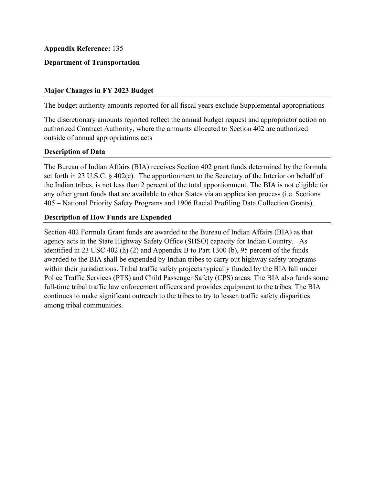## **Department of Transportation**

### **Major Changes in FY 2023 Budget**

The budget authority amounts reported for all fiscal years exclude Supplemental appropriations

The discretionary amounts reported reflect the annual budget request and appropriator action on authorized Contract Authority, where the amounts allocated to Section 402 are authorized outside of annual appropriations acts

#### **Description of Data**

The Bureau of Indian Affairs (BIA) receives Section 402 grant funds determined by the formula set forth in 23 U.S.C. § 402(c). The apportionment to the Secretary of the Interior on behalf of the Indian tribes, is not less than 2 percent of the total apportionment. The BIA is not eligible for any other grant funds that are available to other States via an application process (i.e. Sections 405 – National Priority Safety Programs and 1906 Racial Profiling Data Collection Grants).

### **Description of How Funds are Expended**

Section 402 Formula Grant funds are awarded to the Bureau of Indian Affairs (BIA) as that agency acts in the State Highway Safety Office (SHSO) capacity for Indian Country. As identified in 23 USC 402 (h) (2) and Appendix B to Part 1300 (b), 95 percent of the funds awarded to the BIA shall be expended by Indian tribes to carry out highway safety programs within their jurisdictions. Tribal traffic safety projects typically funded by the BIA fall under Police Traffic Services (PTS) and Child Passenger Safety (CPS) areas. The BIA also funds some full-time tribal traffic law enforcement officers and provides equipment to the tribes. The BIA continues to make significant outreach to the tribes to try to lessen traffic safety disparities among tribal communities.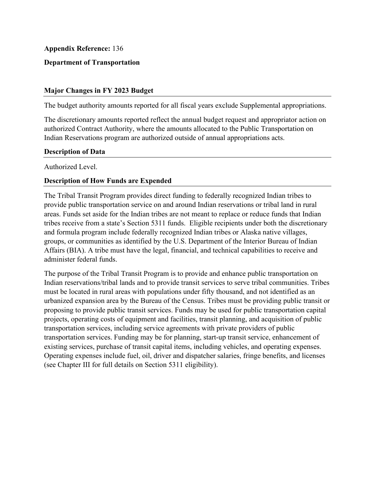## **Department of Transportation**

### **Major Changes in FY 2023 Budget**

The budget authority amounts reported for all fiscal years exclude Supplemental appropriations.

The discretionary amounts reported reflect the annual budget request and appropriator action on authorized Contract Authority, where the amounts allocated to the Public Transportation on Indian Reservations program are authorized outside of annual appropriations acts.

#### **Description of Data**

Authorized Level.

### **Description of How Funds are Expended**

 groups, or communities as identified by the U.S. Department of the Interior Bureau of Indian The Tribal Transit Program provides direct funding to federally recognized Indian tribes to provide public transportation service on and around Indian reservations or tribal land in rural areas. Funds set aside for the Indian tribes are not meant to replace or reduce funds that Indian tribes receive from a state's Section 5311 funds. Eligible recipients under both the discretionary and formula program include federally recognized Indian tribes or Alaska native villages, Affairs (BIA). A tribe must have the legal, financial, and technical capabilities to receive and administer federal funds.

 (see Chapter III for full details on Section 5311 eligibility). The purpose of the Tribal Transit Program is to provide and enhance public transportation on Indian reservations/tribal lands and to provide transit services to serve tribal communities. Tribes must be located in rural areas with populations under fifty thousand, and not identified as an urbanized expansion area by the Bureau of the Census. Tribes must be providing public transit or proposing to provide public transit services. Funds may be used for public transportation capital projects, operating costs of equipment and facilities, transit planning, and acquisition of public transportation services, including service agreements with private providers of public transportation services. Funding may be for planning, start-up transit service, enhancement of existing services, purchase of transit capital items, including vehicles, and operating expenses. Operating expenses include fuel, oil, driver and dispatcher salaries, fringe benefits, and licenses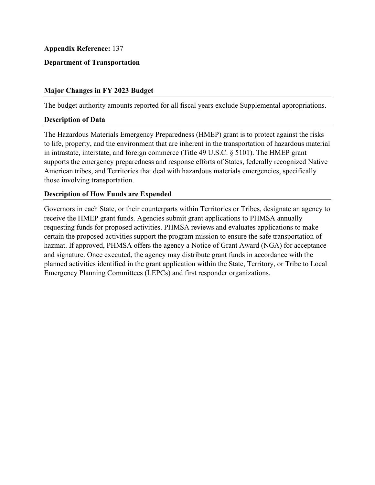## **Department of Transportation**

### **Major Changes in FY 2023 Budget**

The budget authority amounts reported for all fiscal years exclude Supplemental appropriations.

#### **Description of Data**

The Hazardous Materials Emergency Preparedness (HMEP) grant is to protect against the risks to life, property, and the environment that are inherent in the transportation of hazardous material in intrastate, interstate, and foreign commerce (Title 49 U.S.C. § 5101). The HMEP grant supports the emergency preparedness and response efforts of States, federally recognized Native American tribes, and Territories that deal with hazardous materials emergencies, specifically those involving transportation.

## **Description of How Funds are Expended**

 hazmat. If approved, PHMSA offers the agency a Notice of Grant Award (NGA) for acceptance and signature. Once executed, the agency may distribute grant funds in accordance with the Governors in each State, or their counterparts within Territories or Tribes, designate an agency to receive the HMEP grant funds. Agencies submit grant applications to PHMSA annually requesting funds for proposed activities. PHMSA reviews and evaluates applications to make certain the proposed activities support the program mission to ensure the safe transportation of planned activities identified in the grant application within the State, Territory, or Tribe to Local Emergency Planning Committees (LEPCs) and first responder organizations.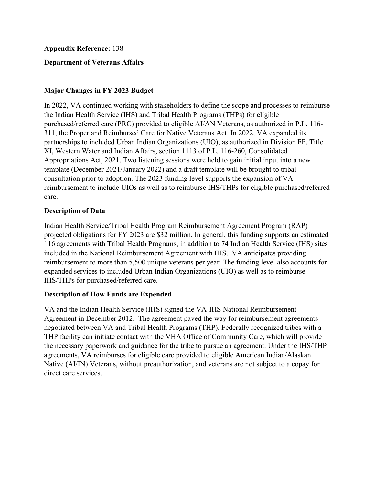## **Department of Veterans Affairs**

## **Major Changes in FY 2023 Budget**

 the Indian Health Service (IHS) and Tribal Health Programs (THPs) for eligible 311, the Proper and Reimbursed Care for Native Veterans Act. In 2022, VA expanded its In 2022, VA continued working with stakeholders to define the scope and processes to reimburse purchased/referred care (PRC) provided to eligible AI/AN Veterans, as authorized in P.L. 116 partnerships to included Urban Indian Organizations (UIO), as authorized in Division FF, Title XI, Western Water and Indian Affairs, section 1113 of P.L. 116-260, Consolidated Appropriations Act, 2021. Two listening sessions were held to gain initial input into a new template (December 2021/January 2022) and a draft template will be brought to tribal consultation prior to adoption. The 2023 funding level supports the expansion of VA reimbursement to include UIOs as well as to reimburse IHS/THPs for eligible purchased/referred care.

## **Description of Data**

Indian Health Service/Tribal Health Program Reimbursement Agreement Program (RAP) projected obligations for FY 2023 are \$32 million. In general, this funding supports an estimated 116 agreements with Tribal Health Programs, in addition to 74 Indian Health Service (IHS) sites included in the National Reimbursement Agreement with IHS. VA anticipates providing reimbursement to more than 5,500 unique veterans per year. The funding level also accounts for expanded services to included Urban Indian Organizations (UIO) as well as to reimburse IHS/THPs for purchased/referred care.

## **Description of How Funds are Expended**

 the necessary paperwork and guidance for the tribe to pursue an agreement. Under the IHS/THP VA and the Indian Health Service (IHS) signed the VA-IHS National Reimbursement Agreement in December 2012. The agreement paved the way for reimbursement agreements negotiated between VA and Tribal Health Programs (THP). Federally recognized tribes with a THP facility can initiate contact with the VHA Office of Community Care, which will provide agreements, VA reimburses for eligible care provided to eligible American Indian/Alaskan Native (AI/IN) Veterans, without preauthorization, and veterans are not subject to a copay for direct care services.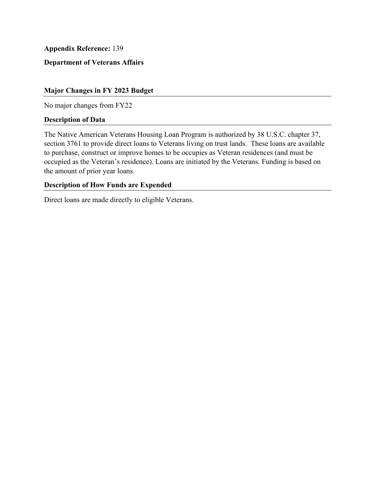## **Department of Veterans Affairs**

#### **Major Changes in FY 2023 Budget**

No major changes from FY22

#### **Description of Data**

The Native American Veterans Housing Loan Program is authorized by 38 U.S.C. chapter 37, section 3761 to provide direct loans to Veterans living on trust lands. These loans are available to purchase, construct or improve homes to be occupies as Veteran residences (and must be occupied as the Veteran's residence). Loans are initiated by the Veterans. Funding is based on the amount of prior year loans.

#### **Description of How Funds are Expended**

Direct loans are made directly to eligible Veterans.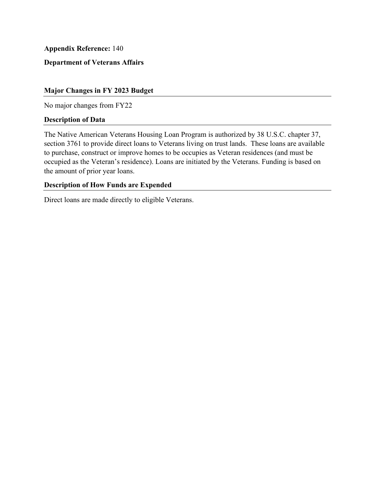# **Department of Veterans Affairs**

#### **Major Changes in FY 2023 Budget**

No major changes from FY22

#### **Description of Data**

The Native American Veterans Housing Loan Program is authorized by 38 U.S.C. chapter 37, section 3761 to provide direct loans to Veterans living on trust lands. These loans are available to purchase, construct or improve homes to be occupies as Veteran residences (and must be occupied as the Veteran's residence). Loans are initiated by the Veterans. Funding is based on the amount of prior year loans.

#### **Description of How Funds are Expended**

Direct loans are made directly to eligible Veterans.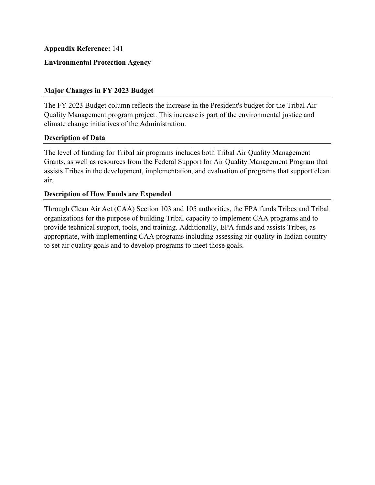## **Environmental Protection Agency**

### **Major Changes in FY 2023 Budget**

The FY 2023 Budget column reflects the increase in the President's budget for the Tribal Air Quality Management program project. This increase is part of the environmental justice and climate change initiatives of the Administration.

### **Description of Data**

The level of funding for Tribal air programs includes both Tribal Air Quality Management Grants, as well as resources from the Federal Support for Air Quality Management Program that assists Tribes in the development, implementation, and evaluation of programs that support clean air.

## **Description of How Funds are Expended**

Through Clean Air Act (CAA) Section 103 and 105 authorities, the EPA funds Tribes and Tribal organizations for the purpose of building Tribal capacity to implement CAA programs and to provide technical support, tools, and training. Additionally, EPA funds and assists Tribes, as appropriate, with implementing CAA programs including assessing air quality in Indian country to set air quality goals and to develop programs to meet those goals.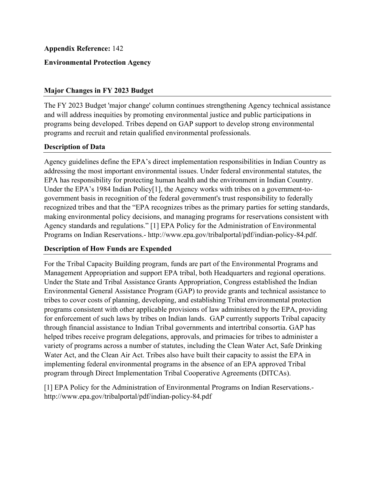## **Environmental Protection Agency**

### **Major Changes in FY 2023 Budget**

The FY 2023 Budget 'major change' column continues strengthening Agency technical assistance and will address inequities by promoting environmental justice and public participations in programs being developed. Tribes depend on GAP support to develop strong environmental programs and recruit and retain qualified environmental professionals.

## **Description of Data**

Agency guidelines define the EPA's direct implementation responsibilities in Indian Country as addressing the most important environmental issues. Under federal environmental statutes, the EPA has responsibility for protecting human health and the environment in Indian Country. Under the EPA's 1984 Indian Policy[1], the Agency works with tribes on a government-togovernment basis in recognition of the federal government's trust responsibility to federally recognized tribes and that the "EPA recognizes tribes as the primary parties for setting standards, making environmental policy decisions, and managing programs for reservations consistent with Agency standards and regulations." [1] EPA Policy for the Administration of Environmental Programs on Indian Reservations.- http://www.epa.gov/tribalportal/pdf/indian-policy-84.pdf.

### **Description of How Funds are Expended**

For the Tribal Capacity Building program, funds are part of the Environmental Programs and Management Appropriation and support EPA tribal, both Headquarters and regional operations. Under the State and Tribal Assistance Grants Appropriation, Congress established the Indian Environmental General Assistance Program (GAP) to provide grants and technical assistance to tribes to cover costs of planning, developing, and establishing Tribal environmental protection programs consistent with other applicable provisions of law administered by the EPA, providing for enforcement of such laws by tribes on Indian lands. GAP currently supports Tribal capacity through financial assistance to Indian Tribal governments and intertribal consortia. GAP has helped tribes receive program delegations, approvals, and primacies for tribes to administer a variety of programs across a number of statutes, including the Clean Water Act, Safe Drinking Water Act, and the Clean Air Act. Tribes also have built their capacity to assist the EPA in implementing federal environmental programs in the absence of an EPA approved Tribal program through Direct Implementation Tribal Cooperative Agreements (DITCAs).

[1] EPA Policy for the Administration of Environmental Programs on Indian Reservations. http://www.epa.gov/tribalportal/pdf/indian-policy-84.pdf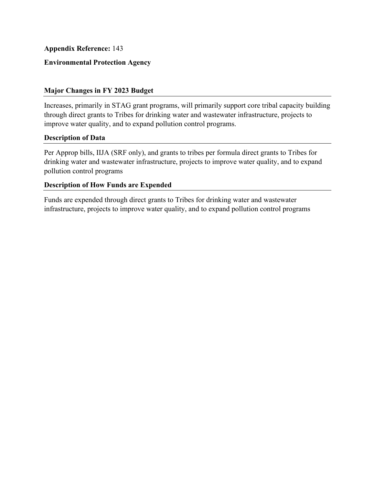## **Environmental Protection Agency**

## **Major Changes in FY 2023 Budget**

Increases, primarily in STAG grant programs, will primarily support core tribal capacity building through direct grants to Tribes for drinking water and wastewater infrastructure, projects to improve water quality, and to expand pollution control programs.

### **Description of Data**

Per Approp bills, IIJA (SRF only), and grants to tribes per formula direct grants to Tribes for drinking water and wastewater infrastructure, projects to improve water quality, and to expand pollution control programs

### **Description of How Funds are Expended**

Funds are expended through direct grants to Tribes for drinking water and wastewater infrastructure, projects to improve water quality, and to expand pollution control programs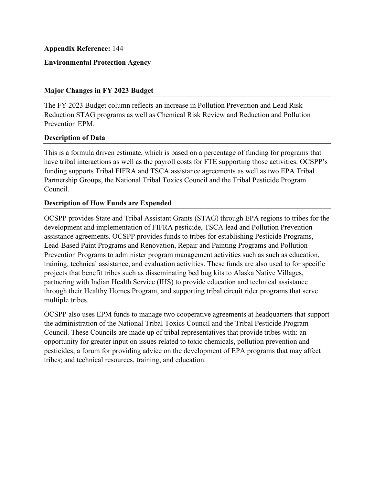## **Environmental Protection Agency**

### **Major Changes in FY 2023 Budget**

The FY 2023 Budget column reflects an increase in Pollution Prevention and Lead Risk Reduction STAG programs as well as Chemical Risk Review and Reduction and Pollution Prevention EPM.

### **Description of Data**

This is a formula driven estimate, which is based on a percentage of funding for programs that have tribal interactions as well as the payroll costs for FTE supporting those activities. OCSPP's funding supports Tribal FIFRA and TSCA assistance agreements as well as two EPA Tribal Partnership Groups, the National Tribal Toxics Council and the Tribal Pesticide Program Council.

### **Description of How Funds are Expended**

OCSPP provides State and Tribal Assistant Grants (STAG) through EPA regions to tribes for the development and implementation of FIFRA pesticide, TSCA lead and Pollution Prevention assistance agreements. OCSPP provides funds to tribes for establishing Pesticide Programs, Lead-Based Paint Programs and Renovation, Repair and Painting Programs and Pollution Prevention Programs to administer program management activities such as such as education, training, technical assistance, and evaluation activities. These funds are also used to for specific projects that benefit tribes such as disseminating bed bug kits to Alaska Native Villages, partnering with Indian Health Service (IHS) to provide education and technical assistance through their Healthy Homes Program, and supporting tribal circuit rider programs that serve multiple tribes.

OCSPP also uses EPM funds to manage two cooperative agreements at headquarters that support the administration of the National Tribal Toxics Council and the Tribal Pesticide Program Council. These Councils are made up of tribal representatives that provide tribes with: an opportunity for greater input on issues related to toxic chemicals, pollution prevention and pesticides; a forum for providing advice on the development of EPA programs that may affect tribes; and technical resources, training, and education.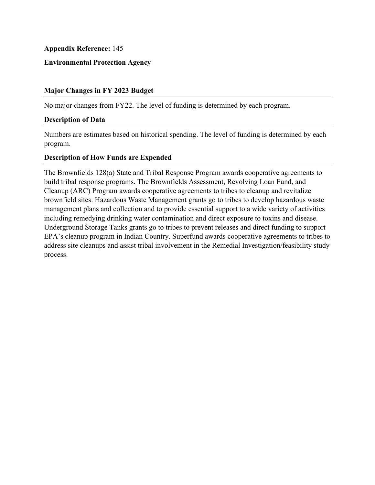## **Environmental Protection Agency**

### **Major Changes in FY 2023 Budget**

No major changes from FY22. The level of funding is determined by each program.

### **Description of Data**

Numbers are estimates based on historical spending. The level of funding is determined by each program.

### **Description of How Funds are Expended**

The Brownfields 128(a) State and Tribal Response Program awards cooperative agreements to build tribal response programs. The Brownfields Assessment, Revolving Loan Fund, and Cleanup (ARC) Program awards cooperative agreements to tribes to cleanup and revitalize brownfield sites. Hazardous Waste Management grants go to tribes to develop hazardous waste management plans and collection and to provide essential support to a wide variety of activities including remedying drinking water contamination and direct exposure to toxins and disease. Underground Storage Tanks grants go to tribes to prevent releases and direct funding to support EPA's cleanup program in Indian Country. Superfund awards cooperative agreements to tribes to address site cleanups and assist tribal involvement in the Remedial Investigation/feasibility study process.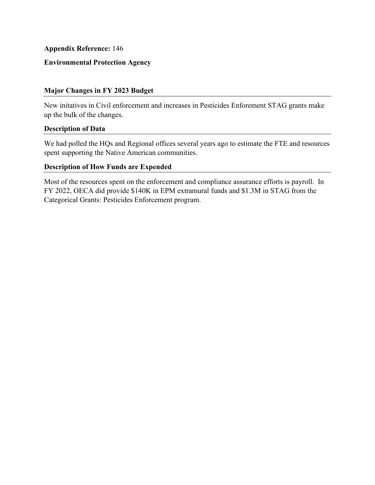## **Environmental Protection Agency**

### **Major Changes in FY 2023 Budget**

New initatives in Civil enforcement and increases in Pesticides Enforement STAG grants make up the bulk of the changes.

### **Description of Data**

We had polled the HQs and Regional offices several years ago to estimate the FTE and resources spent supporting the Native American communities.

## **Description of How Funds are Expended**

Most of the resources spent on the enforcement and compliance assurance efforts is payroll. In FY 2022, OECA did provide \$140K in EPM extramural funds and \$1.3M in STAG from the Categorical Grants: Pesticides Enforcement program.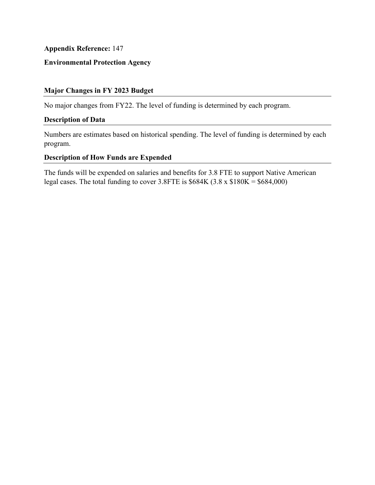# **Environmental Protection Agency**

## **Major Changes in FY 2023 Budget**

No major changes from FY22. The level of funding is determined by each program.

## **Description of Data**

Numbers are estimates based on historical spending. The level of funding is determined by each program.

### **Description of How Funds are Expended**

The funds will be expended on salaries and benefits for 3.8 FTE to support Native American legal cases. The total funding to cover 3.8FTE is  $$684K (3.8 \times $180K = $684,000)$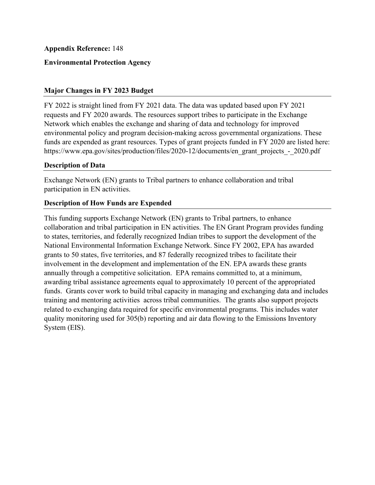## **Environmental Protection Agency**

## **Major Changes in FY 2023 Budget**

FY 2022 is straight lined from FY 2021 data. The data was updated based upon FY 2021 requests and FY 2020 awards. The resources support tribes to participate in the Exchange Network which enables the exchange and sharing of data and technology for improved environmental policy and program decision-making across governmental organizations. These funds are expended as grant resources. Types of grant projects funded in FY 2020 are listed here: https://www.epa.gov/sites/production/files/2020-12/documents/en\_grant\_projects\_-\_2020.pdf

## **Description of Data**

Exchange Network (EN) grants to Tribal partners to enhance collaboration and tribal participation in EN activities.

## **Description of How Funds are Expended**

This funding supports Exchange Network (EN) grants to Tribal partners, to enhance collaboration and tribal participation in EN activities. The EN Grant Program provides funding to states, territories, and federally recognized Indian tribes to support the development of the National Environmental Information Exchange Network. Since FY 2002, EPA has awarded grants to 50 states, five territories, and 87 federally recognized tribes to facilitate their involvement in the development and implementation of the EN. EPA awards these grants annually through a competitive solicitation. EPA remains committed to, at a minimum, awarding tribal assistance agreements equal to approximately 10 percent of the appropriated funds. Grants cover work to build tribal capacity in managing and exchanging data and includes training and mentoring activities across tribal communities. The grants also support projects related to exchanging data required for specific environmental programs. This includes water quality monitoring used for 305(b) reporting and air data flowing to the Emissions Inventory System (EIS).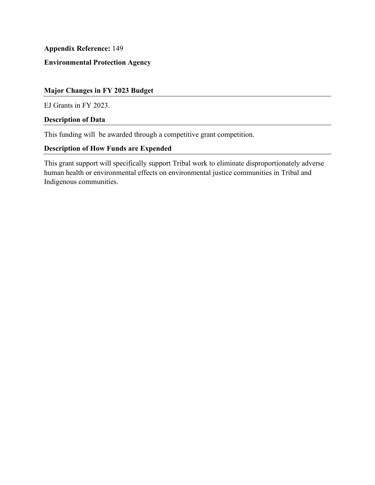# **Environmental Protection Agency**

## **Major Changes in FY 2023 Budget**

EJ Grants in FY 2023.

## **Description of Data**

This funding will be awarded through a competitive grant competition.

# **Description of How Funds are Expended**

This grant support will specifically support Tribal work to eliminate disproportionately adverse human health or environmental effects on environmental justice communities in Tribal and Indigenous communities.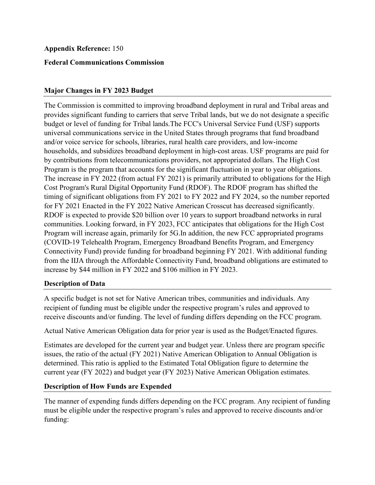## **Federal Communications Commission**

## **Major Changes in FY 2023 Budget**

The Commission is committed to improving broadband deployment in rural and Tribal areas and provides significant funding to carriers that serve Tribal lands, but we do not designate a specific budget or level of funding for Tribal lands.The FCC's Universal Service Fund (USF) supports universal communications service in the United States through programs that fund broadband and/or voice service for schools, libraries, rural health care providers, and low-income households, and subsidizes broadband deployment in high-cost areas. USF programs are paid for by contributions from telecommunications providers, not appropriated dollars. The High Cost Program is the program that accounts for the significant fluctuation in year to year obligations. The increase in FY 2022 (from actual FY 2021) is primarily attributed to obligations for the High Cost Program's Rural Digital Opportunity Fund (RDOF). The RDOF program has shifted the timing of significant obligations from FY 2021 to FY 2022 and FY 2024, so the number reported for FY 2021 Enacted in the FY 2022 Native American Crosscut has decreased significantly. RDOF is expected to provide \$20 billion over 10 years to support broadband networks in rural communities. Looking forward, in FY 2023, FCC anticipates that obligations for the High Cost Program will increase again, primarily for 5G.In addition, the new FCC appropriated programs (COVID-19 Telehealth Program, Emergency Broadband Benefits Program, and Emergency Connectivity Fund) provide funding for broadband beginning FY 2021. With additional funding from the IIJA through the Affordable Connectivity Fund, broadband obligations are estimated to increase by \$44 million in FY 2022 and \$106 million in FY 2023.

### **Description of Data**

 A specific budget is not set for Native American tribes, communities and individuals. Any recipient of funding must be eligible under the respective program's rules and approved to receive discounts and/or funding. The level of funding differs depending on the FCC program.

Actual Native American Obligation data for prior year is used as the Budget/Enacted figures.

Estimates are developed for the current year and budget year. Unless there are program specific issues, the ratio of the actual (FY 2021) Native American Obligation to Annual Obligation is determined. This ratio is applied to the Estimated Total Obligation figure to determine the current year (FY 2022) and budget year (FY 2023) Native American Obligation estimates.

### **Description of How Funds are Expended**

The manner of expending funds differs depending on the FCC program. Any recipient of funding must be eligible under the respective program's rules and approved to receive discounts and/or funding: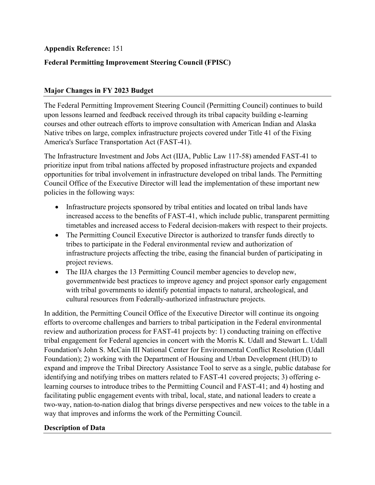# **Federal Permitting Improvement Steering Council (FPISC)**

# **Major Changes in FY 2023 Budget**

The Federal Permitting Improvement Steering Council (Permitting Council) continues to build upon lessons learned and feedback received through its tribal capacity building e-learning courses and other outreach efforts to improve consultation with American Indian and Alaska Native tribes on large, complex infrastructure projects covered under Title 41 of the Fixing America's Surface Transportation Act (FAST-41).

The Infrastructure Investment and Jobs Act (IIJA, Public Law 117-58) amended FAST-41 to prioritize input from tribal nations affected by proposed infrastructure projects and expanded opportunities for tribal involvement in infrastructure developed on tribal lands. The Permitting Council Office of the Executive Director will lead the implementation of these important new policies in the following ways:

- Infrastructure projects sponsored by tribal entities and located on tribal lands have increased access to the benefits of FAST-41, which include public, transparent permitting timetables and increased access to Federal decision-makers with respect to their projects.
- The Permitting Council Executive Director is authorized to transfer funds directly to tribes to participate in the Federal environmental review and authorization of infrastructure projects affecting the tribe, easing the financial burden of participating in project reviews.
- • The IIJA charges the 13 Permitting Council member agencies to develop new, governmentwide best practices to improve agency and project sponsor early engagement with tribal governments to identify potential impacts to natural, archeological, and cultural resources from Federally-authorized infrastructure projects.

 facilitating public engagement events with tribal, local, state, and national leaders to create a In addition, the Permitting Council Office of the Executive Director will continue its ongoing efforts to overcome challenges and barriers to tribal participation in the Federal environmental review and authorization process for FAST-41 projects by: 1) conducting training on effective tribal engagement for Federal agencies in concert with the Morris K. Udall and Stewart L. Udall Foundation's John S. McCain III National Center for Environmental Conflict Resolution (Udall Foundation); 2) working with the Department of Housing and Urban Development (HUD) to expand and improve the Tribal Directory Assistance Tool to serve as a single, public database for identifying and notifying tribes on matters related to FAST-41 covered projects; 3) offering elearning courses to introduce tribes to the Permitting Council and FAST-41; and 4) hosting and two-way, nation-to-nation dialog that brings diverse perspectives and new voices to the table in a way that improves and informs the work of the Permitting Council.

## **Description of Data**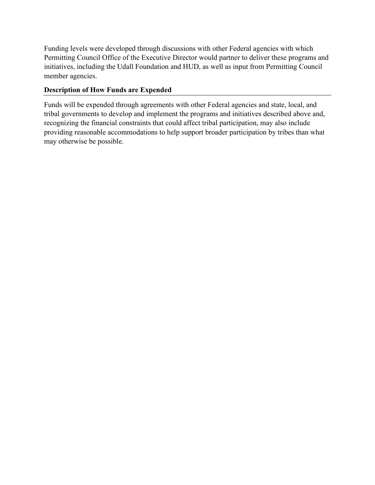Funding levels were developed through discussions with other Federal agencies with which Permitting Council Office of the Executive Director would partner to deliver these programs and initiatives, including the Udall Foundation and HUD, as well as input from Permitting Council member agencies.

# **Description of How Funds are Expended**

 recognizing the financial constraints that could affect tribal participation, may also include Funds will be expended through agreements with other Federal agencies and state, local, and tribal governments to develop and implement the programs and initiatives described above and, providing reasonable accommodations to help support broader participation by tribes than what may otherwise be possible.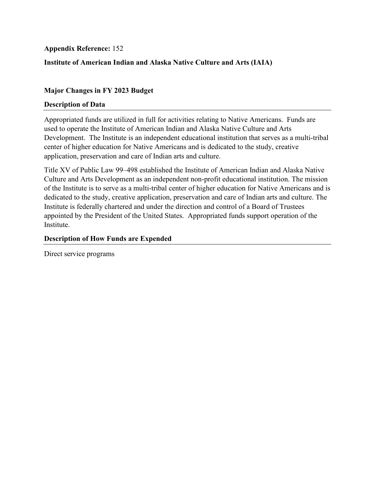## **Institute of American Indian and Alaska Native Culture and Arts (IAIA)**

## **Major Changes in FY 2023 Budget**

### **Description of Data**

Appropriated funds are utilized in full for activities relating to Native Americans. Funds are used to operate the Institute of American Indian and Alaska Native Culture and Arts Development. The Institute is an independent educational institution that serves as a multi-tribal center of higher education for Native Americans and is dedicated to the study, creative application, preservation and care of Indian arts and culture.

 of the Institute is to serve as a multi-tribal center of higher education for Native Americans and is Title XV of Public Law 99–498 established the Institute of American Indian and Alaska Native Culture and Arts Development as an independent non-profit educational institution. The mission dedicated to the study, creative application, preservation and care of Indian arts and culture. The Institute is federally chartered and under the direction and control of a Board of Trustees appointed by the President of the United States. Appropriated funds support operation of the Institute.

## **Description of How Funds are Expended**

Direct service programs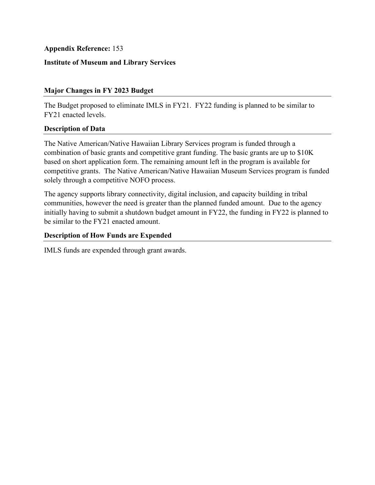## **Institute of Museum and Library Services**

## **Major Changes in FY 2023 Budget**

The Budget proposed to eliminate IMLS in FY21. FY22 funding is planned to be similar to FY21 enacted levels.

## **Description of Data**

The Native American/Native Hawaiian Library Services program is funded through a combination of basic grants and competitive grant funding. The basic grants are up to \$10K based on short application form. The remaining amount left in the program is available for competitive grants. The Native American/Native Hawaiian Museum Services program is funded solely through a competitive NOFO process.

The agency supports library connectivity, digital inclusion, and capacity building in tribal communities, however the need is greater than the planned funded amount. Due to the agency initially having to submit a shutdown budget amount in FY22, the funding in FY22 is planned to be similar to the FY21 enacted amount.

## **Description of How Funds are Expended**

IMLS funds are expended through grant awards.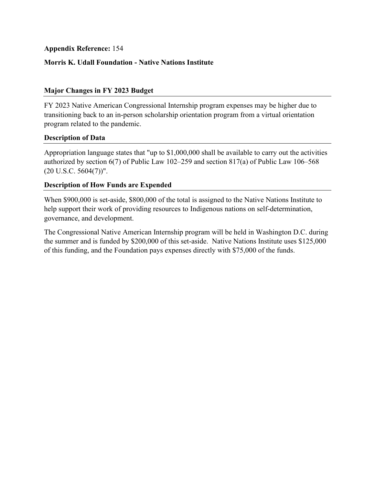## **Morris K. Udall Foundation - Native Nations Institute**

## **Major Changes in FY 2023 Budget**

FY 2023 Native American Congressional Internship program expenses may be higher due to transitioning back to an in-person scholarship orientation program from a virtual orientation program related to the pandemic.

### **Description of Data**

Appropriation language states that "up to \$1,000,000 shall be available to carry out the activities authorized by section 6(7) of Public Law 102–259 and section 817(a) of Public Law 106–568  $(20 U.S.C. 5604(7))$ ".

### **Description of How Funds are Expended**

When \$900,000 is set-aside, \$800,000 of the total is assigned to the Native Nations Institute to help support their work of providing resources to Indigenous nations on self-determination, governance, and development.

The Congressional Native American Internship program will be held in Washington D.C. during the summer and is funded by \$200,000 of this set-aside. Native Nations Institute uses \$125,000 of this funding, and the Foundation pays expenses directly with \$75,000 of the funds.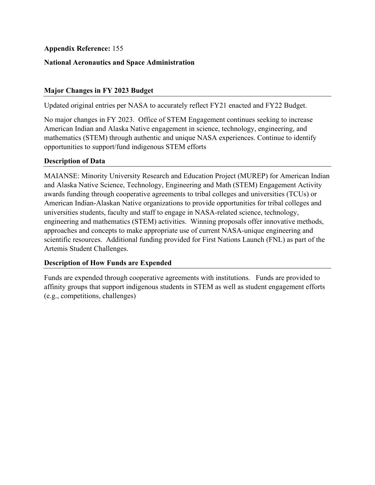## **National Aeronautics and Space Administration**

## **Major Changes in FY 2023 Budget**

Updated original entries per NASA to accurately reflect FY21 enacted and FY22 Budget.

No major changes in FY 2023. Office of STEM Engagement continues seeking to increase American Indian and Alaska Native engagement in science, technology, engineering, and mathematics (STEM) through authentic and unique NASA experiences. Continue to identify opportunities to support/fund indigenous STEM efforts

### **Description of Data**

 universities students, faculty and staff to engage in NASA-related science, technology, MAIANSE: Minority University Research and Education Project (MUREP) for American Indian and Alaska Native Science, Technology, Engineering and Math (STEM) Engagement Activity awards funding through cooperative agreements to tribal colleges and universities (TCUs) or American Indian-Alaskan Native organizations to provide opportunities for tribal colleges and engineering and mathematics (STEM) activities. Winning proposals offer innovative methods, approaches and concepts to make appropriate use of current NASA-unique engineering and scientific resources. Additional funding provided for First Nations Launch (FNL) as part of the Artemis Student Challenges.

### **Description of How Funds are Expended**

Funds are expended through cooperative agreements with institutions. Funds are provided to affinity groups that support indigenous students in STEM as well as student engagement efforts (e.g., competitions, challenges)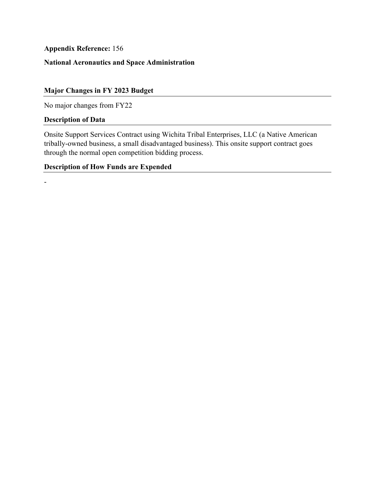# **National Aeronautics and Space Administration**

## **Major Changes in FY 2023 Budget**

No major changes from FY22

## **Description of Data**

-

Onsite Support Services Contract using Wichita Tribal Enterprises, LLC (a Native American tribally-owned business, a small disadvantaged business). This onsite support contract goes through the normal open competition bidding process.

# **Description of How Funds are Expended**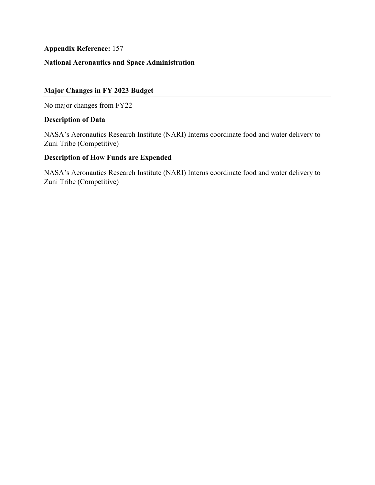# **National Aeronautics and Space Administration**

# **Major Changes in FY 2023 Budget**

No major changes from FY22

## **Description of Data**

NASA's Aeronautics Research Institute (NARI) Interns coordinate food and water delivery to Zuni Tribe (Competitive)

# **Description of How Funds are Expended**

NASA's Aeronautics Research Institute (NARI) Interns coordinate food and water delivery to Zuni Tribe (Competitive)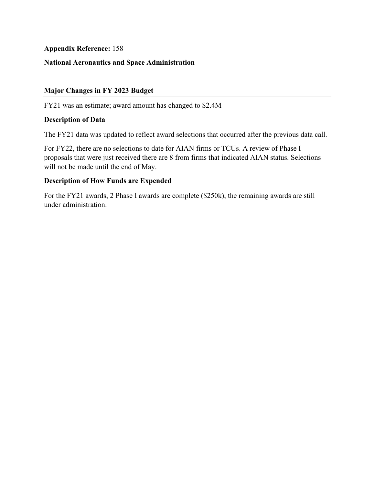# **National Aeronautics and Space Administration**

### **Major Changes in FY 2023 Budget**

FY21 was an estimate; award amount has changed to \$2.4M

#### **Description of Data**

The FY21 data was updated to reflect award selections that occurred after the previous data call.

 For FY22, there are no selections to date for AIAN firms or TCUs. A review of Phase I proposals that were just received there are 8 from firms that indicated AIAN status. Selections will not be made until the end of May.

## **Description of How Funds are Expended**

For the FY21 awards, 2 Phase I awards are complete (\$250k), the remaining awards are still under administration.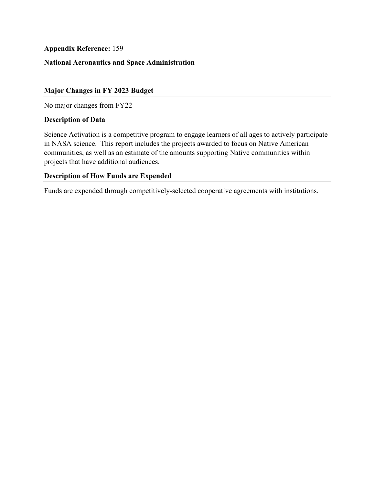# **National Aeronautics and Space Administration**

## **Major Changes in FY 2023 Budget**

No major changes from FY22

#### **Description of Data**

Science Activation is a competitive program to engage learners of all ages to actively participate in NASA science. This report includes the projects awarded to focus on Native American communities, as well as an estimate of the amounts supporting Native communities within projects that have additional audiences.

### **Description of How Funds are Expended**

Funds are expended through competitively-selected cooperative agreements with institutions.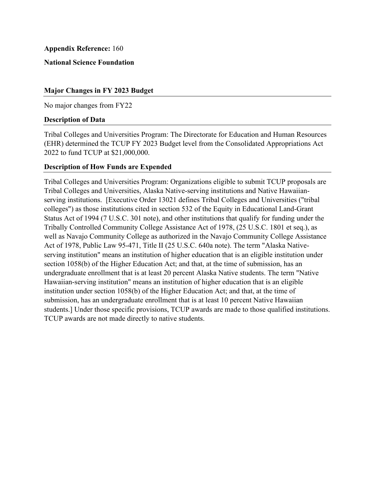**National Science Foundation** 

### **Major Changes in FY 2023 Budget**

No major changes from FY22

#### **Description of Data**

Tribal Colleges and Universities Program: The Directorate for Education and Human Resources (EHR) determined the TCUP FY 2023 Budget level from the Consolidated Appropriations Act 2022 to fund TCUP at \$21,000,000.

### **Description of How Funds are Expended**

Tribal Colleges and Universities Program: Organizations eligible to submit TCUP proposals are Tribal Colleges and Universities, Alaska Native-serving institutions and Native Hawaiianserving institutions. [Executive Order 13021 defines Tribal Colleges and Universities ("tribal colleges") as those institutions cited in section 532 of the Equity in Educational Land-Grant Status Act of 1994 (7 U.S.C. 301 note), and other institutions that qualify for funding under the Tribally Controlled Community College Assistance Act of 1978, (25 U.S.C. 1801 et seq.), as well as Navajo Community College as authorized in the Navajo Community College Assistance Act of 1978, Public Law 95-471, Title II (25 U.S.C. 640a note). The term "Alaska Nativeserving institution" means an institution of higher education that is an eligible institution under section 1058(b) of the Higher Education Act; and that, at the time of submission, has an undergraduate enrollment that is at least 20 percent Alaska Native students. The term "Native Hawaiian-serving institution" means an institution of higher education that is an eligible institution under section 1058(b) of the Higher Education Act; and that, at the time of submission, has an undergraduate enrollment that is at least 10 percent Native Hawaiian students.] Under those specific provisions, TCUP awards are made to those qualified institutions. TCUP awards are not made directly to native students.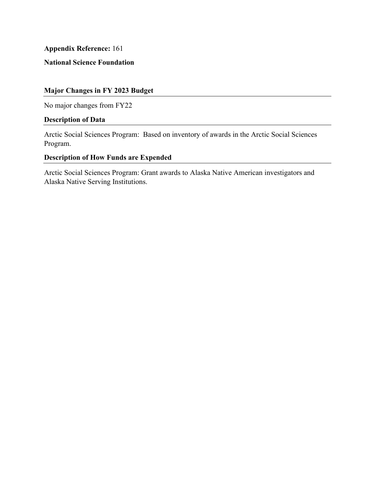## **National Science Foundation**

## **Major Changes in FY 2023 Budget**

No major changes from FY22

## **Description of Data**

Arctic Social Sciences Program: Based on inventory of awards in the Arctic Social Sciences Program.

# **Description of How Funds are Expended**

Arctic Social Sciences Program: Grant awards to Alaska Native American investigators and Alaska Native Serving Institutions.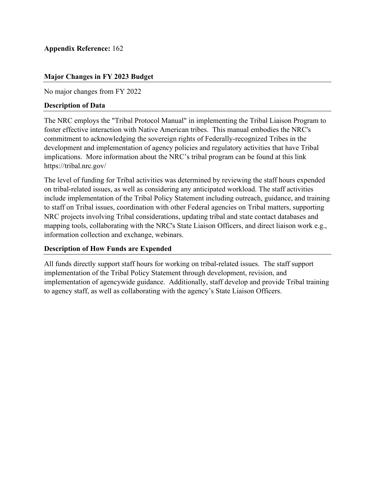# **Major Changes in FY 2023 Budget**

No major changes from FY 2022

## **Description of Data**

The NRC employs the "Tribal Protocol Manual" in implementing the Tribal Liaison Program to foster effective interaction with Native American tribes. This manual embodies the NRC's commitment to acknowledging the sovereign rights of Federally-recognized Tribes in the development and implementation of agency policies and regulatory activities that have Tribal implications. More information about the NRC's tribal program can be found at this link https://tribal.nrc.gov/

The level of funding for Tribal activities was determined by reviewing the staff hours expended on tribal-related issues, as well as considering any anticipated workload. The staff activities include implementation of the Tribal Policy Statement including outreach, guidance, and training to staff on Tribal issues, coordination with other Federal agencies on Tribal matters, supporting NRC projects involving Tribal considerations, updating tribal and state contact databases and mapping tools, collaborating with the NRC's State Liaison Officers, and direct liaison work e.g., information collection and exchange, webinars.

## **Description of How Funds are Expended**

All funds directly support staff hours for working on tribal-related issues. The staff support implementation of the Tribal Policy Statement through development, revision, and implementation of agencywide guidance. Additionally, staff develop and provide Tribal training to agency staff, as well as collaborating with the agency's State Liaison Officers.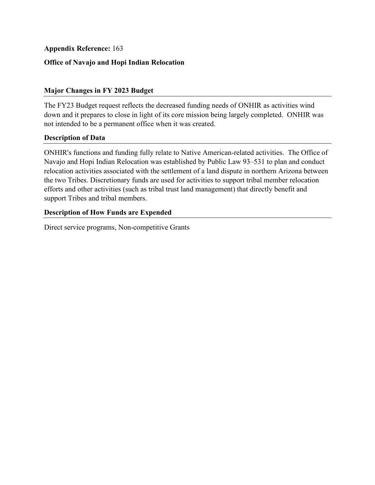## **Office of Navajo and Hopi Indian Relocation**

## **Major Changes in FY 2023 Budget**

The FY23 Budget request reflects the decreased funding needs of ONHIR as activities wind down and it prepares to close in light of its core mission being largely completed. ONHIR was not intended to be a permanent office when it was created.

### **Description of Data**

 support Tribes and tribal members. ONHIR's functions and funding fully relate to Native American-related activities. The Office of Navajo and Hopi Indian Relocation was established by Public Law 93–531 to plan and conduct relocation activities associated with the settlement of a land dispute in northern Arizona between the two Tribes. Discretionary funds are used for activities to support tribal member relocation efforts and other activities (such as tribal trust land management) that directly benefit and

## **Description of How Funds are Expended**

Direct service programs, Non-competitive Grants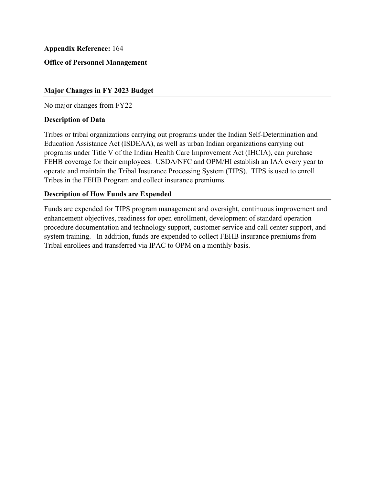## **Office of Personnel Management**

### **Major Changes in FY 2023 Budget**

No major changes from FY22

#### **Description of Data**

 operate and maintain the Tribal Insurance Processing System (TIPS). TIPS is used to enroll Tribes or tribal organizations carrying out programs under the Indian Self-Determination and Education Assistance Act (ISDEAA), as well as urban Indian organizations carrying out programs under Title V of the Indian Health Care Improvement Act (IHCIA), can purchase FEHB coverage for their employees. USDA/NFC and OPM/HI establish an IAA every year to Tribes in the FEHB Program and collect insurance premiums.

## **Description of How Funds are Expended**

Funds are expended for TIPS program management and oversight, continuous improvement and enhancement objectives, readiness for open enrollment, development of standard operation procedure documentation and technology support, customer service and call center support, and system training. In addition, funds are expended to collect FEHB insurance premiums from Tribal enrollees and transferred via IPAC to OPM on a monthly basis.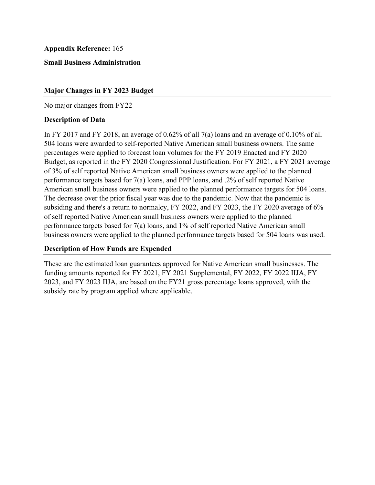**Small Business Administration** 

#### **Major Changes in FY 2023 Budget**

No major changes from FY22

#### **Description of Data**

In FY 2017 and FY 2018, an average of 0.62% of all 7(a) loans and an average of 0.10% of all 504 loans were awarded to self-reported Native American small business owners. The same percentages were applied to forecast loan volumes for the FY 2019 Enacted and FY 2020 Budget, as reported in the FY 2020 Congressional Justification. For FY 2021, a FY 2021 average of 3% of self reported Native American small business owners were applied to the planned performance targets based for 7(a) loans, and PPP loans, and .2% of self reported Native American small business owners were applied to the planned performance targets for 504 loans. The decrease over the prior fiscal year was due to the pandemic. Now that the pandemic is subsiding and there's a return to normalcy, FY 2022, and FY 2023, the FY 2020 average of 6% of self reported Native American small business owners were applied to the planned performance targets based for 7(a) loans, and 1% of self reported Native American small business owners were applied to the planned performance targets based for 504 loans was used.

### **Description of How Funds are Expended**

These are the estimated loan guarantees approved for Native American small businesses. The funding amounts reported for FY 2021, FY 2021 Supplemental, FY 2022, FY 2022 IIJA, FY 2023, and FY 2023 IIJA, are based on the FY21 gross percentage loans approved, with the subsidy rate by program applied where applicable.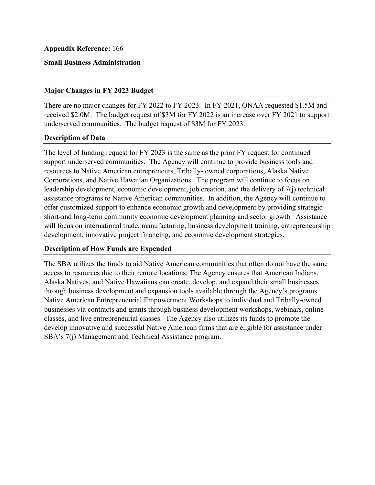## **Appendix Reference:** 166

### **Small Business Administration**

#### **Major Changes in FY 2023 Budget**

 received \$2.0M. The budget request of \$3M for FY 2022 is an increase over FY 2021 to support There are no major changes for FY 2022 to FY 2023. In FY 2021, ONAA requested \$1.5M and underserved communities. The budget request of \$3M for FY 2023.

#### **Description of Data**

The level of funding request for FY 2023 is the same as the prior FY request for continued support underserved communities. The Agency will continue to provide business tools and resources to Native American entrepreneurs, Tribally- owned corporations, Alaska Native Corporations, and Native Hawaiian Organizations. The program will continue to focus on leadership development, economic development, job creation, and the delivery of 7(j) technical assistance programs to Native American communities. In addition, the Agency will continue to offer customized support to enhance economic growth and development by providing strategic short-and long-term community economic development planning and sector growth. Assistance will focus on international trade, manufacturing, business development training, entrepreneurship development, innovative project financing, and economic development strategies.

## **Description of How Funds are Expended**

 Alaska Natives, and Native Hawaiians can create, develop, and expand their small businesses The SBA utilizes the funds to aid Native American communities that often do not have the same access to resources due to their remote locations. The Agency ensures that American Indians, through business development and expansion tools available through the Agency's programs. Native American Entrepreneurial Empowerment Workshops to individual and Tribally-owned businesses via contracts and grants through business development workshops, webinars, online classes, and live entrepreneurial classes. The Agency also utilizes its funds to promote the develop innovative and successful Native American firms that are eligible for assistance under SBA's 7(j) Management and Technical Assistance program.